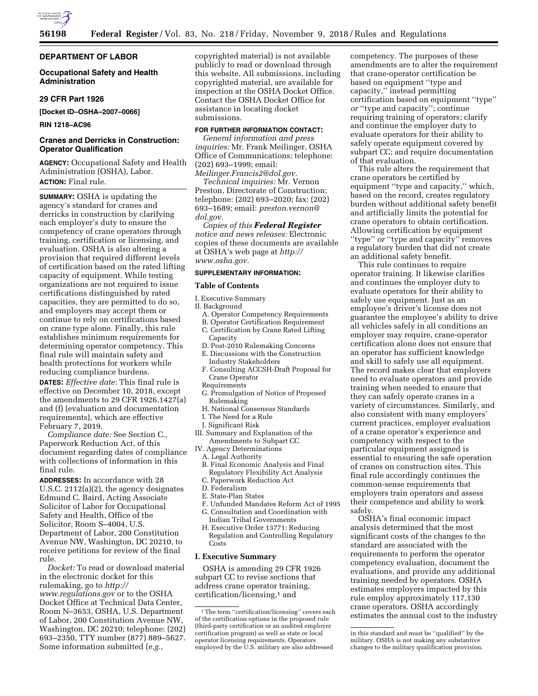

## **DEPARTMENT OF LABOR**

## **Occupational Safety and Health Administration**

## **29 CFR Part 1926**

**[Docket ID–OSHA–2007–0066]** 

#### **RIN 1218–AC96**

## **Cranes and Derricks in Construction: Operator Qualification**

**AGENCY:** Occupational Safety and Health Administration (OSHA), Labor. **ACTION:** Final rule.

**SUMMARY:** OSHA is updating the agency's standard for cranes and derricks in construction by clarifying each employer's duty to ensure the competency of crane operators through training, certification or licensing, and evaluation. OSHA is also altering a provision that required different levels of certification based on the rated lifting capacity of equipment. While testing organizations are not required to issue certifications distinguished by rated capacities, they are permitted to do so, and employers may accept them or continue to rely on certifications based on crane type alone. Finally, this rule establishes minimum requirements for determining operator competency. This final rule will maintain safety and health protections for workers while reducing compliance burdens.

**DATES:** *Effective date:* This final rule is effective on December 10, 2018, except the amendments to 29 CFR 1926.1427(a) and (f) (evaluation and documentation requirements), which are effective February 7, 2019.

*Compliance date:* See Section C., Paperwork Reduction Act, of this document regarding dates of compliance with collections of information in this final rule.

**ADDRESSES:** In accordance with 28 U.S.C. 2112(a)(2), the agency designates Edmund C. Baird, Acting Associate Solicitor of Labor for Occupational Safety and Health, Office of the Solicitor, Room S–4004, U.S. Department of Labor, 200 Constitution Avenue NW, Washington, DC 20210, to receive petitions for review of the final rule.

*Docket:* To read or download material in the electronic docket for this rulemaking, go to *[http://](http://www.regulations.gov) [www.regulations.gov](http://www.regulations.gov)* or to the OSHA Docket Office at Technical Data Center, Room N–3653, OSHA, U.S. Department of Labor, 200 Constitution Avenue NW, Washington, DC 20210; telephone: (202) 693–2350, TTY number (877) 889–5627. Some information submitted (*e.g.,* 

copyrighted material) is not available publicly to read or download through this website. All submissions, including copyrighted material, are available for inspection at the OSHA Docket Office. Contact the OSHA Docket Office for assistance in locating docket submissions.

#### **FOR FURTHER INFORMATION CONTACT:**

*General information and press inquiries:* Mr. Frank Meilinger, OSHA Office of Communications; telephone: (202) 693–1999; email:

*[Meilinger.Francis2@dol.gov.](mailto:Meilinger.Francis2@dol.gov) Technical inquiries:* Mr. Vernon Preston, Directorate of Construction; telephone: (202) 693–2020; fax: (202) 693–1689; email: *[preston.vernon@](mailto:preston.vernon@dol.gov) [dol.gov.](mailto:preston.vernon@dol.gov)* 

*Copies of this Federal Register notice and news releases:* Electronic copies of these documents are available at OSHA's web page at *[http://](http://www.osha.gov) [www.osha.gov.](http://www.osha.gov)* 

## **SUPPLEMENTARY INFORMATION:**

#### **Table of Contents**

- I. Executive Summary
- II. Background
	- A. Operator Competency Requirements
	- B. Operator Certification Requirement C. Certification by Crane Rated Lifting
	- **Capacity**
	- D. Post-2010 Rulemaking Concerns
	- E. Discussions with the Construction Industry Stakeholders
	- F. Consulting ACCSH-Draft Proposal for Crane Operator
	- Requirements
	- G. Promulgation of Notice of Proposed Rulemaking
	- H. National Consensus Standards
	- I. The Need for a Rule
	- J. Significant Risk
- III. Summary and Explanation of the Amendments to Subpart CC
- IV. Agency Determinations
- A. Legal Authority
- B. Final Economic Analysis and Final Regulatory Flexibility Act Analysis
- C. Paperwork Reduction Act
- D. Federalism
- E. State-Plan States
- F. Unfunded Mandates Reform Act of 1995 G. Consultation and Coordination with
- Indian Tribal Governments
- H. Executive Order 13771: Reducing Regulation and Controlling Regulatory Costs

## **I. Executive Summary**

OSHA is amending 29 CFR 1926 subpart CC to revise sections that address crane operator training, certification/licensing,1 and

competency. The purposes of these amendments are to alter the requirement that crane-operator certification be based on equipment ''type and capacity,'' instead permitting certification based on equipment ''type'' *or* ''type and capacity''; continue requiring training of operators; clarify and continue the employer duty to evaluate operators for their ability to safely operate equipment covered by subpart CC; and require documentation of that evaluation.

This rule alters the requirement that crane operators be certified by equipment ''type and capacity,'' which, based on the record, creates regulatory burden without additional safety benefit and artificially limits the potential for crane operators to obtain certification. Allowing certification by equipment ''type'' *or* ''type and capacity'' removes a regulatory burden that did not create an additional safety benefit.

This rule continues to require operator training. It likewise clarifies and continues the employer duty to evaluate operators for their ability to safely use equipment. Just as an employee's driver's license does not guarantee the employee's ability to drive all vehicles safely in all conditions an employer may require, crane-operator certification alone does not ensure that an operator has sufficient knowledge and skill to safely use all equipment. The record makes clear that employers need to evaluate operators and provide training when needed to ensure that they can safely operate cranes in a variety of circumstances. Similarly, and also consistent with many employers' current practices, employer evaluation of a crane operator's experience and competency with respect to the particular equipment assigned is essential to ensuring the safe operation of cranes on construction sites. This final rule accordingly continues the common-sense requirements that employers train operators and assess their competence and ability to work safely.

OSHA's final economic impact analysis determined that the most significant costs of the changes to the standard are associated with the requirements to perform the operator competency evaluation, document the evaluations, and provide any additional training needed by operators. OSHA estimates employers impacted by this rule employ approximately 117,130 crane operators. OSHA accordingly estimates the annual cost to the industry

<sup>&</sup>lt;sup>1</sup>The term "certification/licensing" covers each of the certification options in the proposed rule (third-party certification or an audited employer certification program) as well as state or local operator licensing requirements. Operators employed by the U.S. military are also addressed

in this standard and must be ''qualified'' by the military. OSHA is not making any substantive changes to the military qualification provision.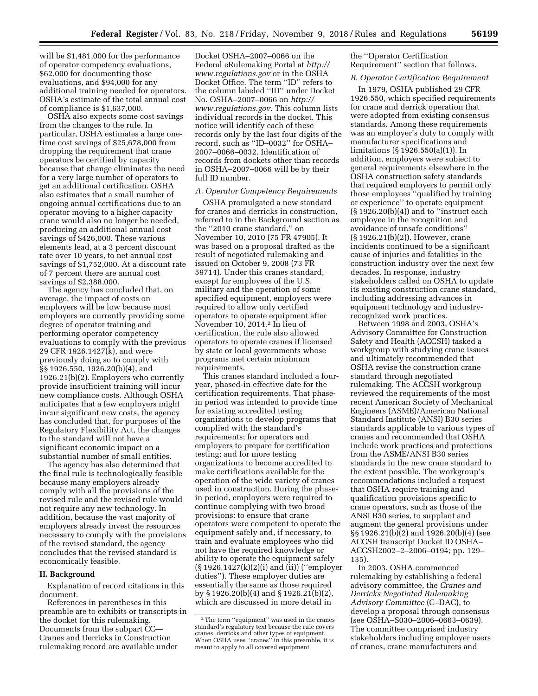will be \$1,481,000 for the performance of operator competency evaluations, \$62,000 for documenting those evaluations, and \$94,000 for any additional training needed for operators. OSHA's estimate of the total annual cost of compliance is \$1,637,000.

OSHA also expects some cost savings from the changes to the rule. In particular, OSHA estimates a large onetime cost savings of \$25,678,000 from dropping the requirement that crane operators be certified by capacity because that change eliminates the need for a very large number of operators to get an additional certification. OSHA also estimates that a small number of ongoing annual certifications due to an operator moving to a higher capacity crane would also no longer be needed, producing an additional annual cost savings of \$426,000. These various elements lead, at a 3 percent discount rate over 10 years, to net annual cost savings of \$1,752,000. At a discount rate of 7 percent there are annual cost savings of \$2,388,000.

The agency has concluded that, on average, the impact of costs on employers will be low because most employers are currently providing some degree of operator training and performing operator competency evaluations to comply with the previous 29 CFR 1926.1427(k), and were previously doing so to comply with §§ 1926.550, 1926.20(b)(4), and 1926.21(b)(2). Employers who currently provide insufficient training will incur new compliance costs. Although OSHA anticipates that a few employers might incur significant new costs, the agency has concluded that, for purposes of the Regulatory Flexibility Act, the changes to the standard will not have a significant economic impact on a substantial number of small entities.

The agency has also determined that the final rule is technologically feasible because many employers already comply with all the provisions of the revised rule and the revised rule would not require any new technology. In addition, because the vast majority of employers already invest the resources necessary to comply with the provisions of the revised standard, the agency concludes that the revised standard is economically feasible.

## **II. Background**

Explanation of record citations in this document.

References in parentheses in this preamble are to exhibits or transcripts in the docket for this rulemaking. Documents from the subpart CC— Cranes and Derricks in Construction rulemaking record are available under

Docket OSHA–2007–0066 on the Federal eRulemaking Portal at *[http://](http://www.regulations.gov) [www.regulations.gov](http://www.regulations.gov)* or in the OSHA Docket Office. The term ''ID'' refers to the column labeled ''ID'' under Docket No. OSHA–2007–0066 on *[http://](http://www.regulations.gov) [www.regulations.gov.](http://www.regulations.gov)* This column lists individual records in the docket. This notice will identify each of these records only by the last four digits of the record, such as ''ID–0032'' for OSHA– 2007–0066–0032. Identification of records from dockets other than records in OSHA–2007–0066 will be by their full ID number.

#### *A. Operator Competency Requirements*

OSHA promulgated a new standard for cranes and derricks in construction, referred to in the Background section as the ''2010 crane standard,'' on November 10, 2010 (75 FR 47905). It was based on a proposal drafted as the result of negotiated rulemaking and issued on October 9, 2008 (73 FR 59714). Under this cranes standard, except for employees of the U.S. military and the operation of some specified equipment, employers were required to allow only certified operators to operate equipment after November 10, 2014.2 In lieu of certification, the rule also allowed operators to operate cranes if licensed by state or local governments whose programs met certain minimum requirements.

This cranes standard included a fouryear, phased-in effective date for the certification requirements. That phasein period was intended to provide time for existing accredited testing organizations to develop programs that complied with the standard's requirements; for operators and employers to prepare for certification testing; and for more testing organizations to become accredited to make certifications available for the operation of the wide variety of cranes used in construction. During the phasein period, employers were required to continue complying with two broad provisions: to ensure that crane operators were competent to operate the equipment safely and, if necessary, to train and evaluate employees who did not have the required knowledge or ability to operate the equipment safely (§ 1926.1427(k)(2)(i) and (ii)) (''employer duties''). These employer duties are essentially the same as those required by § 1926.20(b)(4) and § 1926.21(b)(2), which are discussed in more detail in

the ''Operator Certification Requirement'' section that follows.

## *B. Operator Certification Requirement*

In 1979, OSHA published 29 CFR 1926.550, which specified requirements for crane and derrick operation that were adopted from existing consensus standards. Among these requirements was an employer's duty to comply with manufacturer specifications and limitations (§ 1926.550(a)(1)). In addition, employers were subject to general requirements elsewhere in the OSHA construction safety standards that required employers to permit only those employees ''qualified by training or experience'' to operate equipment  $(\S 1926.20(b)(4))$  and to "instruct each" employee in the recognition and avoidance of unsafe conditions'' (§ 1926.21(b)(2)). However, crane incidents continued to be a significant cause of injuries and fatalities in the construction industry over the next few decades. In response, industry stakeholders called on OSHA to update its existing construction crane standard, including addressing advances in equipment technology and industryrecognized work practices.

Between 1998 and 2003, OSHA's Advisory Committee for Construction Safety and Health (ACCSH) tasked a workgroup with studying crane issues and ultimately recommended that OSHA revise the construction crane standard through negotiated rulemaking. The ACCSH workgroup reviewed the requirements of the most recent American Society of Mechanical Engineers (ASME)/American National Standard Institute (ANSI) B30 series standards applicable to various types of cranes and recommended that OSHA include work practices and protections from the ASME/ANSI B30 series standards in the new crane standard to the extent possible. The workgroup's recommendations included a request that OSHA require training and qualification provisions specific to crane operators, such as those of the ANSI B30 series, to supplant and augment the general provisions under §§ 1926.21(b)(2) and 1926.20(b)(4) (see ACCSH transcript Docket ID OSHA– ACCSH2002–2–2006–0194; pp. 129– 135).

In 2003, OSHA commenced rulemaking by establishing a federal advisory committee, the *Cranes and Derricks Negotiated Rulemaking Advisory Committee* (C–DAC), to develop a proposal through consensus (see OSHA–S030–2006–0663–0639). The committee comprised industry stakeholders including employer users of cranes, crane manufacturers and

<sup>2</sup>The term ''equipment'' was used in the cranes standard's regulatory text because the rule covers cranes, derricks and other types of equipment. When OSHA uses ''cranes'' in this preamble, it is meant to apply to all covered equipment.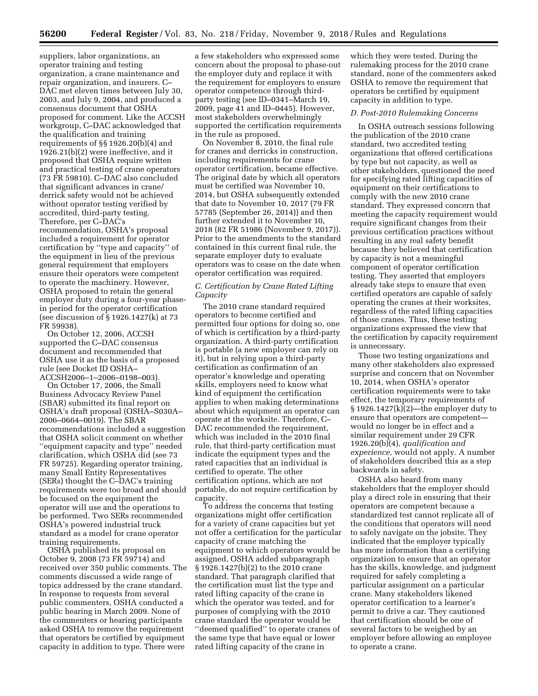suppliers, labor organizations, an operator training and testing organization, a crane maintenance and repair organization, and insurers. C– DAC met eleven times between July 30, 2003, and July 9, 2004, and produced a consensus document that OSHA proposed for comment. Like the ACCSH workgroup, C–DAC acknowledged that the qualification and training requirements of §§ 1926.20(b)(4) and 1926.21(b)(2) were ineffective, and it proposed that OSHA require written and practical testing of crane operators (73 FR 59810). C–DAC also concluded that significant advances in crane/ derrick safety would not be achieved without operator testing verified by accredited, third-party testing. Therefore, per C–DAC's recommendation, OSHA's proposal included a requirement for operator certification by ''type and capacity'' of the equipment in lieu of the previous general requirement that employers ensure their operators were competent to operate the machinery. However, OSHA proposed to retain the general employer duty during a four-year phasein period for the operator certification (see discussion of § 1926.1427(k) at 73 FR 59938).

On October 12, 2006, ACCSH supported the C–DAC consensus document and recommended that OSHA use it as the basis of a proposed rule (see Docket ID OSHA– ACCSH2006–1–2006–0198–003).

On October 17, 2006, the Small Business Advocacy Review Panel (SBAR) submitted its final report on OSHA's draft proposal (OSHA–S030A– 2006–0664–0019). The SBAR recommendations included a suggestion that OSHA solicit comment on whether ''equipment capacity and type'' needed clarification, which OSHA did (see 73 FR 59725). Regarding operator training, many Small Entity Representatives (SERs) thought the C–DAC's training requirements were too broad and should be focused on the equipment the operator will use and the operations to be performed. Two SERs recommended OSHA's powered industrial truck standard as a model for crane operator training requirements.

OSHA published its proposal on October 9, 2008 (73 FR 59714) and received over 350 public comments. The comments discussed a wide range of topics addressed by the crane standard. In response to requests from several public commenters, OSHA conducted a public hearing in March 2009. None of the commenters or hearing participants asked OSHA to remove the requirement that operators be certified by equipment capacity in addition to type. There were

a few stakeholders who expressed some concern about the proposal to phase-out the employer duty and replace it with the requirement for employers to ensure operator competence through thirdparty testing (see ID–0341–March 19, 2009, page 41 and ID–0445). However, most stakeholders overwhelmingly supported the certification requirements in the rule as proposed.

On November 8, 2010, the final rule for cranes and derricks in construction, including requirements for crane operator certification, became effective. The original date by which all operators must be certified was November 10, 2014, but OSHA subsequently extended that date to November 10, 2017 (79 FR 57785 (September 26, 2014)) and then further extended it to November 10, 2018 (82 FR 51986 (November 9, 2017)). Prior to the amendments to the standard contained in this current final rule, the separate employer duty to evaluate operators was to cease on the date when operator certification was required.

## *C. Certification by Crane Rated Lifting Capacity*

The 2010 crane standard required operators to become certified and permitted four options for doing so, one of which is certification by a third-party organization. A third-party certification is portable (a new employer can rely on it), but in relying upon a third-party certification as confirmation of an operator's knowledge and operating skills, employers need to know what kind of equipment the certification applies to when making determinations about which equipment an operator can operate at the worksite. Therefore, C– DAC recommended the requirement, which was included in the 2010 final rule, that third-party certification must indicate the equipment types and the rated capacities that an individual is certified to operate. The other certification options, which are not portable, do not require certification by capacity.

To address the concerns that testing organizations might offer certification for a variety of crane capacities but yet not offer a certification for the particular capacity of crane matching the equipment to which operators would be assigned, OSHA added subparagraph § 1926.1427(b)(2) to the 2010 crane standard. That paragraph clarified that the certification must list the type and rated lifting capacity of the crane in which the operator was tested, and for purposes of complying with the 2010 crane standard the operator would be ''deemed qualified'' to operate cranes of the same type that have equal or lower rated lifting capacity of the crane in

which they were tested. During the rulemaking process for the 2010 crane standard, none of the commenters asked OSHA to remove the requirement that operators be certified by equipment capacity in addition to type.

#### *D. Post-2010 Rulemaking Concerns*

In OSHA outreach sessions following the publication of the 2010 crane standard, two accredited testing organizations that offered certifications by type but not capacity, as well as other stakeholders, questioned the need for specifying rated lifting capacities of equipment on their certifications to comply with the new 2010 crane standard. They expressed concern that meeting the capacity requirement would require significant changes from their previous certification practices without resulting in any real safety benefit because they believed that certification by capacity is not a meaningful component of operator certification testing. They asserted that employers already take steps to ensure that even certified operators are capable of safely operating the cranes at their worksites, regardless of the rated lifting capacities of those cranes. Thus, these testing organizations expressed the view that the certification by capacity requirement is unnecessary.

Those two testing organizations and many other stakeholders also expressed surprise and concern that on November 10, 2014, when OSHA's operator certification requirements were to take effect, the temporary requirements of § 1926.1427(k)(2)—the employer duty to ensure that operators are competent would no longer be in effect and a similar requirement under 29 CFR 1926.20(b)(4), *qualification and experience,* would not apply. A number of stakeholders described this as a step backwards in safety.

OSHA also heard from many stakeholders that the employer should play a direct role in ensuring that their operators are competent because a standardized test cannot replicate all of the conditions that operators will need to safely navigate on the jobsite. They indicated that the employer typically has more information than a certifying organization to ensure that an operator has the skills, knowledge, and judgment required for safely completing a particular assignment on a particular crane. Many stakeholders likened operator certification to a learner's permit to drive a car. They cautioned that certification should be one of several factors to be weighed by an employer before allowing an employee to operate a crane.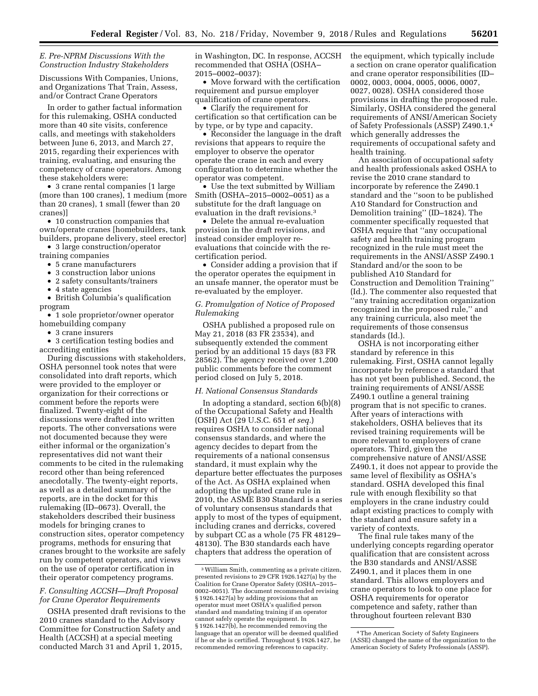## *E. Pre-NPRM Discussions With the Construction Industry Stakeholders*

Discussions With Companies, Unions, and Organizations That Train, Assess, and/or Contract Crane Operators

In order to gather factual information for this rulemaking, OSHA conducted more than 40 site visits, conference calls, and meetings with stakeholders between June 6, 2013, and March 27, 2015, regarding their experiences with training, evaluating, and ensuring the competency of crane operators. Among these stakeholders were:

• 3 crane rental companies [1 large (more than 100 cranes), 1 medium (more than 20 cranes), 1 small (fewer than 20 cranes)]

• 10 construction companies that own/operate cranes [homebuilders, tank builders, propane delivery, steel erector]

• 3 large construction/operator training companies

- 5 crane manufacturers
- 3 construction labor unions
- 2 safety consultants/trainers
- 4 state agencies

• British Columbia's qualification program

• 1 sole proprietor/owner operator homebuilding company

• 3 crane insurers

• 3 certification testing bodies and accrediting entities

During discussions with stakeholders, OSHA personnel took notes that were consolidated into draft reports, which were provided to the employer or organization for their corrections or comment before the reports were finalized. Twenty-eight of the discussions were drafted into written reports. The other conversations were not documented because they were either informal or the organization's representatives did not want their comments to be cited in the rulemaking record other than being referenced anecdotally. The twenty-eight reports, as well as a detailed summary of the reports, are in the docket for this rulemaking (ID–0673). Overall, the stakeholders described their business models for bringing cranes to construction sites, operator competency programs, methods for ensuring that cranes brought to the worksite are safely run by competent operators, and views on the use of operator certification in their operator competency programs.

## *F. Consulting ACCSH—Draft Proposal for Crane Operator Requirements*

OSHA presented draft revisions to the 2010 cranes standard to the Advisory Committee for Construction Safety and Health (ACCSH) at a special meeting conducted March 31 and April 1, 2015,

in Washington, DC. In response, ACCSH recommended that OSHA (OSHA– 2015–0002–0037):

• Move forward with the certification requirement and pursue employer qualification of crane operators.

• Clarify the requirement for certification so that certification can be by type, or by type and capacity.

• Reconsider the language in the draft revisions that appears to require the employer to observe the operator operate the crane in each and every configuration to determine whether the operator was competent.

• Use the text submitted by William Smith (OSHA–2015–0002–0051) as a substitute for the draft language on evaluation in the draft revisions.3

• Delete the annual re-evaluation provision in the draft revisions, and instead consider employer reevaluations that coincide with the recertification period.

• Consider adding a provision that if the operator operates the equipment in an unsafe manner, the operator must be re-evaluated by the employer.

## *G. Promulgation of Notice of Proposed Rulemaking*

OSHA published a proposed rule on May 21, 2018 (83 FR 23534), and subsequently extended the comment period by an additional 15 days (83 FR 28562). The agency received over 1,200 public comments before the comment period closed on July 5, 2018.

#### *H. National Consensus Standards*

In adopting a standard, section 6(b)(8) of the Occupational Safety and Health (OSH) Act (29 U.S.C. 651 *et seq.*) requires OSHA to consider national consensus standards, and where the agency decides to depart from the requirements of a national consensus standard, it must explain why the departure better effectuates the purposes of the Act. As OSHA explained when adopting the updated crane rule in 2010, the ASME B30 Standard is a series of voluntary consensus standards that apply to most of the types of equipment, including cranes and derricks, covered by subpart CC as a whole (75 FR 48129– 48130). The B30 standards each have chapters that address the operation of

the equipment, which typically include a section on crane operator qualification and crane operator responsibilities (ID– 0002, 0003, 0004, 0005, 0006, 0007, 0027, 0028). OSHA considered those provisions in drafting the proposed rule. Similarly, OSHA considered the general requirements of ANSI/American Society of Safety Professionals (ASSP) Z490.1,4 which generally addresses the requirements of occupational safety and health training.

An association of occupational safety and health professionals asked OSHA to revise the 2010 crane standard to incorporate by reference the Z490.1 standard and the ''soon to be published A10 Standard for Construction and Demolition training'' (ID–1824). The commenter specifically requested that OSHA require that ''any occupational safety and health training program recognized in the rule must meet the requirements in the ANSI/ASSP Z490.1 Standard and/or the soon to be published A10 Standard for Construction and Demolition Training'' (Id.). The commenter also requested that ''any training accreditation organization recognized in the proposed rule,'' and any training curricula, also meet the requirements of those consensus standards (Id.).

OSHA is not incorporating either standard by reference in this rulemaking. First, OSHA cannot legally incorporate by reference a standard that has not yet been published. Second, the training requirements of ANSI/ASSE Z490.1 outline a general training program that is not specific to cranes. After years of interactions with stakeholders, OSHA believes that its revised training requirements will be more relevant to employers of crane operators. Third, given the comprehensive nature of ANSI/ASSE Z490.1, it does not appear to provide the same level of flexibility as OSHA's standard. OSHA developed this final rule with enough flexibility so that employers in the crane industry could adapt existing practices to comply with the standard and ensure safety in a variety of contexts.

The final rule takes many of the underlying concepts regarding operator qualification that are consistent across the B30 standards and ANSI/ASSE Z490.1, and it places them in one standard. This allows employers and crane operators to look to one place for OSHA requirements for operator competence and safety, rather than throughout fourteen relevant B30

<sup>3</sup>William Smith, commenting as a private citizen, presented revisions to 29 CFR 1926.1427(a) by the Coalition for Crane Operator Safety (OSHA–2015– 0002–0051). The document recommended revising § 1926.1427(a) by adding provisions that an operator must meet OSHA's qualified person standard and mandating training if an operator cannot safely operate the equipment. In § 1926.1427(b), he recommended removing the language that an operator will be deemed qualified if he or she is certified. Throughout § 1926.1427, he recommended removing references to capacity.

<sup>4</sup>The American Society of Safety Engineers (ASSE) changed the name of the organization to the American Society of Safety Professionals (ASSP).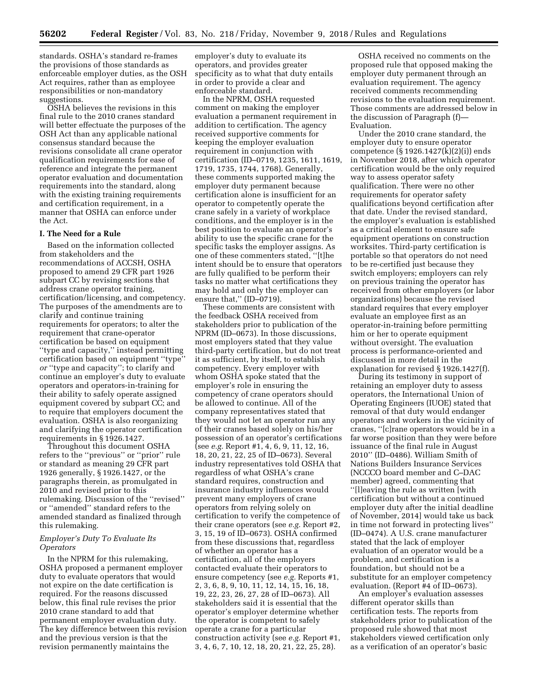standards. OSHA's standard re-frames the provisions of those standards as enforceable employer duties, as the OSH Act requires, rather than as employee responsibilities or non-mandatory suggestions.

OSHA believes the revisions in this final rule to the 2010 cranes standard will better effectuate the purposes of the OSH Act than any applicable national consensus standard because the revisions consolidate all crane operator qualification requirements for ease of reference and integrate the permanent operator evaluation and documentation requirements into the standard, along with the existing training requirements and certification requirement, in a manner that OSHA can enforce under the Act.

### **I. The Need for a Rule**

Based on the information collected from stakeholders and the recommendations of ACCSH, OSHA proposed to amend 29 CFR part 1926 subpart CC by revising sections that address crane operator training, certification/licensing, and competency. The purposes of the amendments are to clarify and continue training requirements for operators; to alter the requirement that crane-operator certification be based on equipment ''type and capacity,'' instead permitting certification based on equipment ''type'' *or* ''type and capacity''; to clarify and continue an employer's duty to evaluate operators and operators-in-training for their ability to safely operate assigned equipment covered by subpart CC; and to require that employers document the evaluation. OSHA is also reorganizing and clarifying the operator certification requirements in § 1926.1427.

Throughout this document OSHA refers to the ''previous'' or ''prior'' rule or standard as meaning 29 CFR part 1926 generally, § 1926.1427, or the paragraphs therein, as promulgated in 2010 and revised prior to this rulemaking. Discussion of the ''revised'' or ''amended'' standard refers to the amended standard as finalized through this rulemaking.

## *Employer's Duty To Evaluate Its Operators*

In the NPRM for this rulemaking, OSHA proposed a permanent employer duty to evaluate operators that would not expire on the date certification is required. For the reasons discussed below, this final rule revises the prior 2010 crane standard to add that permanent employer evaluation duty. The key difference between this revision and the previous version is that the revision permanently maintains the

employer's duty to evaluate its operators, and provides greater specificity as to what that duty entails in order to provide a clear and enforceable standard.

In the NPRM, OSHA requested comment on making the employer evaluation a permanent requirement in addition to certification. The agency received supportive comments for keeping the employer evaluation requirement in conjunction with certification (ID–0719, 1235, 1611, 1619, 1719, 1735, 1744, 1768). Generally, these comments supported making the employer duty permanent because certification alone is insufficient for an operator to competently operate the crane safely in a variety of workplace conditions, and the employer is in the best position to evaluate an operator's ability to use the specific crane for the specific tasks the employer assigns. As one of these commenters stated, ''[t]he intent should be to ensure that operators are fully qualified to be perform their tasks no matter what certifications they may hold and only the employer can ensure that," (ID–0719).

These comments are consistent with the feedback OSHA received from stakeholders prior to publication of the NPRM (ID–0673). In those discussions, most employers stated that they value third-party certification, but do not treat it as sufficient, by itself, to establish competency. Every employer with whom OSHA spoke stated that the employer's role in ensuring the competency of crane operators should be allowed to continue. All of the company representatives stated that they would not let an operator run any of their cranes based solely on his/her possession of an operator's certifications (see *e.g.* Report #1, 4, 6, 9, 11, 12, 16, 18, 20, 21, 22, 25 of ID–0673). Several industry representatives told OSHA that regardless of what OSHA's crane standard requires, construction and insurance industry influences would prevent many employers of crane operators from relying solely on certification to verify the competence of their crane operators (see *e.g.* Report #2, 3, 15, 19 of ID–0673). OSHA confirmed from these discussions that, regardless of whether an operator has a certification, all of the employers contacted evaluate their operators to ensure competency (see *e.g.* Reports #1, 2, 3, 6, 8, 9, 10, 11, 12, 14, 15, 16, 18, 19, 22, 23, 26, 27, 28 of ID–0673). All stakeholders said it is essential that the operator's employer determine whether the operator is competent to safely operate a crane for a particular construction activity (see *e.g.* Report #1, 3, 4, 6, 7, 10, 12, 18, 20, 21, 22, 25, 28).

OSHA received no comments on the proposed rule that opposed making the employer duty permanent through an evaluation requirement. The agency received comments recommending revisions to the evaluation requirement. Those comments are addressed below in the discussion of Paragraph (f)— Evaluation.

Under the 2010 crane standard, the employer duty to ensure operator competence (§ 1926.1427(k)(2)(i)) ends in November 2018, after which operator certification would be the only required way to assess operator safety qualification. There were no other requirements for operator safety qualifications beyond certification after that date. Under the revised standard, the employer's evaluation is established as a critical element to ensure safe equipment operations on construction worksites. Third-party certification is portable so that operators do not need to be re-certified just because they switch employers; employers can rely on previous training the operator has received from other employers (or labor organizations) because the revised standard requires that every employer evaluate an employee first as an operator-in-training before permitting him or her to operate equipment without oversight. The evaluation process is performance-oriented and discussed in more detail in the explanation for revised § 1926.1427(f).

During its testimony in support of retaining an employer duty to assess operators, the International Union of Operating Engineers (IUOE) stated that removal of that duty would endanger operators and workers in the vicinity of cranes, ''[c]rane operators would be in a far worse position than they were before issuance of the final rule in August 2010'' (ID–0486). William Smith of Nations Builders Insurance Services (NCCCO board member and C–DAC member) agreed, commenting that ''[l]eaving the rule as written [with certification but without a continued employer duty after the initial deadline of November, 2014] would take us back in time not forward in protecting lives'' (ID–0474). A U.S. crane manufacturer stated that the lack of employer evaluation of an operator would be a problem, and certification is a foundation, but should not be a substitute for an employer competency evaluation. (Report #4 of ID–0673).

An employer's evaluation assesses different operator skills than certification tests. The reports from stakeholders prior to publication of the proposed rule showed that most stakeholders viewed certification only as a verification of an operator's basic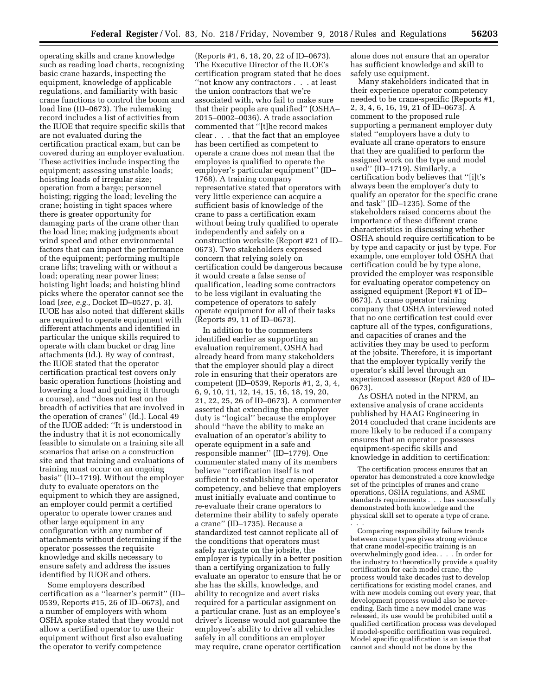operating skills and crane knowledge such as reading load charts, recognizing basic crane hazards, inspecting the equipment, knowledge of applicable regulations, and familiarity with basic crane functions to control the boom and load line (ID–0673). The rulemaking record includes a list of activities from the IUOE that require specific skills that are not evaluated during the certification practical exam, but can be covered during an employer evaluation. These activities include inspecting the equipment; assessing unstable loads; hoisting loads of irregular size; operation from a barge; personnel hoisting; rigging the load; leveling the crane; hoisting in tight spaces where there is greater opportunity for damaging parts of the crane other than the load line; making judgments about wind speed and other environmental factors that can impact the performance of the equipment; performing multiple crane lifts; traveling with or without a load; operating near power lines; hoisting light loads; and hoisting blind picks where the operator cannot see the load (*see, e.g.,* Docket ID–0527, p. 3). IUOE has also noted that different skills are required to operate equipment with different attachments and identified in particular the unique skills required to operate with clam bucket or drag line attachments (Id.). By way of contrast, the IUOE stated that the operator certification practical test covers only basic operation functions (hoisting and lowering a load and guiding it through a course), and ''does not test on the breadth of activities that are involved in the operation of cranes'' (Id.). Local 49 of the IUOE added: ''It is understood in the industry that it is not economically feasible to simulate on a training site all scenarios that arise on a construction site and that training and evaluations of training must occur on an ongoing basis'' (ID–1719). Without the employer duty to evaluate operators on the equipment to which they are assigned, an employer could permit a certified operator to operate tower cranes and other large equipment in any configuration with any number of attachments without determining if the operator possesses the requisite knowledge and skills necessary to ensure safety and address the issues identified by IUOE and others.

Some employers described certification as a ''learner's permit'' (ID– 0539, Reports #15, 26 of ID–0673), and a number of employers with whom OSHA spoke stated that they would not allow a certified operator to use their equipment without first also evaluating the operator to verify competence

(Reports #1, 6, 18, 20, 22 of ID–0673). The Executive Director of the IUOE's certification program stated that he does ''not know any contractors . . . at least the union contractors that we're associated with, who fail to make sure that their people are qualified'' (OSHA– 2015–0002–0036). A trade association commented that ''[t]he record makes clear . . . that the fact that an employee has been certified as competent to operate a crane does not mean that the employee is qualified to operate the employer's particular equipment'' (ID– 1768). A training company representative stated that operators with very little experience can acquire a sufficient basis of knowledge of the crane to pass a certification exam without being truly qualified to operate independently and safely on a construction worksite (Report #21 of ID– 0673). Two stakeholders expressed concern that relying solely on certification could be dangerous because it would create a false sense of qualification, leading some contractors to be less vigilant in evaluating the competence of operators to safely operate equipment for all of their tasks (Reports #9, 11 of ID–0673).

In addition to the commenters identified earlier as supporting an evaluation requirement, OSHA had already heard from many stakeholders that the employer should play a direct role in ensuring that their operators are competent (ID–0539, Reports #1, 2, 3, 4, 6, 9, 10, 11, 12, 14, 15, 16, 18, 19, 20, 21, 22, 25, 26 of ID–0673). A commenter asserted that extending the employer duty is ''logical'' because the employer should ''have the ability to make an evaluation of an operator's ability to operate equipment in a safe and responsible manner'' (ID–1779). One commenter stated many of its members believe ''certification itself is not sufficient to establishing crane operator competency, and believe that employers must initially evaluate and continue to re-evaluate their crane operators to determine their ability to safely operate a crane'' (ID–1735). Because a standardized test cannot replicate all of the conditions that operators must safely navigate on the jobsite, the employer is typically in a better position than a certifying organization to fully evaluate an operator to ensure that he or she has the skills, knowledge, and ability to recognize and avert risks required for a particular assignment on a particular crane. Just as an employee's driver's license would not guarantee the employee's ability to drive all vehicles safely in all conditions an employer may require, crane operator certification

alone does not ensure that an operator has sufficient knowledge and skill to safely use equipment.

Many stakeholders indicated that in their experience operator competency needed to be crane-specific (Reports #1, 2, 3, 4, 6, 16, 19, 21 of ID–0673). A comment to the proposed rule supporting a permanent employer duty stated ''employers have a duty to evaluate all crane operators to ensure that they are qualified to perform the assigned work on the type and model used'' (ID–1719). Similarly, a certification body believes that ''[i]t's always been the employer's duty to qualify an operator for the specific crane and task'' (ID–1235). Some of the stakeholders raised concerns about the importance of these different crane characteristics in discussing whether OSHA should require certification to be by type and capacity or just by type. For example, one employer told OSHA that certification could be by type alone, provided the employer was responsible for evaluating operator competency on assigned equipment (Report #1 of ID– 0673). A crane operator training company that OSHA interviewed noted that no one certification test could ever capture all of the types, configurations, and capacities of cranes and the activities they may be used to perform at the jobsite. Therefore, it is important that the employer typically verify the operator's skill level through an experienced assessor (Report #20 of ID– 0673).

As OSHA noted in the NPRM, an extensive analysis of crane accidents published by HAAG Engineering in 2014 concluded that crane incidents are more likely to be reduced if a company ensures that an operator possesses equipment-specific skills and knowledge in addition to certification:

The certification process ensures that an operator has demonstrated a core knowledge set of the principles of cranes and crane operations, OSHA regulations, and ASME standards requirements . . . has successfully demonstrated both knowledge and the physical skill set to operate a type of crane.

. . .

Comparing responsibility failure trends between crane types gives strong evidence that crane model-specific training is an overwhelmingly good idea. . . . In order for the industry to theoretically provide a quality certification for each model crane, the process would take decades just to develop certifications for existing model cranes, and with new models coming out every year, that development process would also be neverending. Each time a new model crane was released, its use would be prohibited until a qualified certification process was developed if model-specific certification was required. Model specific qualification is an issue that cannot and should not be done by the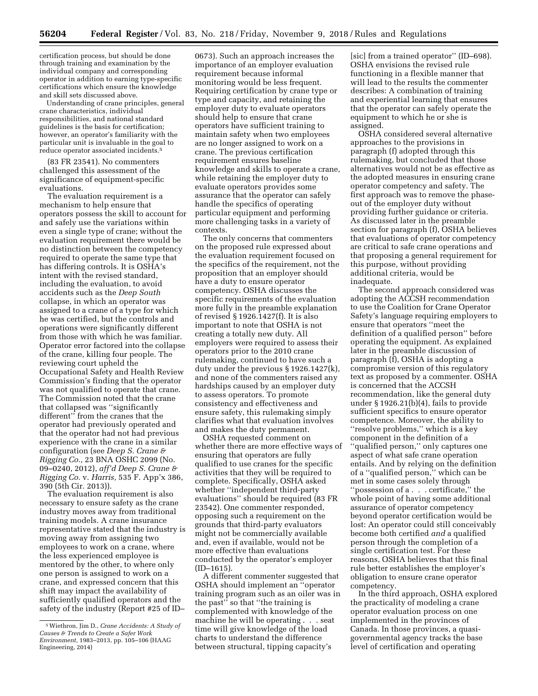certification process, but should be done through training and examination by the individual company and corresponding operator in addition to earning type-specific certifications which ensure the knowledge and skill sets discussed above.

Understanding of crane principles, general crane characteristics, individual responsibilities, and national standard guidelines is the basis for certification; however, an operator's familiarity with the particular unit is invaluable in the goal to reduce operator associated incidents.5

(83 FR 23541). No commenters challenged this assessment of the significance of equipment-specific evaluations.

The evaluation requirement is a mechanism to help ensure that operators possess the skill to account for and safely use the variations within even a single type of crane; without the evaluation requirement there would be no distinction between the competency required to operate the same type that has differing controls. It is OSHA's intent with the revised standard, including the evaluation, to avoid accidents such as the *Deep South*  collapse, in which an operator was assigned to a crane of a type for which he was certified, but the controls and operations were significantly different from those with which he was familiar. Operator error factored into the collapse of the crane, killing four people. The reviewing court upheld the Occupational Safety and Health Review Commission's finding that the operator was not qualified to operate that crane. The Commission noted that the crane that collapsed was ''significantly different'' from the cranes that the operator had previously operated and that the operator had not had previous experience with the crane in a similar configuration (see *Deep S. Crane & Rigging Co.,* 23 BNA OSHC 2099 (No. 09–0240, 2012), *aff'd Deep S. Crane & Rigging Co.* v. *Harris,* 535 F. App'x 386, 390 (5th Cir. 2013)).

The evaluation requirement is also necessary to ensure safety as the crane industry moves away from traditional training models. A crane insurance representative stated that the industry is moving away from assigning two employees to work on a crane, where the less experienced employee is mentored by the other, to where only one person is assigned to work on a crane, and expressed concern that this shift may impact the availability of sufficiently qualified operators and the safety of the industry (Report #25 of ID–

0673). Such an approach increases the importance of an employer evaluation requirement because informal monitoring would be less frequent. Requiring certification by crane type or type and capacity, and retaining the employer duty to evaluate operators should help to ensure that crane operators have sufficient training to maintain safety when two employees are no longer assigned to work on a crane. The previous certification requirement ensures baseline knowledge and skills to operate a crane, while retaining the employer duty to evaluate operators provides some assurance that the operator can safely handle the specifics of operating particular equipment and performing more challenging tasks in a variety of contexts.

The only concerns that commenters on the proposed rule expressed about the evaluation requirement focused on the specifics of the requirement, not the proposition that an employer should have a duty to ensure operator competency. OSHA discusses the specific requirements of the evaluation more fully in the preamble explanation of revised § 1926.1427(f). It is also important to note that OSHA is not creating a totally new duty. All employers were required to assess their operators prior to the 2010 crane rulemaking, continued to have such a duty under the previous § 1926.1427(k), and none of the commenters raised any hardships caused by an employer duty to assess operators. To promote consistency and effectiveness and ensure safety, this rulemaking simply clarifies what that evaluation involves and makes the duty permanent.

OSHA requested comment on whether there are more effective ways of ensuring that operators are fully qualified to use cranes for the specific activities that they will be required to complete. Specifically, OSHA asked whether ''independent third-party evaluations'' should be required (83 FR 23542). One commenter responded, opposing such a requirement on the grounds that third-party evaluators might not be commercially available and, even if available, would not be more effective than evaluations conducted by the operator's employer  $(ID-1615).$ 

A different commenter suggested that OSHA should implement an ''operator training program such as an oiler was in the past'' so that ''the training is complemented with knowledge of the machine he will be operating . . . seat time will give knowledge of the load charts to understand the difference between structural, tipping capacity's

[sic] from a trained operator'' (ID–698). OSHA envisions the revised rule functioning in a flexible manner that will lead to the results the commenter describes: A combination of training and experiential learning that ensures that the operator can safely operate the equipment to which he or she is assigned.

OSHA considered several alternative approaches to the provisions in paragraph (f) adopted through this rulemaking, but concluded that those alternatives would not be as effective as the adopted measures in ensuring crane operator competency and safety. The first approach was to remove the phaseout of the employer duty without providing further guidance or criteria. As discussed later in the preamble section for paragraph (f), OSHA believes that evaluations of operator competency are critical to safe crane operations and that proposing a general requirement for this purpose, without providing additional criteria, would be inadequate.

The second approach considered was adopting the ACCSH recommendation to use the Coalition for Crane Operator Safety's language requiring employers to ensure that operators ''meet the definition of a qualified person'' before operating the equipment. As explained later in the preamble discussion of paragraph (f), OSHA is adopting a compromise version of this regulatory text as proposed by a commenter. OSHA is concerned that the ACCSH recommendation, like the general duty under § 1926.21(b)(4), fails to provide sufficient specifics to ensure operator competence. Moreover, the ability to ''resolve problems,'' which is a key component in the definition of a ''qualified person,'' only captures one aspect of what safe crane operation entails. And by relying on the definition of a ''qualified person,'' which can be met in some cases solely through ''possession of a . . . certificate,'' the whole point of having some additional assurance of operator competency beyond operator certification would be lost: An operator could still conceivably become both certified *and* a qualified person through the completion of a single certification test. For these reasons, OSHA believes that this final rule better establishes the employer's obligation to ensure crane operator competency.

In the third approach, OSHA explored the practicality of modeling a crane operator evaluation process on one implemented in the provinces of Canada. In those provinces, a quasigovernmental agency tracks the base level of certification and operating

<sup>5</sup>Wiethron, Jim D., *Crane Accidents: A Study of Causes & Trends to Create a Safer Work Environment,* 1983–2013, pp. 105–106 (HAAG Engineering, 2014)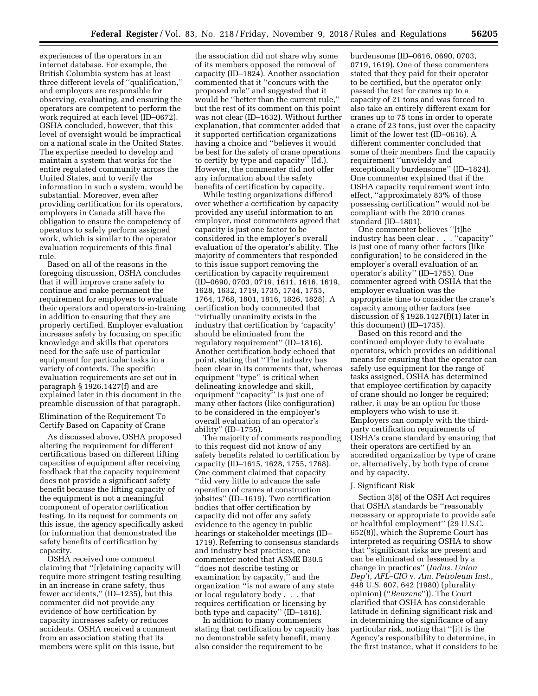experiences of the operators in an internet database. For example, the British Columbia system has at least three different levels of ''qualification,'' and employers are responsible for observing, evaluating, and ensuring the operators are competent to perform the work required at each level (ID–0672). OSHA concluded, however, that this level of oversight would be impractical on a national scale in the United States. The expertise needed to develop and maintain a system that works for the entire regulated community across the United States, and to verify the information in such a system, would be substantial. Moreover, even after providing certification for its operators, employers in Canada still have the obligation to ensure the competency of operators to safely perform assigned work, which is similar to the operator evaluation requirements of this final rule.

Based on all of the reasons in the foregoing discussion, OSHA concludes that it will improve crane safety to continue and make permanent the requirement for employers to evaluate their operators and operators-in-training in addition to ensuring that they are properly certified. Employer evaluation increases safety by focusing on specific knowledge and skills that operators need for the safe use of particular equipment for particular tasks in a variety of contexts. The specific evaluation requirements are set out in paragraph § 1926.1427(f) and are explained later in this document in the preamble discussion of that paragraph.

Elimination of the Requirement To Certify Based on Capacity of Crane

As discussed above, OSHA proposed altering the requirement for different certifications based on different lifting capacities of equipment after receiving feedback that the capacity requirement does not provide a significant safety benefit because the lifting capacity of the equipment is not a meaningful component of operator certification testing. In its request for comments on this issue, the agency specifically asked for information that demonstrated the safety benefits of certification by capacity.

OSHA received one comment claiming that ''[r]etaining capacity will require more stringent testing resulting in an increase in crane safety, thus fewer accidents,'' (ID–1235), but this commenter did not provide any evidence of how certification by capacity increases safety or reduces accidents. OSHA received a comment from an association stating that its members were split on this issue, but

the association did not share why some of its members opposed the removal of capacity (ID–1824). Another association commented that it ''concurs with the proposed rule'' and suggested that it would be ''better than the current rule,'' but the rest of its comment on this point was not clear (ID–1632). Without further explanation, that commenter added that it supported certification organizations having a choice and ''believes it would be best for the safety of crane operations to certify by type and capacity" (Id.). However, the commenter did not offer any information about the safety benefits of certification by capacity.

While testing organizations differed over whether a certification by capacity provided any useful information to an employer, most commenters agreed that capacity is just one factor to be considered in the employer's overall evaluation of the operator's ability. The majority of commenters that responded to this issue support removing the certification by capacity requirement (ID–0690, 0703, 0719, 1611, 1616, 1619, 1628, 1632, 1719, 1735, 1744, 1755, 1764, 1768, 1801, 1816, 1826, 1828). A certification body commented that ''virtually unanimity exists in the industry that certification by 'capacity' should be eliminated from the regulatory requirement'' (ID–1816). Another certification body echoed that point, stating that ''The industry has been clear in its comments that, whereas equipment ''type'' is critical when delineating knowledge and skill, equipment ''capacity'' is just one of many other factors (like configuration) to be considered in the employer's overall evaluation of an operator's ability'' (ID–1755).

The majority of comments responding to this request did not know of any safety benefits related to certification by capacity (ID–1615, 1628, 1755, 1768). One comment claimed that capacity ''did very little to advance the safe operation of cranes at construction jobsites'' (ID–1619). Two certification bodies that offer certification by capacity did not offer any safety evidence to the agency in public hearings or stakeholder meetings (ID– 1719). Referring to consensus standards and industry best practices, one commenter noted that ASME B30.5 ''does not describe testing or examination by capacity,'' and the organization ''is not aware of any state or local regulatory body . . . that requires certification or licensing by both type and capacity'' (ID–1816).

In addition to many commenters stating that certification by capacity has no demonstrable safety benefit, many also consider the requirement to be

burdensome (ID–0616, 0690, 0703, 0719, 1619). One of these commenters stated that they paid for their operator to be certified, but the operator only passed the test for cranes up to a capacity of 21 tons and was forced to also take an entirely different exam for cranes up to 75 tons in order to operate a crane of 23 tons, just over the capacity limit of the lower test (ID–0616). A different commenter concluded that some of their members find the capacity requirement ''unwieldy and exceptionally burdensome'' (ID–1824). One commenter explained that if the OSHA capacity requirement went into effect, ''approximately 83% of those possessing certification'' would not be compliant with the 2010 cranes standard (ID–1801).

One commenter believes ''[t]he industry has been clear . . . ''capacity'' is just one of many other factors (like configuration) to be considered in the employer's overall evaluation of an operator's ability'' (ID–1755). One commenter agreed with OSHA that the employer evaluation was the appropriate time to consider the crane's capacity among other factors (see discussion of § 1926.1427(f)(1) later in this document) (ID–1735).

Based on this record and the continued employer duty to evaluate operators, which provides an additional means for ensuring that the operator can safely use equipment for the range of tasks assigned, OSHA has determined that employee certification by capacity of crane should no longer be required; rather, it may be an option for those employers who wish to use it. Employers can comply with the thirdparty certification requirements of OSHA's crane standard by ensuring that their operators are certified by an accredited organization by type of crane or, alternatively, by both type of crane and by capacity.

#### J. Significant Risk

Section 3(8) of the OSH Act requires that OSHA standards be ''reasonably necessary or appropriate to provide safe or healthful employment'' (29 U.S.C. 652(8)), which the Supreme Court has interpreted as requiring OSHA to show that ''significant risks are present and can be eliminated or lessened by a change in practices'' (*Indus. Union Dep't, AFL–CIO* v. *Am. Petroleum Inst.,*  448 U.S. 607, 642 (1980) (plurality opinion) (''*Benzene*'')). The Court clarified that OSHA has considerable latitude in defining significant risk and in determining the significance of any particular risk, noting that ''[i]t is the Agency's responsibility to determine, in the first instance, what it considers to be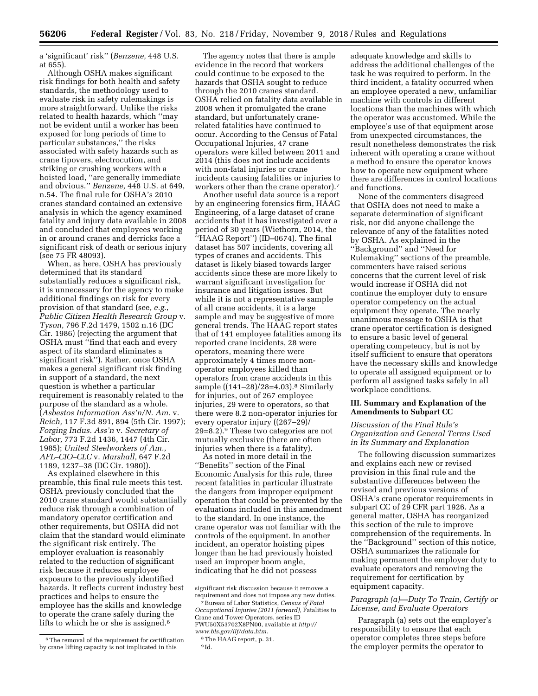a 'significant' risk'' (*Benzene,* 448 U.S. at 655).

Although OSHA makes significant risk findings for both health and safety standards, the methodology used to evaluate risk in safety rulemakings is more straightforward. Unlike the risks related to health hazards, which ''may not be evident until a worker has been exposed for long periods of time to particular substances,'' the risks associated with safety hazards such as crane tipovers, electrocution, and striking or crushing workers with a hoisted load, ''are generally immediate and obvious.'' *Benzene,* 448 U.S. at 649, n.54. The final rule for OSHA's 2010 cranes standard contained an extensive analysis in which the agency examined fatality and injury data available in 2008 and concluded that employees working in or around cranes and derricks face a significant risk of death or serious injury (see 75 FR 48093).

When, as here, OSHA has previously determined that its standard substantially reduces a significant risk, it is unnecessary for the agency to make additional findings on risk for every provision of that standard (see, *e.g.*, *Public Citizen Health Research Group* v. *Tyson,* 796 F.2d 1479, 1502 n.16 (DC Cir. 1986) (rejecting the argument that OSHA must ''find that each and every aspect of its standard eliminates a significant risk''). Rather, once OSHA makes a general significant risk finding in support of a standard, the next question is whether a particular requirement is reasonably related to the purpose of the standard as a whole. (*Asbestos Information Ass'n/N. Am.* v. *Reich,* 117 F.3d 891, 894 (5th Cir. 1997); *Forging Indus. Ass'n* v. *Secretary of Labor,* 773 F.2d 1436, 1447 (4th Cir. 1985); *United Steelworkers of Am., AFL–CIO–CLC* v. *Marshall,* 647 F.2d 1189, 1237–38 (DC Cir. 1980)).

As explained elsewhere in this preamble, this final rule meets this test. OSHA previously concluded that the 2010 crane standard would substantially reduce risk through a combination of mandatory operator certification and other requirements, but OSHA did not claim that the standard would eliminate the significant risk entirely. The employer evaluation is reasonably related to the reduction of significant risk because it reduces employee exposure to the previously identified hazards. It reflects current industry best practices and helps to ensure the employee has the skills and knowledge to operate the crane safely during the lifts to which he or she is assigned.<sup>6</sup>

The agency notes that there is ample evidence in the record that workers could continue to be exposed to the hazards that OSHA sought to reduce through the 2010 cranes standard. OSHA relied on fatality data available in 2008 when it promulgated the crane standard, but unfortunately cranerelated fatalities have continued to occur. According to the Census of Fatal Occupational Injuries, 47 crane operators were killed between 2011 and 2014 (this does not include accidents with non-fatal injuries or crane incidents causing fatalities or injuries to workers other than the crane operator).7

Another useful data source is a report by an engineering forensics firm, HAAG Engineering, of a large dataset of crane accidents that it has investigated over a period of 30 years (Wiethorn, 2014, the ''HAAG Report'') (ID–0674). The final dataset has 507 incidents, covering all types of cranes and accidents. This dataset is likely biased towards larger accidents since these are more likely to warrant significant investigation for insurance and litigation issues. But while it is not a representative sample of all crane accidents, it is a large sample and may be suggestive of more general trends. The HAAG report states that of 141 employee fatalities among its reported crane incidents, 28 were operators, meaning there were approximately 4 times more nonoperator employees killed than operators from crane accidents in this sample ((141–28)/28=4.03).8 Similarly for injuries, out of 267 employee injuries, 29 were to operators, so that there were 8.2 non-operator injuries for every operator injury ((267–29)/ 29=8.2).9 These two categories are not mutually exclusive (there are often injuries when there is a fatality).

As noted in more detail in the ''Benefits'' section of the Final Economic Analysis for this rule, three recent fatalities in particular illustrate the dangers from improper equipment operation that could be prevented by the evaluations included in this amendment to the standard. In one instance, the crane operator was not familiar with the controls of the equipment. In another incident, an operator hoisting pipes longer than he had previously hoisted used an improper boom angle, indicating that he did not possess

7Bureau of Labor Statistics, *Census of Fatal Occupational Injuries (2011 forward),* Fatalities to Crane and Tower Operators, series ID FWU50X53702X8PN00, available at *[http://](http://www.bls.gov/iif/data.htm) [www.bls.gov/iif/data.htm.](http://www.bls.gov/iif/data.htm)* 

adequate knowledge and skills to address the additional challenges of the task he was required to perform. In the third incident, a fatality occurred when an employee operated a new, unfamiliar machine with controls in different locations than the machines with which the operator was accustomed. While the employee's use of that equipment arose from unexpected circumstances, the result nonetheless demonstrates the risk inherent with operating a crane without a method to ensure the operator knows how to operate new equipment where there are differences in control locations and functions.

None of the commenters disagreed that OSHA does not need to make a separate determination of significant risk, nor did anyone challenge the relevance of any of the fatalities noted by OSHA. As explained in the ''Background'' and ''Need for Rulemaking'' sections of the preamble, commenters have raised serious concerns that the current level of risk would increase if OSHA did not continue the employer duty to ensure operator competency on the actual equipment they operate. The nearly unanimous message to OSHA is that crane operator certification is designed to ensure a basic level of general operating competency, but is not by itself sufficient to ensure that operators have the necessary skills and knowledge to operate all assigned equipment or to perform all assigned tasks safely in all workplace conditions.

## **III. Summary and Explanation of the Amendments to Subpart CC**

## *Discussion of the Final Rule's Organization and General Terms Used in Its Summary and Explanation*

The following discussion summarizes and explains each new or revised provision in this final rule and the substantive differences between the revised and previous versions of OSHA's crane operator requirements in subpart CC of 29 CFR part 1926. As a general matter, OSHA has reorganized this section of the rule to improve comprehension of the requirements. In the ''Background'' section of this notice, OSHA summarizes the rationale for making permanent the employer duty to evaluate operators and removing the requirement for certification by equipment capacity.

## *Paragraph (a)—Duty To Train, Certify or License, and Evaluate Operators*

Paragraph (a) sets out the employer's responsibility to ensure that each operator completes three steps before the employer permits the operator to

<sup>&</sup>lt;sup>6</sup>The removal of the requirement for certification by crane lifting capacity is not implicated in this

significant risk discussion because it removes a requirement and does not impose any new duties.

<sup>8</sup>The HAAG report, p. 31.

<sup>9</sup> Id.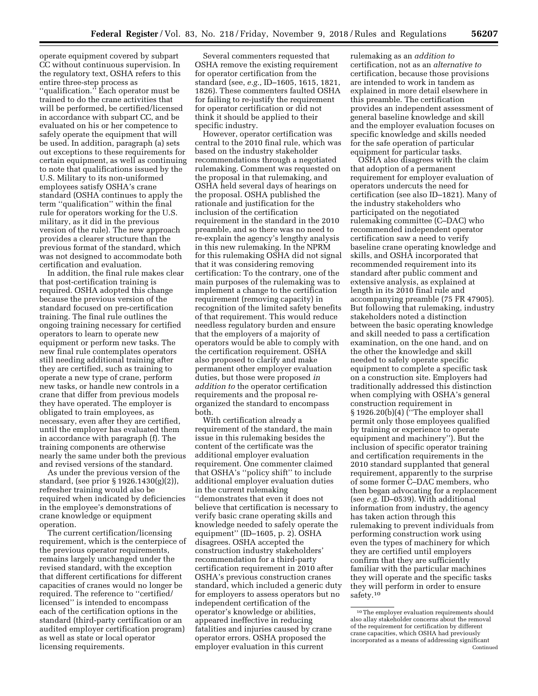operate equipment covered by subpart CC without continuous supervision. In the regulatory text, OSHA refers to this entire three-step process as ''qualification.'' Each operator must be trained to do the crane activities that will be performed, be certified/licensed in accordance with subpart CC, and be evaluated on his or her competence to safely operate the equipment that will be used. In addition, paragraph (a) sets out exceptions to these requirements for certain equipment, as well as continuing to note that qualifications issued by the U.S. Military to its non-uniformed employees satisfy OSHA's crane standard (OSHA continues to apply the term ''qualification'' within the final rule for operators working for the U.S. military, as it did in the previous version of the rule). The new approach provides a clearer structure than the previous format of the standard, which was not designed to accommodate both certification and evaluation.

In addition, the final rule makes clear that post-certification training is required. OSHA adopted this change because the previous version of the standard focused on pre-certification training. The final rule outlines the ongoing training necessary for certified operators to learn to operate new equipment or perform new tasks. The new final rule contemplates operators still needing additional training after they are certified, such as training to operate a new type of crane, perform new tasks, or handle new controls in a crane that differ from previous models they have operated. The employer is obligated to train employees, as necessary, even after they are certified, until the employer has evaluated them in accordance with paragraph (f). The training components are otherwise nearly the same under both the previous and revised versions of the standard.

As under the previous version of the standard, (see prior § 1926.1430(g)(2)), refresher training would also be required when indicated by deficiencies in the employee's demonstrations of crane knowledge or equipment operation.

The current certification/licensing requirement, which is the centerpiece of the previous operator requirements, remains largely unchanged under the revised standard, with the exception that different certifications for different capacities of cranes would no longer be required. The reference to ''certified/ licensed'' is intended to encompass each of the certification options in the standard (third-party certification or an audited employer certification program) as well as state or local operator licensing requirements.

Several commenters requested that OSHA remove the existing requirement for operator certification from the standard (see, *e.g.,* ID–1605, 1615, 1821, 1826). These commenters faulted OSHA for failing to re-justify the requirement for operator certification or did not think it should be applied to their specific industry.

However, operator certification was central to the 2010 final rule, which was based on the industry stakeholder recommendations through a negotiated rulemaking. Comment was requested on the proposal in that rulemaking, and OSHA held several days of hearings on the proposal. OSHA published the rationale and justification for the inclusion of the certification requirement in the standard in the 2010 preamble, and so there was no need to re-explain the agency's lengthy analysis in this new rulemaking. In the NPRM for this rulemaking OSHA did not signal that it was considering removing certification: To the contrary, one of the main purposes of the rulemaking was to implement a change to the certification requirement (removing capacity) in recognition of the limited safety benefits of that requirement. This would reduce needless regulatory burden and ensure that the employers of a majority of operators would be able to comply with the certification requirement. OSHA also proposed to clarify and make permanent other employer evaluation duties, but those were proposed *in addition to* the operator certification requirements and the proposal reorganized the standard to encompass both.

With certification already a requirement of the standard, the main issue in this rulemaking besides the content of the certificate was the additional employer evaluation requirement. One commenter claimed that OSHA's ''policy shift'' to include additional employer evaluation duties in the current rulemaking ''demonstrates that even it does not believe that certification is necessary to verify basic crane operating skills and knowledge needed to safely operate the equipment'' (ID–1605, p. 2). OSHA disagrees. OSHA accepted the construction industry stakeholders' recommendation for a third-party certification requirement in 2010 after OSHA's previous construction cranes standard, which included a generic duty for employers to assess operators but no independent certification of the operator's knowledge or abilities, appeared ineffective in reducing fatalities and injuries caused by crane operator errors. OSHA proposed the employer evaluation in this current

rulemaking as an *addition to*  certification, not as an *alternative to*  certification, because those provisions are intended to work in tandem as explained in more detail elsewhere in this preamble. The certification provides an independent assessment of general baseline knowledge and skill and the employer evaluation focuses on specific knowledge and skills needed for the safe operation of particular equipment for particular tasks.

OSHA also disagrees with the claim that adoption of a permanent requirement for employer evaluation of operators undercuts the need for certification (see also ID–1821). Many of the industry stakeholders who participated on the negotiated rulemaking committee (C–DAC) who recommended independent operator certification saw a need to verify baseline crane operating knowledge and skills, and OSHA incorporated that recommended requirement into its standard after public comment and extensive analysis, as explained at length in its 2010 final rule and accompanying preamble (75 FR 47905). But following that rulemaking, industry stakeholders noted a distinction between the basic operating knowledge and skill needed to pass a certification examination, on the one hand, and on the other the knowledge and skill needed to safely operate specific equipment to complete a specific task on a construction site. Employers had traditionally addressed this distinction when complying with OSHA's general construction requirement in § 1926.20(b)(4) (''The employer shall permit only those employees qualified by training or experience to operate equipment and machinery''). But the inclusion of specific operator training and certification requirements in the 2010 standard supplanted that general requirement, apparently to the surprise of some former C–DAC members, who then began advocating for a replacement (see *e.g.* ID–0539). With additional information from industry, the agency has taken action through this rulemaking to prevent individuals from performing construction work using even the types of machinery for which they are certified until employers confirm that they are sufficiently familiar with the particular machines they will operate and the specific tasks they will perform in order to ensure safety.<sup>10</sup>

<sup>10</sup>The employer evaluation requirements should also allay stakeholder concerns about the removal of the requirement for certification by different crane capacities, which OSHA had previously incorporated as a means of addressing significant Continued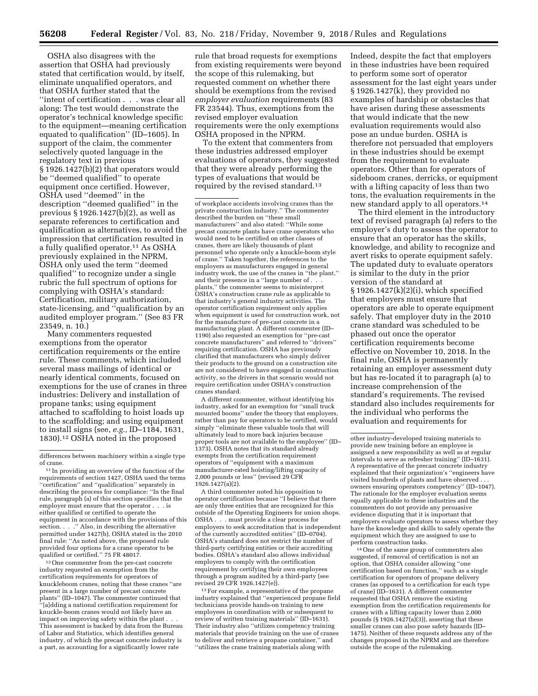OSHA also disagrees with the assertion that OSHA had previously stated that certification would, by itself, eliminate unqualified operators, and that OSHA further stated that the ''intent of certification . . . was clear all along: The test would demonstrate the operator's technical knowledge specific to the equipment—meaning certification equated to qualification'' (ID–1605). In support of the claim, the commenter selectively quoted language in the regulatory text in previous § 1926.1427(b)(2) that operators would be ''deemed qualified'' to operate equipment once certified. However, OSHA used ''deemed'' in the description ''deemed qualified'' in the previous § 1926.1427(b)(2), as well as separate references to certification and qualification as alternatives, to avoid the impression that certification resulted in a fully qualified operator.11 As OSHA previously explained in the NPRM, OSHA only used the term ''deemed qualified'' to recognize under a single rubric the full spectrum of options for complying with OSHA's standard: Certification, military authorization, state-licensing, and ''qualification by an audited employer program.'' (See 83 FR 23549, n. 10.)

Many commenters requested exemptions from the operator certification requirements or the entire rule. These comments, which included several mass mailings of identical or nearly identical comments, focused on exemptions for the use of cranes in three industries: Delivery and installation of propane tanks; using equipment attached to scaffolding to hoist loads up to the scaffolding; and using equipment to install signs (see, *e.g.,* ID–1184, 1631, 1830).12 OSHA noted in the proposed

12One commenter from the pre-cast concrete industry requested an exemption from the certification requirements for operators of knuckleboom cranes, noting that these cranes ''are present in a large number of precast concrete plants'' (ID–1047). The commenter continued that ''[a]dding a national certification requirement for knuckle-boom cranes would not likely have an impact on improving safety within the plant . . . This assessment is backed by data from the Bureau of Labor and Statistics, which identifies general industry, of which the precast concrete industry is a part, as accounting for a significantly lower rate

rule that broad requests for exemptions from existing requirements were beyond the scope of this rulemaking, but requested comment on whether there should be exemptions from the revised *employer evaluation* requirements (83 FR 23544). Thus, exemptions from the revised employer evaluation requirements were the only exemptions OSHA proposed in the NPRM.

To the extent that commenters from these industries addressed employer evaluations of operators, they suggested that they were already performing the types of evaluations that would be required by the revised standard.13

A different commenter, without identifying his industry, asked for an exemption for ''small truck mounted booms'' under the theory that employers, rather than pay for operators to be certified, would simply ''eliminate these valuable tools that will ultimately lead to more back injuries because proper tools are not available to the employee'' (ID– 1373). OSHA notes that its standard already exempts from the certification requirement operators of ''equipment with a maximum manufacturer-rated hoisting/lifting capacity of 2,000 pounds or less'' (revised 29 CFR 1926.1427(a)(2).

A third commenter noted his opposition to operator certification because ''I believe that there are only three entities that are recognized for this outside of the Operating Engineers for union shops. OSHA . . . must provide a clear process for employers to seek accreditation that is independent of the currently accredited entities'' (ID–0704). OSHA's standard does not restrict the number of third-party certifying entities or their accrediting bodies. OSHA's standard also allows individual employers to comply with the certification requirement by certifying their own employees through a program audited by a third-party (see revised 29 CFR 1926.1427(e)).

13For example, a representative of the propane industry explained that ''experienced propane field technicians provide hands-on training to new employees in coordination with or subsequent to review of written training materials'' (ID–1631). Their industry also ''utilizes competency training materials that provide training on the use of cranes to deliver and retrieve a propane container,'' and ''utilizes the crane training materials along with

Indeed, despite the fact that employers in these industries have been required to perform some sort of operator assessment for the last eight years under § 1926.1427(k), they provided no examples of hardship or obstacles that have arisen during these assessments that would indicate that the new evaluation requirements would also pose an undue burden. OSHA is therefore not persuaded that employers in these industries should be exempt from the requirement to evaluate operators. Other than for operators of sideboom cranes, derricks, or equipment with a lifting capacity of less than two tons, the evaluation requirements in the new standard apply to all operators.14

The third element in the introductory text of revised paragraph (a) refers to the employer's duty to assess the operator to ensure that an operator has the skills, knowledge, and ability to recognize and avert risks to operate equipment safely. The updated duty to evaluate operators is similar to the duty in the prior version of the standard at § 1926.1427(k)(2)(i), which specified that employers must ensure that operators are able to operate equipment safely. That employer duty in the 2010 crane standard was scheduled to be phased out once the operator certification requirements become effective on November 10, 2018. In the final rule, OSHA is permanently retaining an employer assessment duty but has re-located it to paragraph (a) to increase comprehension of the standard's requirements. The revised standard also includes requirements for the individual who performs the evaluation and requirements for

14One of the same group of commenters also suggested, if removal of certification is not an option, that OSHA consider allowing ''one certification based on function,'' such as a single certification for operators of propane delivery cranes (as opposed to a certification for each type of crane) (ID–1631). A different commenter requested that OSHA remove the existing exemption from the certification requirements for cranes with a lifting capacity lower than 2,000 pounds (§ 1926.1427(a)(3)), asserting that these smaller cranes can also pose safety hazards (ID– 1475). Neither of these requests address any of the changes proposed in the NPRM and are therefore outside the scope of the rulemaking.

differences between machinery within a single type of crane.

<sup>&</sup>lt;sup>11</sup> In providing an overview of the function of the requirements of section 1427, OSHA used the terms ''certification'' and ''qualification'' separately in describing the process for compliance: ''In the final rule, paragraph (a) of this section specifies that the employer must ensure that the operator . . . is either qualified or certified to operate the equipment in accordance with the provisions of this section. . . .'' Also, in describing the alternative permitted under 1427(b), OSHA stated in the 2010 final rule: ''As noted above, the proposed rule provided four options for a crane operator to be qualified or certified.'' 75 FR 48017.

of workplace accidents involving cranes than the private construction industry.'' The commenter described the burden on ''these small manufacturers'' and also stated: ''While some precast concrete plants have crane operators who would need to be certified on other classes of cranes, there are likely thousands of plant personnel who operate only a knuckle-boom style of crane.'' Taken together, the references to the employers as manufacturers engaged in general industry work, the use of the cranes in ''the plant,'' and their presence in a ''large number of . . . plants,'' the commenter seems to misinterpret OSHA's construction crane rule as applicable to that industry's general industry activities. The operator certification requirement only applies when equipment is used for construction work, not for the manufacture of pre-cast concrete in a manufacturing plant. A different commenter (ID– 1190) also requested an exemption for ''pre-cast concrete manufacturers'' and referred to ''drivers'' requiring certification. OSHA has previously clarified that manufacturers who simply deliver their products to the ground on a construction site are not considered to have engaged in construction activity, so the drivers in that scenario would not require certification under OSHA's construction cranes standard.

other industry-developed training materials to provide new training before an employee is assigned a new responsibility as well as at regular intervals to serve as refresher training'' (ID–1631). A representative of the precast concrete industry explained that their organization's ''engineers have visited hundreds of plants and have observed . . . owners ensuring operators competency'' (ID–1047). The rationale for the employer evaluation seems equally applicable to these industries and the commenters do not provide any persuasive evidence disputing that it is important that employers evaluate operators to assess whether they have the knowledge and skills to safely operate the equipment which they are assigned to use to perform construction tasks.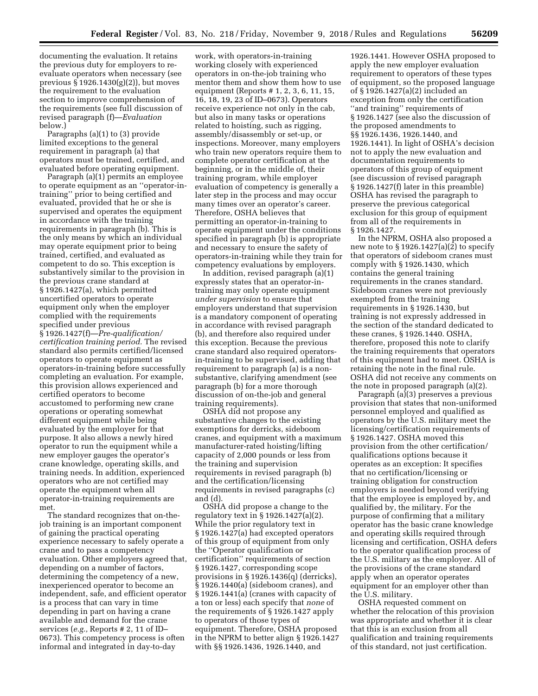documenting the evaluation. It retains the previous duty for employers to reevaluate operators when necessary (see previous § 1926.1430(g)(2)), but moves the requirement to the evaluation section to improve comprehension of the requirements (see full discussion of revised paragraph (f)—*Evaluation*  below.)

Paragraphs (a)(1) to (3) provide limited exceptions to the general requirement in paragraph (a) that operators must be trained, certified, and evaluated before operating equipment.

Paragraph (a)(1) permits an employee to operate equipment as an ''operator-intraining'' prior to being certified and evaluated, provided that he or she is supervised and operates the equipment in accordance with the training requirements in paragraph (b). This is the only means by which an individual may operate equipment prior to being trained, certified, and evaluated as competent to do so. This exception is substantively similar to the provision in the previous crane standard at § 1926.1427(a), which permitted uncertified operators to operate equipment only when the employer complied with the requirements specified under previous § 1926.1427(f)—*Pre-qualification/ certification training period.* The revised standard also permits certified/licensed operators to operate equipment as operators-in-training before successfully completing an evaluation. For example, this provision allows experienced and certified operators to become accustomed to performing new crane operations or operating somewhat different equipment while being evaluated by the employer for that purpose. It also allows a newly hired operator to run the equipment while a new employer gauges the operator's crane knowledge, operating skills, and training needs. In addition, experienced operators who are not certified may operate the equipment when all operator-in-training requirements are met.

The standard recognizes that on-thejob training is an important component of gaining the practical operating experience necessary to safely operate a crane and to pass a competency evaluation. Other employers agreed that, depending on a number of factors, determining the competency of a new, inexperienced operator to become an independent, safe, and efficient operator is a process that can vary in time depending in part on having a crane available and demand for the crane services (*e.g.,* Reports # 2, 11 of ID– 0673). This competency process is often informal and integrated in day-to-day

work, with operators-in-training working closely with experienced operators in on-the-job training who mentor them and show them how to use equipment (Reports # 1, 2, 3, 6, 11, 15, 16, 18, 19, 23 of ID–0673). Operators receive experience not only in the cab, but also in many tasks or operations related to hoisting, such as rigging, assembly/disassembly or set-up, or inspections. Moreover, many employers who train new operators require them to complete operator certification at the beginning, or in the middle of, their training program, while employer evaluation of competency is generally a later step in the process and may occur many times over an operator's career. Therefore, OSHA believes that permitting an operator-in-training to operate equipment under the conditions specified in paragraph (b) is appropriate and necessary to ensure the safety of operators-in-training while they train for competency evaluations by employers.

In addition, revised paragraph (a)(1) expressly states that an operator-intraining may only operate equipment *under supervision* to ensure that employers understand that supervision is a mandatory component of operating in accordance with revised paragraph (b), and therefore also required under this exception. Because the previous crane standard also required operatorsin-training to be supervised, adding that requirement to paragraph (a) is a nonsubstantive, clarifying amendment (see paragraph (b) for a more thorough discussion of on-the-job and general training requirements).

OSHA did not propose any substantive changes to the existing exemptions for derricks, sideboom cranes, and equipment with a maximum manufacturer-rated hoisting/lifting capacity of 2,000 pounds or less from the training and supervision requirements in revised paragraph (b) and the certification/licensing requirements in revised paragraphs (c) and (d).

OSHA did propose a change to the regulatory text in § 1926.1427(a)(2). While the prior regulatory text in § 1926.1427(a) had excepted operators of this group of equipment from only the ''Operator qualification or certification'' requirements of section § 1926.1427, corresponding scope provisions in § 1926.1436(q) (derricks), § 1926.1440(a) (sideboom cranes), and § 1926.1441(a) (cranes with capacity of a ton or less) each specify that *none* of the requirements of § 1926.1427 apply to operators of those types of equipment. Therefore, OSHA proposed in the NPRM to better align § 1926.1427 with §§ 1926.1436, 1926.1440, and

1926.1441. However OSHA proposed to apply the new employer evaluation requirement to operators of these types of equipment, so the proposed language of § 1926.1427(a)(2) included an exception from only the certification ''and training'' requirements of § 1926.1427 (see also the discussion of the proposed amendments to §§ 1926.1436, 1926.1440, and 1926.1441). In light of OSHA's decision not to apply the new evaluation and documentation requirements to operators of this group of equipment (see discussion of revised paragraph § 1926.1427(f) later in this preamble) OSHA has revised the paragraph to preserve the previous categorical exclusion for this group of equipment from all of the requirements in § 1926.1427.

In the NPRM, OSHA also proposed a new note to § 1926.1427(a)(2) to specify that operators of sideboom cranes must comply with § 1926.1430, which contains the general training requirements in the cranes standard. Sideboom cranes were not previously exempted from the training requirements in § 1926.1430, but training is not expressly addressed in the section of the standard dedicated to these cranes, § 1926.1440. OSHA, therefore, proposed this note to clarify the training requirements that operators of this equipment had to meet. OSHA is retaining the note in the final rule. OSHA did not receive any comments on the note in proposed paragraph (a)(2).

Paragraph (a)(3) preserves a previous provision that states that non-uniformed personnel employed and qualified as operators by the U.S. military meet the licensing/certification requirements of § 1926.1427. OSHA moved this provision from the other certification/ qualifications options because it operates as an exception: It specifies that no certification/licensing or training obligation for construction employers is needed beyond verifying that the employee is employed by, and qualified by, the military. For the purpose of confirming that a military operator has the basic crane knowledge and operating skills required through licensing and certification, OSHA defers to the operator qualification process of the U.S. military as the employer. All of the provisions of the crane standard apply when an operator operates equipment for an employer other than the U.S. military.

OSHA requested comment on whether the relocation of this provision was appropriate and whether it is clear that this is an exclusion from all qualification and training requirements of this standard, not just certification.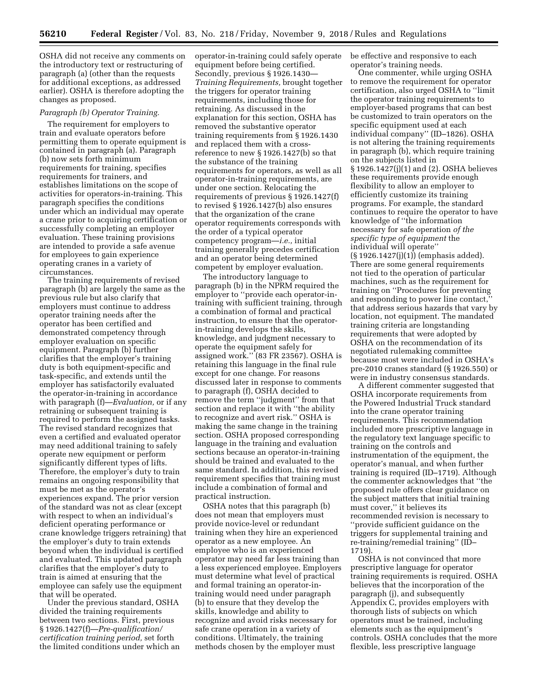OSHA did not receive any comments on the introductory text or restructuring of paragraph (a) (other than the requests for additional exceptions, as addressed earlier). OSHA is therefore adopting the changes as proposed.

#### *Paragraph (b) Operator Training.*

The requirement for employers to train and evaluate operators before permitting them to operate equipment is contained in paragraph (a). Paragraph (b) now sets forth minimum requirements for training, specifies requirements for trainers, and establishes limitations on the scope of activities for operators-in-training. This paragraph specifies the conditions under which an individual may operate a crane prior to acquiring certification or successfully completing an employer evaluation. These training provisions are intended to provide a safe avenue for employees to gain experience operating cranes in a variety of circumstances.

The training requirements of revised paragraph (b) are largely the same as the previous rule but also clarify that employers must continue to address operator training needs after the operator has been certified and demonstrated competency through employer evaluation on specific equipment. Paragraph (b) further clarifies that the employer's training duty is both equipment-specific and task-specific, and extends until the employer has satisfactorily evaluated the operator-in-training in accordance with paragraph (f)—*Evaluation,* or if any retraining or subsequent training is required to perform the assigned tasks. The revised standard recognizes that even a certified and evaluated operator may need additional training to safely operate new equipment or perform significantly different types of lifts. Therefore, the employer's duty to train remains an ongoing responsibility that must be met as the operator's experiences expand. The prior version of the standard was not as clear (except with respect to when an individual's deficient operating performance or crane knowledge triggers retraining) that the employer's duty to train extends beyond when the individual is certified and evaluated. This updated paragraph clarifies that the employer's duty to train is aimed at ensuring that the employee can safely use the equipment that will be operated.

Under the previous standard, OSHA divided the training requirements between two sections. First, previous § 1926.1427(f)—*Pre-qualification/ certification training period,* set forth the limited conditions under which an operator-in-training could safely operate equipment before being certified. Secondly, previous § 1926.1430— *Training Requirements,* brought together the triggers for operator training requirements, including those for retraining. As discussed in the explanation for this section, OSHA has removed the substantive operator training requirements from § 1926.1430 and replaced them with a crossreference to new § 1926.1427(b) so that the substance of the training requirements for operators, as well as all operator-in-training requirements, are under one section. Relocating the requirements of previous § 1926.1427(f) to revised § 1926.1427(b) also ensures that the organization of the crane operator requirements corresponds with the order of a typical operator competency program—*i.e.,* initial training generally precedes certification and an operator being determined competent by employer evaluation.

The introductory language to paragraph (b) in the NPRM required the employer to ''provide each operator-intraining with sufficient training, through a combination of formal and practical instruction, to ensure that the operatorin-training develops the skills, knowledge, and judgment necessary to operate the equipment safely for assigned work.'' (83 FR 23567). OSHA is retaining this language in the final rule except for one change. For reasons discussed later in response to comments to paragraph (f), OSHA decided to remove the term ''judgment'' from that section and replace it with ''the ability to recognize and avert risk.'' OSHA is making the same change in the training section. OSHA proposed corresponding language in the training and evaluation sections because an operator-in-training should be trained and evaluated to the same standard. In addition, this revised requirement specifies that training must include a combination of formal and practical instruction.

OSHA notes that this paragraph (b) does not mean that employers must provide novice-level or redundant training when they hire an experienced operator as a new employee. An employee who is an experienced operator may need far less training than a less experienced employee. Employers must determine what level of practical and formal training an operator-intraining would need under paragraph (b) to ensure that they develop the skills, knowledge and ability to recognize and avoid risks necessary for safe crane operation in a variety of conditions. Ultimately, the training methods chosen by the employer must

be effective and responsive to each operator's training needs.

One commenter, while urging OSHA to remove the requirement for operator certification, also urged OSHA to ''limit the operator training requirements to employer-based programs that can best be customized to train operators on the specific equipment used at each individual company'' (ID–1826). OSHA is not altering the training requirements in paragraph (b), which require training on the subjects listed in § 1926.1427(j)(1) and (2). OSHA believes these requirements provide enough flexibility to allow an employer to efficiently customize its training programs. For example, the standard continues to require the operator to have knowledge of ''the information necessary for safe operation *of the specific type of equipment* the individual will operate'' (§ 1926.1427(j)(1)) (emphasis added). There are some general requirements not tied to the operation of particular machines, such as the requirement for training on ''Procedures for preventing and responding to power line contact,'' that address serious hazards that vary by location, not equipment. The mandated training criteria are longstanding requirements that were adopted by OSHA on the recommendation of its negotiated rulemaking committee because most were included in OSHA's pre-2010 cranes standard (§ 1926.550) or were in industry consensus standards.

A different commenter suggested that OSHA incorporate requirements from the Powered Industrial Truck standard into the crane operator training requirements. This recommendation included more prescriptive language in the regulatory text language specific to training on the controls and instrumentation of the equipment, the operator's manual, and when further training is required (ID–1719). Although the commenter acknowledges that ''the proposed rule offers clear guidance on the subject matters that initial training must cover,'' it believes its recommended revision is necessary to ''provide sufficient guidance on the triggers for supplemental training and re-training/remedial training'' (ID– 1719).

OSHA is not convinced that more prescriptive language for operator training requirements is required. OSHA believes that the incorporation of the paragraph (j), and subsequently Appendix C, provides employers with thorough lists of subjects on which operators must be trained, including elements such as the equipment's controls. OSHA concludes that the more flexible, less prescriptive language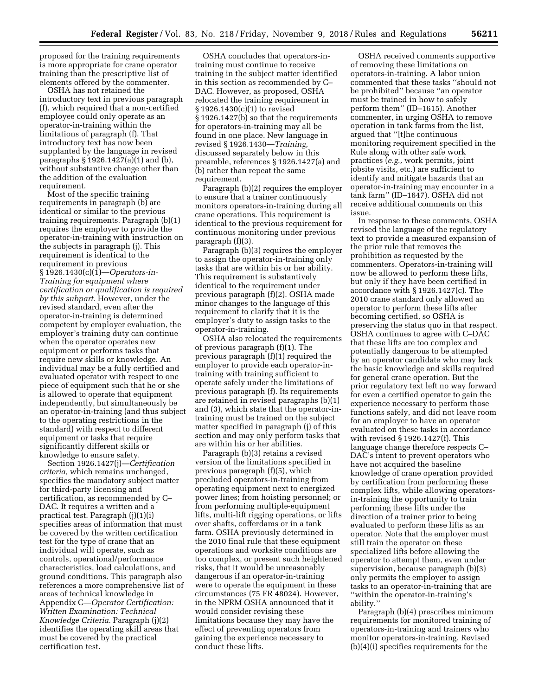proposed for the training requirements is more appropriate for crane operator training than the prescriptive list of elements offered by the commenter.

OSHA has not retained the introductory text in previous paragraph (f), which required that a non-certified employee could only operate as an operator-in-training within the limitations of paragraph (f). That introductory text has now been supplanted by the language in revised paragraphs § 1926.1427(a)(1) and (b), without substantive change other than the addition of the evaluation requirement.

Most of the specific training requirements in paragraph (b) are identical or similar to the previous training requirements. Paragraph (b)(1) requires the employer to provide the operator-in-training with instruction on the subjects in paragraph (j). This requirement is identical to the requirement in previous § 1926.1430(c)(1)—*Operators-in-Training for equipment where certification or qualification is required by this subpart.* However, under the revised standard, even after the operator-in-training is determined competent by employer evaluation, the employer's training duty can continue when the operator operates new equipment or performs tasks that require new skills or knowledge. An individual may be a fully certified and evaluated operator with respect to one piece of equipment such that he or she is allowed to operate that equipment independently, but simultaneously be an operator-in-training (and thus subject to the operating restrictions in the standard) with respect to different equipment or tasks that require significantly different skills or knowledge to ensure safety.

Section 1926.1427(j)—*Certification criteria,* which remains unchanged, specifies the mandatory subject matter for third-party licensing and certification, as recommended by C– DAC. It requires a written and a practical test. Paragraph (j)(1)(i) specifies areas of information that must be covered by the written certification test for the type of crane that an individual will operate, such as controls, operational/performance characteristics, load calculations, and ground conditions. This paragraph also references a more comprehensive list of areas of technical knowledge in Appendix C—*Operator Certification: Written Examination: Technical Knowledge Criteria.* Paragraph (j)(2) identifies the operating skill areas that must be covered by the practical certification test.

OSHA concludes that operators-intraining must continue to receive training in the subject matter identified in this section as recommended by C– DAC. However, as proposed, OSHA relocated the training requirement in § 1926.1430(c)(1) to revised § 1926.1427(b) so that the requirements for operators-in-training may all be found in one place. New language in revised § 1926.1430—*Training,*  discussed separately below in this preamble, references § 1926.1427(a) and (b) rather than repeat the same requirement.

Paragraph (b)(2) requires the employer to ensure that a trainer continuously monitors operators-in-training during all crane operations. This requirement is identical to the previous requirement for continuous monitoring under previous paragraph (f)(3).

Paragraph (b)(3) requires the employer to assign the operator-in-training only tasks that are within his or her ability. This requirement is substantively identical to the requirement under previous paragraph (f)(2). OSHA made minor changes to the language of this requirement to clarify that it is the employer's duty to assign tasks to the operator-in-training.

OSHA also relocated the requirements of previous paragraph (f)(1). The previous paragraph (f)(1) required the employer to provide each operator-intraining with training sufficient to operate safely under the limitations of previous paragraph (f). Its requirements are retained in revised paragraphs (b)(1) and (3), which state that the operator-intraining must be trained on the subject matter specified in paragraph (j) of this section and may only perform tasks that are within his or her abilities.

Paragraph (b)(3) retains a revised version of the limitations specified in previous paragraph (f)(5), which precluded operators-in-training from operating equipment next to energized power lines; from hoisting personnel; or from performing multiple-equipment lifts, multi-lift rigging operations, or lifts over shafts, cofferdams or in a tank farm. OSHA previously determined in the 2010 final rule that these equipment operations and worksite conditions are too complex, or present such heightened risks, that it would be unreasonably dangerous if an operator-in-training were to operate the equipment in these circumstances (75 FR 48024). However, in the NPRM OSHA announced that it would consider revising these limitations because they may have the effect of preventing operators from gaining the experience necessary to conduct these lifts.

OSHA received comments supportive of removing these limitations on operators-in-training. A labor union commented that these tasks ''should not be prohibited'' because ''an operator must be trained in how to safely perform them'' (ID–1615). Another commenter, in urging OSHA to remove operation in tank farms from the list, argued that ''[t]he continuous monitoring requirement specified in the Rule along with other safe work practices (*e.g.,* work permits, joint jobsite visits, etc.) are sufficient to identify and mitigate hazards that an operator-in-training may encounter in a tank farm'' (ID–1647). OSHA did not receive additional comments on this issue.

In response to these comments, OSHA revised the language of the regulatory text to provide a measured expansion of the prior rule that removes the prohibition as requested by the commenters. Operators-in-training will now be allowed to perform these lifts, but only if they have been certified in accordance with § 1926.1427(c). The 2010 crane standard only allowed an operator to perform these lifts after becoming certified, so OSHA is preserving the status quo in that respect. OSHA continues to agree with C–DAC that these lifts are too complex and potentially dangerous to be attempted by an operator candidate who may lack the basic knowledge and skills required for general crane operation. But the prior regulatory text left no way forward for even a certified operator to gain the experience necessary to perform those functions safely, and did not leave room for an employer to have an operator evaluated on these tasks in accordance with revised § 1926.1427(f). This language change therefore respects C– DAC's intent to prevent operators who have not acquired the baseline knowledge of crane operation provided by certification from performing these complex lifts, while allowing operatorsin-training the opportunity to train performing these lifts under the direction of a trainer prior to being evaluated to perform these lifts as an operator. Note that the employer must still train the operator on these specialized lifts before allowing the operator to attempt them, even under supervision, because paragraph (b)(3) only permits the employer to assign tasks to an operator-in-training that are ''within the operator-in-training's ability.''

Paragraph (b)(4) prescribes minimum requirements for monitored training of operators-in-training and trainers who monitor operators-in-training. Revised (b)(4)(i) specifies requirements for the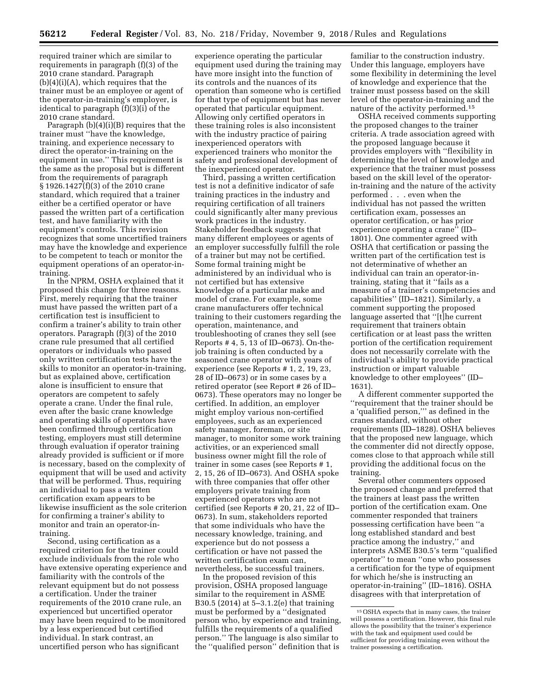required trainer which are similar to requirements in paragraph (f)(3) of the 2010 crane standard. Paragraph  $(b)(4)(i)(A)$ , which requires that the trainer must be an employee or agent of the operator-in-training's employer, is identical to paragraph (f)(3)(i) of the 2010 crane standard.

Paragraph (b)(4)(i)(B) requires that the trainer must ''have the knowledge, training, and experience necessary to direct the operator-in-training on the equipment in use.'' This requirement is the same as the proposal but is different from the requirements of paragraph § 1926.1427(f)(3) of the 2010 crane standard, which required that a trainer either be a certified operator or have passed the written part of a certification test, and have familiarity with the equipment's controls. This revision recognizes that some uncertified trainers may have the knowledge and experience to be competent to teach or monitor the equipment operations of an operator-intraining.

In the NPRM, OSHA explained that it proposed this change for three reasons. First, merely requiring that the trainer must have passed the written part of a certification test is insufficient to confirm a trainer's ability to train other operators. Paragraph (f)(3) of the 2010 crane rule presumed that all certified operators or individuals who passed only written certification tests have the skills to monitor an operator-in-training, but as explained above, certification alone is insufficient to ensure that operators are competent to safely operate a crane. Under the final rule, even after the basic crane knowledge and operating skills of operators have been confirmed through certification testing, employers must still determine through evaluation if operator training already provided is sufficient or if more is necessary, based on the complexity of equipment that will be used and activity that will be performed. Thus, requiring an individual to pass a written certification exam appears to be likewise insufficient as the sole criterion for confirming a trainer's ability to monitor and train an operator-intraining.

Second, using certification as a required criterion for the trainer could exclude individuals from the role who have extensive operating experience and familiarity with the controls of the relevant equipment but do not possess a certification. Under the trainer requirements of the 2010 crane rule, an experienced but uncertified operator may have been required to be monitored by a less experienced but certified individual. In stark contrast, an uncertified person who has significant

experience operating the particular equipment used during the training may have more insight into the function of its controls and the nuances of its operation than someone who is certified for that type of equipment but has never operated that particular equipment. Allowing only certified operators in these training roles is also inconsistent with the industry practice of pairing inexperienced operators with experienced trainers who monitor the safety and professional development of the inexperienced operator.

Third, passing a written certification test is not a definitive indicator of safe training practices in the industry and requiring certification of all trainers could significantly alter many previous work practices in the industry. Stakeholder feedback suggests that many different employees or agents of an employer successfully fulfill the role of a trainer but may not be certified. Some formal training might be administered by an individual who is not certified but has extensive knowledge of a particular make and model of crane. For example, some crane manufacturers offer technical training to their customers regarding the operation, maintenance, and troubleshooting of cranes they sell (see Reports # 4, 5, 13 of ID–0673). On-thejob training is often conducted by a seasoned crane operator with years of experience (see Reports # 1, 2, 19, 23, 28 of ID–0673) or in some cases by a retired operator (see Report # 26 of ID– 0673). These operators may no longer be certified. In addition, an employer might employ various non-certified employees, such as an experienced safety manager, foreman, or site manager, to monitor some work training activities, or an experienced small business owner might fill the role of trainer in some cases (see Reports # 1, 2, 15, 26 of ID–0673). And OSHA spoke with three companies that offer other employers private training from experienced operators who are not certified (see Reports # 20, 21, 22 of ID– 0673). In sum, stakeholders reported that some individuals who have the necessary knowledge, training, and experience but do not possess a certification or have not passed the written certification exam can, nevertheless, be successful trainers.

In the proposed revision of this provision, OSHA proposed language similar to the requirement in ASME B30.5 (2014) at 5–3.1.2(e) that training must be performed by a ''designated person who, by experience and training, fulfills the requirements of a qualified person.'' The language is also similar to the ''qualified person'' definition that is

familiar to the construction industry. Under this language, employers have some flexibility in determining the level of knowledge and experience that the trainer must possess based on the skill level of the operator-in-training and the nature of the activity performed.15

OSHA received comments supporting the proposed changes to the trainer criteria. A trade association agreed with the proposed language because it provides employers with ''flexibility in determining the level of knowledge and experience that the trainer must possess based on the skill level of the operatorin-training and the nature of the activity performed . . . even when the individual has not passed the written certification exam, possesses an operator certification, or has prior experience operating a crane'' (ID– 1801). One commenter agreed with OSHA that certification or passing the written part of the certification test is not determinative of whether an individual can train an operator-intraining, stating that it ''fails as a measure of a trainer's competencies and capabilities'' (ID–1821). Similarly, a comment supporting the proposed language asserted that ''[t]he current requirement that trainers obtain certification or at least pass the written portion of the certification requirement does not necessarily correlate with the individual's ability to provide practical instruction or impart valuable knowledge to other employees'' (ID– 1631).

A different commenter supported the ''requirement that the trainer should be a 'qualified person,''' as defined in the cranes standard, without other requirements (ID–1828). OSHA believes that the proposed new language, which the commenter did not directly oppose, comes close to that approach while still providing the additional focus on the training.

Several other commenters opposed the proposed change and preferred that the trainers at least pass the written portion of the certification exam. One commenter responded that trainers possessing certification have been ''a long established standard and best practice among the industry,'' and interprets ASME B30.5's term ''qualified operator'' to mean ''one who possesses a certification for the type of equipment for which he/she is instructing an operator-in-training'' (ID–1816). OSHA disagrees with that interpretation of

<sup>15</sup>OSHA expects that in many cases, the trainer will possess a certification. However, this final rule allows the possibility that the trainer's experience with the task and equipment used could be sufficient for providing training even without the trainer possessing a certification.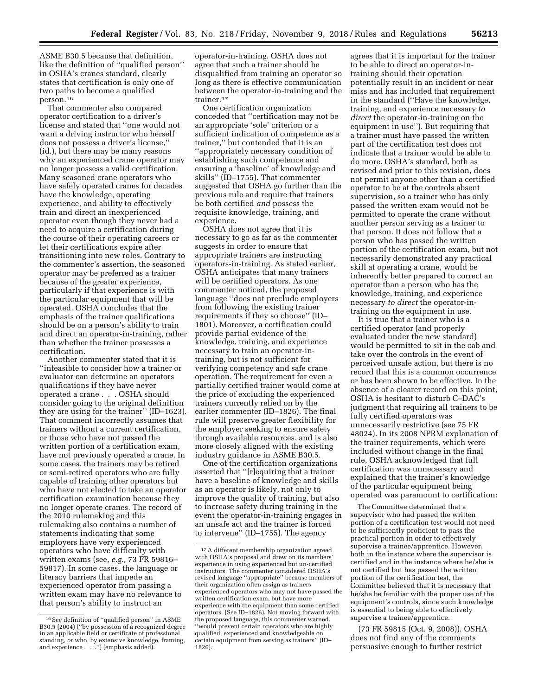ASME B30.5 because that definition, like the definition of ''qualified person'' in OSHA's cranes standard, clearly states that certification is only one of two paths to become a qualified person.16

That commenter also compared operator certification to a driver's license and stated that ''one would not want a driving instructor who herself does not possess a driver's license,'' (id.), but there may be many reasons why an experienced crane operator may no longer possess a valid certification. Many seasoned crane operators who have safely operated cranes for decades have the knowledge, operating experience, and ability to effectively train and direct an inexperienced operator even though they never had a need to acquire a certification during the course of their operating careers or let their certifications expire after transitioning into new roles. Contrary to the commenter's assertion, the seasoned operator may be preferred as a trainer because of the greater experience, particularly if that experience is with the particular equipment that will be operated. OSHA concludes that the emphasis of the trainer qualifications should be on a person's ability to train and direct an operator-in-training, rather than whether the trainer possesses a certification.

Another commenter stated that it is ''infeasible to consider how a trainer or evaluator can determine an operators qualifications if they have never operated a crane . . . OSHA should consider going to the original definition they are using for the trainer'' (ID–1623). That comment incorrectly assumes that trainers without a current certification, or those who have not passed the written portion of a certification exam, have not previously operated a crane. In some cases, the trainers may be retired or semi-retired operators who are fully capable of training other operators but who have not elected to take an operator certification examination because they no longer operate cranes. The record of the 2010 rulemaking and this rulemaking also contains a number of statements indicating that some employers have very experienced operators who have difficulty with written exams (see, *e.g.,* 73 FR 59816– 59817). In some cases, the language or literacy barriers that impede an experienced operator from passing a written exam may have no relevance to that person's ability to instruct an

operator-in-training. OSHA does not agree that such a trainer should be disqualified from training an operator so long as there is effective communication between the operator-in-training and the trainer.<sup>17</sup>

One certification organization conceded that ''certification may not be an appropriate 'sole' criterion or a sufficient indication of competence as a trainer,'' but contended that it is an ''appropriately necessary condition of establishing such competence and ensuring a 'baseline' of knowledge and skills'' (ID–1755). That commenter suggested that OSHA go further than the previous rule and require that trainers be both certified *and* possess the requisite knowledge, training, and experience.

OSHA does not agree that it is necessary to go as far as the commenter suggests in order to ensure that appropriate trainers are instructing operators-in-training. As stated earlier, OSHA anticipates that many trainers will be certified operators. As one commenter noticed, the proposed language ''does not preclude employers from following the existing trainer requirements if they so choose'' (ID– 1801). Moreover, a certification could provide partial evidence of the knowledge, training, and experience necessary to train an operator-intraining, but is not sufficient for verifying competency and safe crane operation. The requirement for even a partially certified trainer would come at the price of excluding the experienced trainers currently relied on by the earlier commenter (ID–1826). The final rule will preserve greater flexibility for the employer seeking to ensure safety through available resources, and is also more closely aligned with the existing industry guidance in ASME B30.5.

One of the certification organizations asserted that ''[r]equiring that a trainer have a baseline of knowledge and skills as an operator is likely, not only to improve the quality of training, but also to increase safety during training in the event the operator-in-training engages in an unsafe act and the trainer is forced to intervene'' (ID–1755). The agency

agrees that it is important for the trainer to be able to direct an operator-intraining should their operation potentially result in an incident or near miss and has included that requirement in the standard (''Have the knowledge, training, and experience necessary *to direct* the operator-in-training on the equipment in use''). But requiring that a trainer must have passed the written part of the certification test does not indicate that a trainer would be able to do more. OSHA's standard, both as revised and prior to this revision, does not permit anyone other than a certified operator to be at the controls absent supervision, so a trainer who has only passed the written exam would not be permitted to operate the crane without another person serving as a trainer to that person. It does not follow that a person who has passed the written portion of the certification exam, but not necessarily demonstrated any practical skill at operating a crane, would be inherently better prepared to correct an operator than a person who has the knowledge, training, and experience necessary *to direct* the operator-intraining on the equipment in use.

It is true that a trainer who is a certified operator (and properly evaluated under the new standard) would be permitted to sit in the cab and take over the controls in the event of perceived unsafe action, but there is no record that this is a common occurrence or has been shown to be effective. In the absence of a clearer record on this point, OSHA is hesitant to disturb C–DAC's judgment that requiring all trainers to be fully certified operators was unnecessarily restrictive (see 75 FR 48024). In its 2008 NPRM explanation of the trainer requirements, which were included without change in the final rule, OSHA acknowledged that full certification was unnecessary and explained that the trainer's knowledge of the particular equipment being operated was paramount to certification:

The Committee determined that a supervisor who had passed the written portion of a certification test would not need to be sufficiently proficient to pass the practical portion in order to effectively supervise a trainee/apprentice. However, both in the instance where the supervisor is certified and in the instance where he/she is not certified but has passed the written portion of the certification test, the Committee believed that it is necessary that he/she be familiar with the proper use of the equipment's controls, since such knowledge is essential to being able to effectively supervise a trainee/apprentice.

(73 FR 59815 (Oct. 9, 2008)). OSHA does not find any of the comments persuasive enough to further restrict

<sup>16</sup>See definition of ''qualified person'' in ASME B30.5 (2004) (''by possession of a recognized degree in an applicable field or certificate of professional standing, *or* who, by extensive knowledge, framing, and experience . . .'') (emphasis added).

<sup>17</sup>A different membership organization agreed with OSHA's proposal and drew on its members' experience in using experienced but un-certified instructors. The commenter considered OSHA's revised language ''appropriate'' because members of their organization often assign as trainers experienced operators who may not have passed the written certification exam, but have more experience with the equipment than some certified operators. (See ID–1826). Not moving forward with the proposed language, this commenter warned, ''would prevent certain operators who are highly qualified, experienced and knowledgeable on certain equipment from serving as trainers'' (ID– 1826).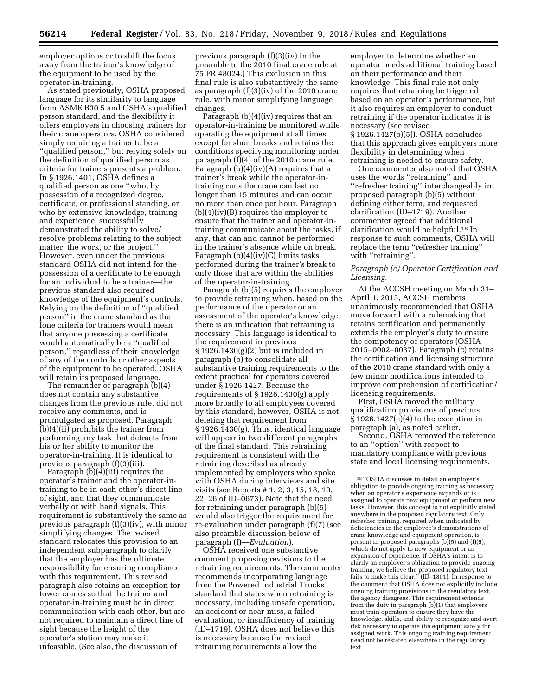employer options or to shift the focus away from the trainer's knowledge of the equipment to be used by the operator-in-training.

As stated previously, OSHA proposed language for its similarity to language from ASME B30.5 and OSHA's qualified person standard, and the flexibility it offers employers in choosing trainers for their crane operators. OSHA considered simply requiring a trainer to be a ''qualified person,'' but relying solely on the definition of qualified person as criteria for trainers presents a problem. In § 1926.1401, OSHA defines a qualified person as one ''who, by possession of a recognized degree, certificate, or professional standing, or who by extensive knowledge, training and experience, successfully demonstrated the ability to solve/ resolve problems relating to the subject matter, the work, or the project.'' However, even under the previous standard OSHA did not intend for the possession of a certificate to be enough for an individual to be a trainer—the previous standard also required knowledge of the equipment's controls. Relying on the definition of ''qualified person'' in the crane standard as the lone criteria for trainers would mean that anyone possessing a certificate would automatically be a ''qualified person,'' regardless of their knowledge of any of the controls or other aspects of the equipment to be operated. OSHA will retain its proposed language.

The remainder of paragraph (b)(4) does not contain any substantive changes from the previous rule, did not receive any comments, and is promulgated as proposed. Paragraph (b)(4)(ii) prohibits the trainer from performing any task that detracts from his or her ability to monitor the operator-in-training. It is identical to previous paragraph (f)(3)(iii).

Paragraph (b)(4)(iii) requires the operator's trainer and the operator-intraining to be in each other's direct line of sight, and that they communicate verbally or with hand signals. This requirement is substantively the same as previous paragraph (f)(3)(iv), with minor simplifying changes. The revised standard relocates this provision to an independent subparagraph to clarify that the employer has the ultimate responsibility for ensuring compliance with this requirement. This revised paragraph also retains an exception for tower cranes so that the trainer and operator-in-training must be in direct communication with each other, but are not required to maintain a direct line of sight because the height of the operator's station may make it infeasible. (See also, the discussion of

previous paragraph (f)(3)(iv) in the preamble to the 2010 final crane rule at 75 FR 48024.) This exclusion in this final rule is also substantively the same as paragraph (f)(3)(iv) of the 2010 crane rule, with minor simplifying language changes.

Paragraph (b)(4)(iv) requires that an operator-in-training be monitored while operating the equipment at all times except for short breaks and retains the conditions specifying monitoring under paragraph (f)(4) of the 2010 crane rule. Paragraph  $(b)(4)(iv)(A)$  requires that a trainer's break while the operator-intraining runs the crane can last no longer than 15 minutes and can occur no more than once per hour. Paragraph (b)(4)(iv)(B) requires the employer to ensure that the trainer and operator-intraining communicate about the tasks, if any, that can and cannot be performed in the trainer's absence while on break. Paragraph  $(b)(4)(iv)(C)$  limits tasks performed during the trainer's break to only those that are within the abilities of the operator-in-training.

Paragraph (b)(5) requires the employer to provide retraining when, based on the performance of the operator or an assessment of the operator's knowledge, there is an indication that retraining is necessary. This language is identical to the requirement in previous § 1926.1430(g)(2) but is included in paragraph (b) to consolidate all substantive training requirements to the extent practical for operators covered under § 1926.1427. Because the requirements of § 1926.1430(g) apply more broadly to all employees covered by this standard, however, OSHA is not deleting that requirement from § 1926.1430(g). Thus, identical language will appear in two different paragraphs of the final standard. This retraining requirement is consistent with the retraining described as already implemented by employers who spoke with OSHA during interviews and site visits (see Reports # 1, 2, 3, 15, 18, 19, 22, 26 of ID–0673). Note that the need for retraining under paragraph (b)(5) would also trigger the requirement for re-evaluation under paragraph (f)(7) (see also preamble discussion below of paragraph (f)—*Evaluation*).

OSHA received one substantive comment proposing revisions to the retraining requirements. The commenter recommends incorporating language from the Powered Industrial Trucks standard that states when retraining is necessary, including unsafe operation, an accident or near-miss, a failed evaluation, or insufficiency of training (ID–1719). OSHA does not believe this is necessary because the revised retraining requirements allow the

employer to determine whether an operator needs additional training based on their performance and their knowledge. This final rule not only requires that retraining be triggered based on an operator's performance, but it also requires an employer to conduct retraining if the operator indicates it is necessary (see revised § 1926.1427(b)(5)). OSHA concludes that this approach gives employers more flexibility in determining when retraining is needed to ensure safety.

One commenter also noted that OSHA uses the words ''retraining'' and ''refresher training'' interchangeably in proposed paragraph (b)(5) without defining either term, and requested clarification (ID–1719). Another commenter agreed that additional clarification would be helpful.18 In response to such comments, OSHA will replace the term ''refresher training'' with "retraining".

## *Paragraph (c) Operator Certification and Licensing.*

At the ACCSH meeting on March 31– April 1, 2015, ACCSH members unanimously recommended that OSHA move forward with a rulemaking that retains certification and permanently extends the employer's duty to ensure the competency of operators (OSHA– 2015–0002–0037). Paragraph (c) retains the certification and licensing structure of the 2010 crane standard with only a few minor modifications intended to improve comprehension of certification/ licensing requirements.

First, OSHA moved the military qualification provisions of previous § 1926.1427(e)(4) to the exception in paragraph (a), as noted earlier.

Second, OSHA removed the reference to an ''option'' with respect to mandatory compliance with previous state and local licensing requirements.

<sup>18</sup> ''OSHA discusses in detail an employer's obligation to provide ongoing training as necessary when an operator's experience expands or is assigned to operate new equipment or perform new tasks. However, this concept is not explicitly stated anywhere in the proposed regulatory text. Only refresher training, required when indicated by deficiencies in the employee's demonstrations of crane knowledge and equipment operation, is present in proposed paragraphs (b)(5) and (f)(5), which do not apply to new equipment or an expansion of experience. If OSHA's intent is to clarify an employer's obligation to provide ongoing training, we believe the proposed regulatory text fails to make this clear.'' (ID–1801). In response to the comment that OSHA does not explicitly include ongoing training provisions in the regulatory text, the agency disagrees. This requirement extends from the duty in paragraph (b)(1) that employers must train operators to ensure they have the knowledge, skills, and ability to recognize and avert risk necessary to operate the equipment safely for assigned work. This ongoing training requirement need not be restated elsewhere in the regulatory text.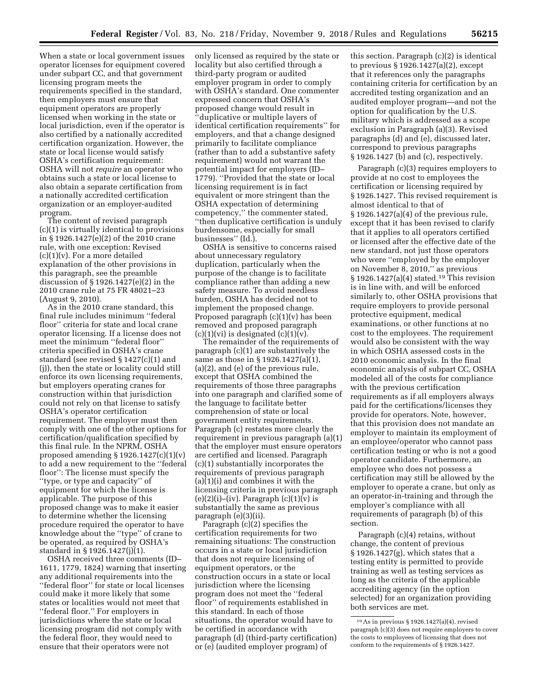When a state or local government issues operator licenses for equipment covered under subpart CC, and that government licensing program meets the requirements specified in the standard, then employers must ensure that equipment operators are properly licensed when working in the state or local jurisdiction, even if the operator is also certified by a nationally accredited certification organization. However, the state or local license would satisfy OSHA's certification requirement: OSHA will not *require* an operator who obtains such a state or local license to also obtain a separate certification from a nationally accredited certification organization or an employer-audited program.

The content of revised paragraph (c)(1) is virtually identical to provisions in § 1926.1427(e)(2) of the 2010 crane rule, with one exception: Revised  $(c)(1)(v)$ . For a more detailed explanation of the other provisions in this paragraph, see the preamble discussion of § 1926.1427(e)(2) in the 2010 crane rule at 75 FR 48021–23 (August 9, 2010).

As in the 2010 crane standard, this final rule includes minimum ''federal floor'' criteria for state and local crane operator licensing. If a license does not meet the minimum ''federal floor'' criteria specified in OSHA's crane standard (see revised § 1427(c)(1) and (j)), then the state or locality could still enforce its own licensing requirements, but employers operating cranes for construction within that jurisdiction could not rely on that license to satisfy OSHA's operator certification requirement. The employer must then comply with one of the other options for certification/qualification specified by this final rule. In the NPRM, OSHA proposed amending  $\S 1926.1427(c)(1)(v)$ to add a new requirement to the ''federal floor'': The license must specify the ''type, or type and capacity'' of equipment for which the license is applicable. The purpose of this proposed change was to make it easier to determine whether the licensing procedure required the operator to have knowledge about the ''type'' of crane to be operated, as required by OSHA's standard in § 1926.1427(j)(1).

OSHA received three comments (ID– 1611, 1779, 1824) warning that inserting any additional requirements into the ''federal floor'' for state or local licenses could make it more likely that some states or localities would not meet that ''federal floor.'' For employers in jurisdictions where the state or local licensing program did not comply with the federal floor, they would need to ensure that their operators were not

only licensed as required by the state or locality but also certified through a third-party program or audited employer program in order to comply with OSHA's standard. One commenter expressed concern that OSHA's proposed change would result in ''duplicative or multiple layers of identical certification requirements'' for employers, and that a change designed primarily to facilitate compliance (rather than to add a substantive safety requirement) would not warrant the potential impact for employers (ID– 1779). ''Provided that the state or local licensing requirement is in fact equivalent or more stringent than the OSHA expectation of determining competency,'' the commenter stated, ''then duplicative certification is unduly burdensome, especially for small businesses'' (Id.).

OSHA is sensitive to concerns raised about unnecessary regulatory duplication, particularly when the purpose of the change is to facilitate compliance rather than adding a new safety measure. To avoid needless burden, OSHA has decided not to implement the proposed change. Proposed paragraph (c)(1)(v) has been removed and proposed paragraph (c)(1)(vi) is designated  $(c)(1)(v)$ .

The remainder of the requirements of paragraph (c)(1) are substantively the same as those in § 1926.1427(a)(1), (a)(2), and (e) of the previous rule, except that OSHA combined the requirements of those three paragraphs into one paragraph and clarified some of the language to facilitate better comprehension of state or local government entity requirements. Paragraph (c) restates more clearly the requirement in previous paragraph (a)(1) that the employer must ensure operators are certified and licensed. Paragraph (c)(1) substantially incorporates the requirements of previous paragraph (a)(1)(i) and combines it with the licensing criteria in previous paragraph  $(e)(2)(i)$ –(iv). Paragraph  $(c)(1)(v)$  is substantially the same as previous paragraph (e)(3)(ii).

Paragraph (c)(2) specifies the certification requirements for two remaining situations: The construction occurs in a state or local jurisdiction that does not require licensing of equipment operators, or the construction occurs in a state or local jurisdiction where the licensing program does not meet the ''federal floor'' of requirements established in this standard. In each of those situations, the operator would have to be certified in accordance with paragraph (d) (third-party certification) or (e) (audited employer program) of

this section. Paragraph (c)(2) is identical to previous § 1926.1427(a)(2), except that it references only the paragraphs containing criteria for certification by an accredited testing organization and an audited employer program—and not the option for qualification by the U.S. military which is addressed as a scope exclusion in Paragraph (a)(3). Revised paragraphs (d) and (e), discussed later, correspond to previous paragraphs § 1926.1427 (b) and (c), respectively.

Paragraph (c)(3) requires employers to provide at no cost to employees the certification or licensing required by § 1926.1427. This revised requirement is almost identical to that of § 1926.1427(a)(4) of the previous rule, except that it has been revised to clarify that it applies to all operators certified or licensed after the effective date of the new standard, not just those operators who were ''employed by the employer on November 8, 2010,'' as previous  $§ 1926.1427(a)(4)$  stated.<sup>19</sup> This revision is in line with, and will be enforced similarly to, other OSHA provisions that require employers to provide personal protective equipment, medical examinations, or other functions at no cost to the employees. The requirement would also be consistent with the way in which OSHA assessed costs in the 2010 economic analysis. In the final economic analysis of subpart CC, OSHA modeled all of the costs for compliance with the previous certification requirements as if all employers always paid for the certifications/licenses they provide for operators. Note, however, that this provision does not mandate an employer to maintain its employment of an employee/operator who cannot pass certification testing or who is not a good operator candidate. Furthermore, an employee who does not possess a certification may still be allowed by the employer to operate a crane, but only as an operator-in-training and through the employer's compliance with all requirements of paragraph (b) of this section.

Paragraph (c)(4) retains, without change, the content of previous § 1926.1427(g), which states that a testing entity is permitted to provide training as well as testing services as long as the criteria of the applicable accrediting agency (in the option selected) for an organization providing both services are met.

<sup>19</sup>As in previous § 1926.1427(a)(4), revised paragraph (c)(3) does not require employers to cover the costs to employees of licensing that does not conform to the requirements of § 1926.1427.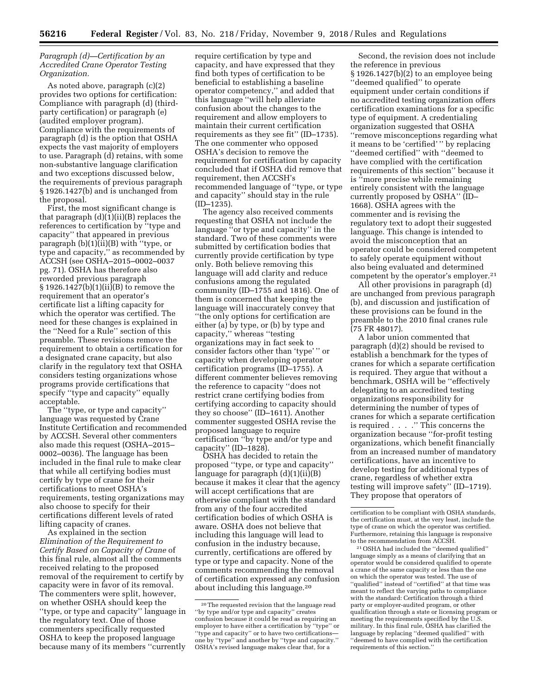## *Paragraph (d)—Certification by an Accredited Crane Operator Testing Organization.*

As noted above, paragraph (c)(2) provides two options for certification: Compliance with paragraph (d) (thirdparty certification) or paragraph (e) (audited employer program). Compliance with the requirements of paragraph (d) is the option that OSHA expects the vast majority of employers to use. Paragraph (d) retains, with some non-substantive language clarification and two exceptions discussed below, the requirements of previous paragraph § 1926.1427(b) and is unchanged from the proposal.

First, the most significant change is that paragraph (d)(1)(ii)(B) replaces the references to certification by "type and capacity'' that appeared in previous paragraph (b)(1)(ii)(B) with ''type, or type and capacity,'' as recommended by ACCSH (see OSHA–2015–0002–0037 pg. 71). OSHA has therefore also reworded previous paragraph § 1926.1427(b)(1)(ii)(B) to remove the requirement that an operator's certificate list a lifting capacity for which the operator was certified. The need for these changes is explained in the ''Need for a Rule'' section of this preamble. These revisions remove the requirement to obtain a certification for a designated crane capacity, but also clarify in the regulatory text that OSHA considers testing organizations whose programs provide certifications that specify ''type and capacity'' equally acceptable.

The ''type, or type and capacity'' language was requested by Crane Institute Certification and recommended by ACCSH. Several other commenters also made this request (OSHA–2015– 0002–0036). The language has been included in the final rule to make clear that while all certifying bodies must certify by type of crane for their certifications to meet OSHA's requirements, testing organizations may also choose to specify for their certifications different levels of rated lifting capacity of cranes.

As explained in the section *Elimination of the Requirement to Certify Based on Capacity of Crane* of this final rule, almost all the comments received relating to the proposed removal of the requirement to certify by capacity were in favor of its removal. The commenters were split, however, on whether OSHA should keep the ''type, or type and capacity'' language in the regulatory text. One of those commenters specifically requested OSHA to keep the proposed language because many of its members ''currently

require certification by type and capacity, and have expressed that they find both types of certification to be beneficial to establishing a baseline operator competency,'' and added that this language ''will help alleviate confusion about the changes to the requirement and allow employers to maintain their current certification requirements as they see fit'' (ID–1735). The one commenter who opposed OSHA's decision to remove the requirement for certification by capacity concluded that if OSHA did remove that requirement, then ACCSH's recommended language of ''type, or type and capacity'' should stay in the rule (ID–1235).

The agency also received comments requesting that OSHA not include the language ''or type and capacity'' in the standard. Two of these comments were submitted by certification bodies that currently provide certification by type only. Both believe removing this language will add clarity and reduce confusions among the regulated community (ID–1755 and 1816). One of them is concerned that keeping the language will inaccurately convey that ''the only options for certification are either (a) by type, or (b) by type and capacity,'' whereas ''testing organizations may in fact seek to consider factors other than 'type' '' or capacity when developing operator certification programs (ID–1755). A different commenter believes removing the reference to capacity ''does not restrict crane certifying bodies from certifying according to capacity should they so choose'' (ID–1611). Another commenter suggested OSHA revise the proposed language to require certification ''by type and/or type and capacity'' (ID–1828).

OSHA has decided to retain the proposed ''type, or type and capacity'' language for paragraph (d)(1)(ii)(B) because it makes it clear that the agency will accept certifications that are otherwise compliant with the standard from any of the four accredited certification bodies of which OSHA is aware. OSHA does not believe that including this language will lead to confusion in the industry because, currently, certifications are offered by type or type and capacity. None of the comments recommending the removal of certification expressed any confusion about including this language.20

Second, the revision does not include the reference in previous § 1926.1427(b)(2) to an employee being

''deemed qualified'' to operate equipment under certain conditions if no accredited testing organization offers certification examinations for a specific type of equipment. A credentialing organization suggested that OSHA ''remove misconceptions regarding what it means to be 'certified' '' by replacing ''deemed certified'' with ''deemed to have complied with the certification requirements of this section'' because it is ''more precise while remaining entirely consistent with the language currently proposed by OSHA'' (ID– 1668). OSHA agrees with the commenter and is revising the regulatory text to adopt their suggested language. This change is intended to avoid the misconception that an operator could be considered competent to safely operate equipment without also being evaluated and determined competent by the operator's employer.21

All other provisions in paragraph (d) are unchanged from previous paragraph (b), and discussion and justification of these provisions can be found in the preamble to the 2010 final cranes rule (75 FR 48017).

A labor union commented that paragraph (d)(2) should be revised to establish a benchmark for the types of cranes for which a separate certification is required. They argue that without a benchmark, OSHA will be ''effectively delegating to an accredited testing organizations responsibility for determining the number of types of cranes for which a separate certification is required . . . .'' This concerns the organization because ''for-profit testing organizations, which benefit financially from an increased number of mandatory certifications, have an incentive to develop testing for additional types of crane, regardless of whether extra testing will improve safety'' (ID–1719). They propose that operators of

21OSHA had included the ''deemed qualified'' language simply as a means of clarifying that an operator would be considered qualified to operate a crane of the same capacity or less than the one on which the operator was tested. The use of "qualified" instead of "certified" at that time was meant to reflect the varying paths to compliance with the standard: Certification through a third party or employer-audited program, or other qualification through a state or licensing program or meeting the requirements specified by the U.S. military. In this final rule, OSHA has clarified the language by replacing ''deemed qualified'' with ''deemed to have complied with the certification requirements of this section.''

<sup>20</sup>The requested revision that the language read ''by type and/or type and capacity'' creates confusion because it could be read as requiring an employer to have either a certification by ''type'' or ''type and capacity'' or to have two certifications one by ''type'' and another by ''type and capacity.'' OSHA's revised language makes clear that, for a

certification to be compliant with OSHA standards, the certification must, at the very least, include the type of crane on which the operator was certified. Furthermore, retaining this language is responsive to the recommendation from ACCSH.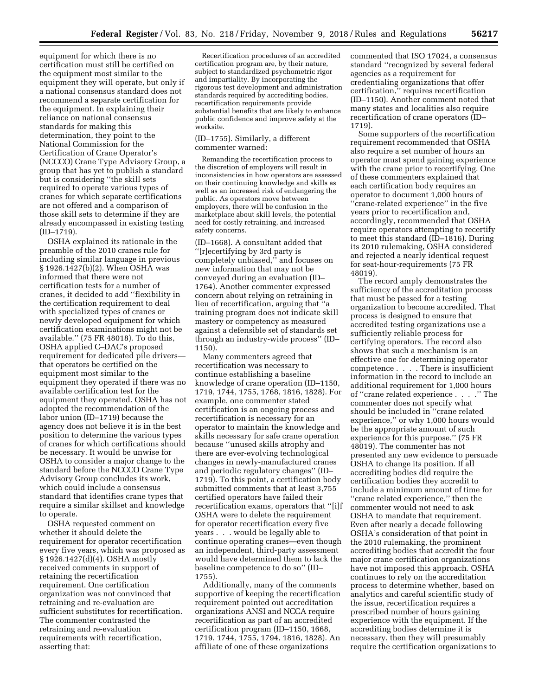equipment for which there is no certification must still be certified on the equipment most similar to the equipment they will operate, but only if a national consensus standard does not recommend a separate certification for the equipment. In explaining their reliance on national consensus standards for making this determination, they point to the National Commission for the Certification of Crane Operator's (NCCCO) Crane Type Advisory Group, a group that has yet to publish a standard but is considering ''the skill sets required to operate various types of cranes for which separate certifications are not offered and a comparison of those skill sets to determine if they are already encompassed in existing testing (ID–1719).

OSHA explained its rationale in the preamble of the 2010 cranes rule for including similar language in previous § 1926.1427(b)(2). When OSHA was informed that there were not certification tests for a number of cranes, it decided to add ''flexibility in the certification requirement to deal with specialized types of cranes or newly developed equipment for which certification examinations might not be available.'' (75 FR 48018). To do this, OSHA applied C–DAC's proposed requirement for dedicated pile drivers that operators be certified on the equipment most similar to the equipment they operated if there was no available certification test for the equipment they operated. OSHA has not adopted the recommendation of the labor union (ID–1719) because the agency does not believe it is in the best position to determine the various types of cranes for which certifications should be necessary. It would be unwise for OSHA to consider a major change to the standard before the NCCCO Crane Type Advisory Group concludes its work, which could include a consensus standard that identifies crane types that require a similar skillset and knowledge to operate.

OSHA requested comment on whether it should delete the requirement for operator recertification every five years, which was proposed as § 1926.1427(d)(4). OSHA mostly received comments in support of retaining the recertification requirement. One certification organization was not convinced that retraining and re-evaluation are sufficient substitutes for recertification. The commenter contrasted the retraining and re-evaluation requirements with recertification, asserting that:

Recertification procedures of an accredited certification program are, by their nature, subject to standardized psychometric rigor and impartiality. By incorporating the rigorous test development and administration standards required by accrediting bodies, recertification requirements provide substantial benefits that are likely to enhance public confidence and improve safety at the worksite.

## (ID–1755). Similarly, a different commenter warned:

Remanding the recertification process to the discretion of employers will result in inconsistencies in how operators are assessed on their continuing knowledge and skills as well as an increased risk of endangering the public. As operators move between employers, there will be confusion in the marketplace about skill levels, the potential need for costly retraining, and increased safety concerns.

(ID–1668). A consultant added that ''[r]ecertifying by 3rd party is completely unbiased,'' and focuses on new information that may not be conveyed during an evaluation (ID– 1764). Another commenter expressed concern about relying on retraining in lieu of recertification, arguing that ''a training program does not indicate skill mastery or competency as measured against a defensible set of standards set through an industry-wide process'' (ID– 1150).

Many commenters agreed that recertification was necessary to continue establishing a baseline knowledge of crane operation (ID–1150, 1719, 1744, 1755, 1768, 1816, 1828). For example, one commenter stated certification is an ongoing process and recertification is necessary for an operator to maintain the knowledge and skills necessary for safe crane operation because ''unused skills atrophy and there are ever-evolving technological changes in newly-manufactured cranes and periodic regulatory changes'' (ID– 1719). To this point, a certification body submitted comments that at least 3,755 certified operators have failed their recertification exams, operators that ''[i]f OSHA were to delete the requirement for operator recertification every five years . . . would be legally able to continue operating cranes—even though an independent, third-party assessment would have determined them to lack the baseline competence to do so'' (ID– 1755).

Additionally, many of the comments supportive of keeping the recertification requirement pointed out accreditation organizations ANSI and NCCA require recertification as part of an accredited certification program (ID–1150, 1668, 1719, 1744, 1755, 1794, 1816, 1828). An affiliate of one of these organizations

commented that ISO 17024, a consensus standard ''recognized by several federal agencies as a requirement for credentialing organizations that offer certification,'' requires recertification (ID–1150). Another comment noted that many states and localities also require recertification of crane operators (ID– 1719).

Some supporters of the recertification requirement recommended that OSHA also require a set number of hours an operator must spend gaining experience with the crane prior to recertifying. One of these commenters explained that each certification body requires an operator to document 1,000 hours of ''crane-related experience'' in the five years prior to recertification and, accordingly, recommended that OSHA require operators attempting to recertify to meet this standard (ID–1816). During its 2010 rulemaking, OSHA considered and rejected a nearly identical request for seat-hour-requirements (75 FR 48019).

The record amply demonstrates the sufficiency of the accreditation process that must be passed for a testing organization to become accredited. That process is designed to ensure that accredited testing organizations use a sufficiently reliable process for certifying operators. The record also shows that such a mechanism is an effective one for determining operator competence . . . . There is insufficient information in the record to include an additional requirement for 1,000 hours of ''crane related experience . . . .'' The commenter does not specify what should be included in ''crane related experience,'' or why 1,000 hours would be the appropriate amount of such experience for this purpose.'' (75 FR 48019). The commenter has not presented any new evidence to persuade OSHA to change its position. If all accrediting bodies did require the certification bodies they accredit to include a minimum amount of time for ''crane related experience,'' then the commenter would not need to ask OSHA to mandate that requirement. Even after nearly a decade following OSHA's consideration of that point in the 2010 rulemaking, the prominent accrediting bodies that accredit the four major crane certification organizations have not imposed this approach. OSHA continues to rely on the accreditation process to determine whether, based on analytics and careful scientific study of the issue, recertification requires a prescribed number of hours gaining experience with the equipment. If the accrediting bodies determine it is necessary, then they will presumably require the certification organizations to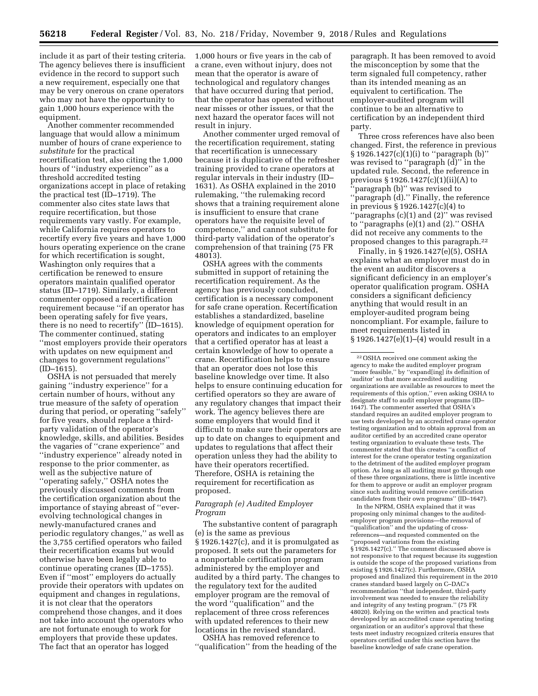include it as part of their testing criteria. The agency believes there is insufficient evidence in the record to support such a new requirement, especially one that may be very onerous on crane operators who may not have the opportunity to gain 1,000 hours experience with the equipment.

Another commenter recommended language that would allow a minimum number of hours of crane experience to *substitute* for the practical recertification test, also citing the 1,000 hours of ''industry experience'' as a threshold accredited testing organizations accept in place of retaking the practical test (ID–1719). The commenter also cites state laws that require recertification, but those requirements vary vastly. For example, while California requires operators to recertify every five years and have 1,000 hours operating experience on the crane for which recertification is sought, Washington only requires that a certification be renewed to ensure operators maintain qualified operator status (ID–1719). Similarly, a different commenter opposed a recertification requirement because ''if an operator has been operating safely for five years, there is no need to recertify'' (ID–1615). The commenter continued, stating ''most employers provide their operators with updates on new equipment and changes to government regulations''  $(ID-1615).$ 

OSHA is not persuaded that merely gaining ''industry experience'' for a certain number of hours, without any true measure of the safety of operation during that period, or operating ''safely'' for five years, should replace a thirdparty validation of the operator's knowledge, skills, and abilities. Besides the vagaries of ''crane experience'' and ''industry experience'' already noted in response to the prior commenter, as well as the subjective nature of ''operating safely,'' OSHA notes the previously discussed comments from the certification organization about the importance of staying abreast of ''everevolving technological changes in newly-manufactured cranes and periodic regulatory changes,'' as well as the 3,755 certified operators who failed their recertification exams but would otherwise have been legally able to continue operating cranes (ID–1755). Even if ''most'' employers do actually provide their operators with updates on equipment and changes in regulations, it is not clear that the operators comprehend those changes, and it does not take into account the operators who are not fortunate enough to work for employers that provide these updates. The fact that an operator has logged

1,000 hours or five years in the cab of a crane, even without injury, does not mean that the operator is aware of technological and regulatory changes that have occurred during that period, that the operator has operated without near misses or other issues, or that the next hazard the operator faces will not result in injury.

Another commenter urged removal of the recertification requirement, stating that recertification is unnecessary because it is duplicative of the refresher training provided to crane operators at regular intervals in their industry (ID– 1631). As OSHA explained in the 2010 rulemaking, ''the rulemaking record shows that a training requirement alone is insufficient to ensure that crane operators have the requisite level of competence,'' and cannot substitute for third-party validation of the operator's comprehension of that training (75 FR 48013).

OSHA agrees with the comments submitted in support of retaining the recertification requirement. As the agency has previously concluded, certification is a necessary component for safe crane operation. Recertification establishes a standardized, baseline knowledge of equipment operation for operators and indicates to an employer that a certified operator has at least a certain knowledge of how to operate a crane. Recertification helps to ensure that an operator does not lose this baseline knowledge over time. It also helps to ensure continuing education for certified operators so they are aware of any regulatory changes that impact their work. The agency believes there are some employers that would find it difficult to make sure their operators are up to date on changes to equipment and updates to regulations that affect their operation unless they had the ability to have their operators recertified. Therefore, OSHA is retaining the requirement for recertification as proposed.

#### *Paragraph (e) Audited Employer Program*

The substantive content of paragraph (e) is the same as previous § 1926.1427(c), and it is promulgated as proposed. It sets out the parameters for a nonportable certification program administered by the employer and audited by a third party. The changes to the regulatory text for the audited employer program are the removal of the word ''qualification'' and the replacement of three cross references with updated references to their new locations in the revised standard.

OSHA has removed reference to ''qualification'' from the heading of the

paragraph. It has been removed to avoid the misconception by some that the term signaled full competency, rather than its intended meaning as an equivalent to certification. The employer-audited program will continue to be an alternative to certification by an independent third party.

Three cross references have also been changed. First, the reference in previous § 1926.1427(c)(1)(i) to ''paragraph (b)'' was revised to ''paragraph (d)'' in the updated rule. Second, the reference in previous § 1926.1427(c)(1)(ii)(A) to 'paragraph (b)" was revised to ''paragraph (d).'' Finally, the reference in previous § 1926.1427(c)(4) to ''paragraphs (c)(1) and (2)'' was revised to ''paragraphs (e)(1) and (2).'' OSHA did not receive any comments to the proposed changes to this paragraph.22

Finally, in § 1926.1427(e)(5), OSHA explains what an employer must do in the event an auditor discovers a significant deficiency in an employer's operator qualification program. OSHA considers a significant deficiency anything that would result in an employer-audited program being noncompliant. For example, failure to meet requirements listed in § 1926.1427(e)(1)–(4) would result in a

In the NPRM, OSHA explained that it was proposing only minimal changes to the auditedemployer program provisions—the removal of ''qualification'' and the updating of crossreferences—and requested commented on the ''proposed variations from the existing § 1926.1427(c)." The comment discussed above is not responsive to that request because its suggestion is outside the scope of the proposed variations from existing § 1926.1427(c). Furthermore, OSHA proposed and finalized this requirement in the 2010 cranes standard based largely on C–DAC's recommendation ''that independent, third-party involvement was needed to ensure the reliability and integrity of any testing program.'' (75 FR 48020). Relying on the written and practical tests developed by an accredited crane operating testing organization or an auditor's approval that these tests meet industry recognized criteria ensures that operators certified under this section have the baseline knowledge of safe crane operation.

<sup>22</sup>OSHA received one comment asking the agency to make the audited employer program ''more feasible,'' by ''expand[ing] its definition of 'auditor' so that more accredited auditing organizations are available as resources to meet the requirements of this option,'' even asking OSHA to designate staff to audit employer programs (ID– 1647). The commenter asserted that OSHA's standard requires an audited employer program to use tests developed by an accredited crane operator testing organization and to obtain approval from an auditor certified by an accredited crane operator testing organization to evaluate these tests. The commenter stated that this creates ''a conflict of interest for the crane operator testing organization to the detriment of the audited employer program option. As long as all auditing must go through one of these three organizations, there is little incentive for them to approve or audit an employer program since such auditing would remove certification candidates from their own programs'' (ID–1647).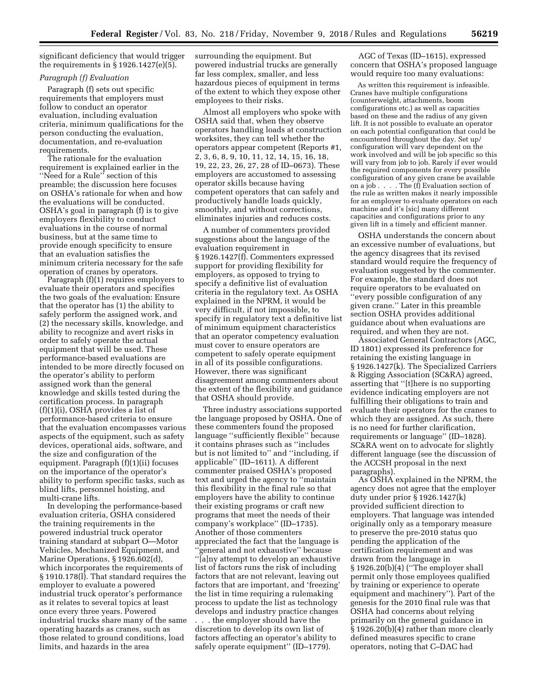significant deficiency that would trigger the requirements in  $\S 1926.1427(e)(5)$ .

## *Paragraph (f) Evaluation*

Paragraph (f) sets out specific requirements that employers must follow to conduct an operator evaluation, including evaluation criteria, minimum qualifications for the person conducting the evaluation, documentation, and re-evaluation requirements.

The rationale for the evaluation requirement is explained earlier in the ''Need for a Rule'' section of this preamble; the discussion here focuses on OSHA's rationale for when and how the evaluations will be conducted. OSHA's goal in paragraph (f) is to give employers flexibility to conduct evaluations in the course of normal business, but at the same time to provide enough specificity to ensure that an evaluation satisfies the minimum criteria necessary for the safe operation of cranes by operators.

Paragraph (f)(1) requires employers to evaluate their operators and specifies the two goals of the evaluation: Ensure that the operator has (1) the ability to safely perform the assigned work, and (2) the necessary skills, knowledge, and ability to recognize and avert risks in order to safely operate the actual equipment that will be used. These performance-based evaluations are intended to be more directly focused on the operator's ability to perform assigned work than the general knowledge and skills tested during the certification process. In paragraph (f)(1)(i), OSHA provides a list of performance-based criteria to ensure that the evaluation encompasses various aspects of the equipment, such as safety devices, operational aids, software, and the size and configuration of the equipment. Paragraph (f)(1)(ii) focuses on the importance of the operator's ability to perform specific tasks, such as blind lifts, personnel hoisting, and multi-crane lifts.

In developing the performance-based evaluation criteria, OSHA considered the training requirements in the powered industrial truck operator training standard at subpart O—Motor Vehicles, Mechanized Equipment, and Marine Operations, § 1926.602(d), which incorporates the requirements of § 1910.178(l). That standard requires the employer to evaluate a powered industrial truck operator's performance as it relates to several topics at least once every three years. Powered industrial trucks share many of the same operating hazards as cranes, such as those related to ground conditions, load limits, and hazards in the area

surrounding the equipment. But powered industrial trucks are generally far less complex, smaller, and less hazardous pieces of equipment in terms of the extent to which they expose other employees to their risks.

Almost all employers who spoke with OSHA said that, when they observe operators handling loads at construction worksites, they can tell whether the operators appear competent (Reports #1, 2, 3, 6, 8, 9, 10, 11, 12, 14, 15, 16, 18, 19, 22, 23, 26, 27, 28 of ID–0673). These employers are accustomed to assessing operator skills because having competent operators that can safely and productively handle loads quickly, smoothly, and without corrections, eliminates injuries and reduces costs.

A number of commenters provided suggestions about the language of the evaluation requirement in § 1926.1427(f). Commenters expressed support for providing flexibility for employers, as opposed to trying to specify a definitive list of evaluation criteria in the regulatory text. As OSHA explained in the NPRM, it would be very difficult, if not impossible, to specify in regulatory text a definitive list of minimum equipment characteristics that an operator competency evaluation must cover to ensure operators are competent to safely operate equipment in all of its possible configurations. However, there was significant disagreement among commenters about the extent of the flexibility and guidance that OSHA should provide.

Three industry associations supported the language proposed by OSHA. One of these commenters found the proposed language ''sufficiently flexible'' because it contains phrases such as ''includes but is not limited to'' and ''including, if applicable'' (ID–1611). A different commenter praised OSHA's proposed text and urged the agency to ''maintain this flexibility in the final rule so that employers have the ability to continue their existing programs or craft new programs that meet the needs of their company's workplace'' (ID–1735). Another of those commenters appreciated the fact that the language is "general and not exhaustive" because ''[a]ny attempt to develop an exhaustive list of factors runs the risk of including factors that are not relevant, leaving out factors that are important, and 'freezing' the list in time requiring a rulemaking process to update the list as technology develops and industry practice changes . . . the employer should have the discretion to develop its own list of factors affecting an operator's ability to safely operate equipment'' (ID–1779).

AGC of Texas (ID–1615), expressed concern that OSHA's proposed language would require too many evaluations:

As written this requirement is infeasible. Cranes have multiple configurations (counterweight, attachments, boom configurations etc.) as well as capacities based on these and the radius of any given lift. It is not possible to evaluate an operator on each potential configuration that could be encountered throughout the day. Set up/ configuration will vary dependent on the work involved and will be job specific so this will vary from job to job. Rarely if ever would the required components for every possible configuration of any given crane be available on a job . . . . The (f) Evaluation section of the rule as written makes it nearly impossible for an employer to evaluate operators on each machine and it's [sic] many different capacities and configurations prior to any given lift in a timely and efficient manner.

OSHA understands the concern about an excessive number of evaluations, but the agency disagrees that its revised standard would require the frequency of evaluation suggested by the commenter. For example, the standard does not require operators to be evaluated on ''every possible configuration of any given crane.'' Later in this preamble section OSHA provides additional guidance about when evaluations are required, and when they are not.

Associated General Contractors (AGC, ID 1801) expressed its preference for retaining the existing language in § 1926.1427(k). The Specialized Carriers & Rigging Association (SC&RA) agreed, asserting that ''[t]here is no supporting evidence indicating employers are not fulfilling their obligations to train and evaluate their operators for the cranes to which they are assigned. As such, there is no need for further clarification, requirements or language'' (ID–1828). SC&RA went on to advocate for slightly different language (see the discussion of the ACCSH proposal in the next paragraphs).

As OSHA explained in the NPRM, the agency does not agree that the employer duty under prior § 1926.1427(k) provided sufficient direction to employers. That language was intended originally only as a temporary measure to preserve the pre-2010 status quo pending the application of the certification requirement and was drawn from the language in § 1926.20(b)(4) (''The employer shall permit only those employees qualified by training or experience to operate equipment and machinery''). Part of the genesis for the 2010 final rule was that OSHA had concerns about relying primarily on the general guidance in § 1926.20(b)(4) rather than more clearly defined measures specific to crane operators, noting that C–DAC had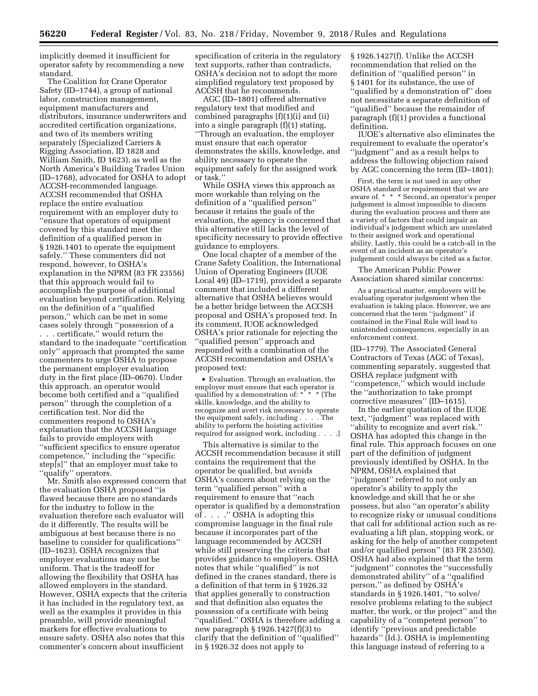implicitly deemed it insufficient for operator safety by recommending a new standard.

The Coalition for Crane Operator Safety (ID–1744), a group of national labor, construction management, equipment manufacturers and distributors, insurance underwriters and accredited certification organizations, and two of its members writing separately (Specialized Carriers & Rigging Association, ID 1828 and William Smith, ID 1623), as well as the North America's Building Trades Union (ID–1768), advocated for OSHA to adopt ACCSH-recommended language. ACCSH recommended that OSHA replace the entire evaluation requirement with an employer duty to ''ensure that operators of equipment covered by this standard meet the definition of a qualified person in § 1926.1401 to operate the equipment safely.'' These commenters did not respond, however, to OSHA's explanation in the NPRM (83 FR 23556) that this approach would fail to accomplish the purpose of additional evaluation beyond certification. Relying on the definition of a ''qualified person,'' which can be met in some cases solely through ''possession of a . . . certificate,'' would return the standard to the inadequate ''certification only'' approach that prompted the same commenters to urge OSHA to propose the permanent employer evaluation duty in the first place (ID–0670). Under this approach, an operator would become both certified and a ''qualified person'' through the completion of a certification test. Nor did the commenters respond to OSHA's explanation that the ACCSH language fails to provide employers with ''sufficient specifics to ensure operator competence,'' including the ''specific step[s]'' that an employer must take to "qualify" operators.

Mr. Smith also expressed concern that the evaluation OSHA proposed ''is flawed because there are no standards for the industry to follow in the evaluation therefore each evaluator will do it differently. The results will be ambiguous at best because there is no baseline to consider for qualifications'' (ID–1623). OSHA recognizes that employer evaluations may not be uniform. That is the tradeoff for allowing the flexibility that OSHA has allowed employers in the standard. However, OSHA expects that the criteria it has included in the regulatory text, as well as the examples it provides in this preamble, will provide meaningful markers for effective evaluations to ensure safety. OSHA also notes that this commenter's concern about insufficient

specification of criteria in the regulatory text supports, rather than contradicts, OSHA's decision not to adopt the more simplified regulatory text proposed by ACCSH that he recommends.

AGC (ID–1801) offered alternative regulatory text that modified and combined paragraphs (f)(1)(i) and (ii) into a single paragraph (f)(1) stating, ''Through an evaluation, the employer must ensure that each operator demonstrates the skills, knowledge, and ability necessary to operate the equipment safely for the assigned work or task.''

While OSHA views this approach as more workable than relying on the definition of a ''qualified person'' because it retains the goals of the evaluation, the agency is concerned that this alternative still lacks the level of specificity necessary to provide effective guidance to employers.

One local chapter of a member of the Crane Safety Coalition, the International Union of Operating Engineers (IUOE Local 49) (ID–1719), provided a separate comment that included a different alternative that OSHA believes would be a better bridge between the ACCSH proposal and OSHA's proposed text. In its comment, IUOE acknowledged OSHA's prior rationale for rejecting the ''qualified person'' approach and responded with a combination of the ACCSH recommendation and OSHA's proposed text:

• Evaluation. Through an evaluation, the employer must ensure that each operator is<br>qualified by a demonstration of: \* \* \* The qualified by a demonstration of: \* skills, knowledge, and the ability to recognize and avert risk necessary to operate the equipment safely, including . . . . The ability to perform the hoisting activities required for assigned work, including . . . .]

This alternative is similar to the ACCSH recommendation because it still contains the requirement that the operator be qualified, but avoids OSHA's concern about relying on the term ''qualified person'' with a requirement to ensure that ''each operator is qualified by a demonstration of . . . .'' OSHA is adopting this compromise language in the final rule because it incorporates part of the language recommended by ACCSH while still preserving the criteria that provides guidance to employers. OSHA notes that while ''qualified'' is not defined in the cranes standard, there is a definition of that term in § 1926.32 that applies generally to construction and that definition also equates the possession of a certificate with being 'qualified." OSHA is therefore adding a new paragraph § 1926.1427(f)(3) to clarify that the definition of ''qualified'' in § 1926.32 does not apply to

§ 1926.1427(f). Unlike the ACCSH recommendation that relied on the definition of ''qualified person'' in § 1401 for its substance, the use of ''qualified by a demonstration of'' does not necessitate a separate definition of ''qualified'' because the remainder of paragraph (f)(1) provides a functional definition.

IUOE's alternative also eliminates the requirement to evaluate the operator's ''judgment'' and as a result helps to address the following objection raised by AGC concerning the term (ID–1801):

First, the term is not used in any other OSHA standard or requirement that we are aware of. \* \* \* Second, an operator's proper judgement is almost impossible to discern during the evaluation process and there are a variety of factors that could impair an individual's judgement which are unrelated to their assigned work and operational ability. Lastly, this could be a catch-all in the event of an incident as an operator's judgement could always be cited as a factor.

The American Public Power Association shared similar concerns:

As a practical matter, employers will be evaluating operator judgement when the evaluation is taking place. However, we are concerned that the term ''judgment'' if contained in the Final Rule will lead to unintended consequences, especially in an enforcement context.

(ID–1779). The Associated General Contractors of Texas (AGC of Texas), commenting separately, suggested that OSHA replace judgment with ''competence,'' which would include the ''authorization to take prompt corrective measures'' (ID–1615).

In the earlier quotation of the IUOE text, ''judgment'' was replaced with ''ability to recognize and avert risk.'' OSHA has adopted this change in the final rule. This approach focuses on one part of the definition of judgment previously identified by OSHA. In the NPRM, OSHA explained that ''judgment'' referred to not only an operator's ability to apply the knowledge and skill that he or she possess, but also ''an operator's ability to recognize risky or unusual conditions that call for additional action such as reevaluating a lift plan, stopping work, or asking for the help of another competent and/or qualified person'' (83 FR 23550). OSHA had also explained that the term ''judgment'' connotes the ''successfully demonstrated ability'' of a ''qualified person,'' as defined by OSHA's standards in § 1926.1401, ''to solve/ resolve problems relating to the subject matter, the work, or the project'' and the capability of a ''competent person'' to identify ''previous and predictable hazards'' (Id.). OSHA is implementing this language instead of referring to a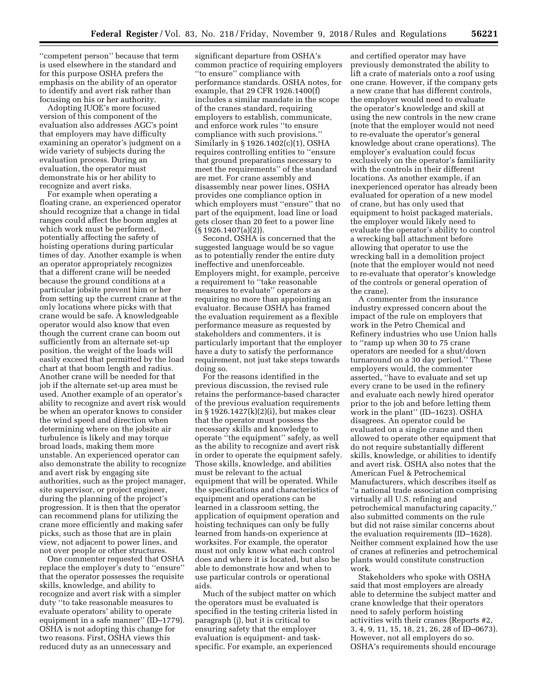''competent person'' because that term is used elsewhere in the standard and for this purpose OSHA prefers the emphasis on the ability of an operator to identify and avert risk rather than focusing on his or her authority.

Adopting IUOE's more focused version of this component of the evaluation also addresses AGC's point that employers may have difficulty examining an operator's judgment on a wide variety of subjects during the evaluation process. During an evaluation, the operator must demonstrate his or her ability to recognize and avert risks.

For example when operating a floating crane, an experienced operator should recognize that a change in tidal ranges could affect the boom angles at which work must be performed, potentially affecting the safety of hoisting operations during particular times of day. Another example is when an operator appropriately recognizes that a different crane will be needed because the ground conditions at a particular jobsite prevent him or her from setting up the current crane at the only locations where picks with that crane would be safe. A knowledgeable operator would also know that even though the current crane can boom out sufficiently from an alternate set-up position, the weight of the loads will easily exceed that permitted by the load chart at that boom length and radius. Another crane will be needed for that job if the alternate set-up area must be used. Another example of an operator's ability to recognize and avert risk would be when an operator knows to consider the wind speed and direction when determining where on the jobsite air turbulence is likely and may torque broad loads, making them more unstable. An experienced operator can also demonstrate the ability to recognize and avert risk by engaging site authorities, such as the project manager, site supervisor, or project engineer, during the planning of the project's progression. It is then that the operator can recommend plans for utilizing the crane more efficiently and making safer picks, such as those that are in plain view, not adjacent to power lines, and not over people or other structures.

One commenter requested that OSHA replace the employer's duty to ''ensure'' that the operator possesses the requisite skills, knowledge, and ability to recognize and avert risk with a simpler duty ''to take reasonable measures to evaluate operators' ability to operate equipment in a safe manner'' (ID–1779). OSHA is not adopting this change for two reasons. First, OSHA views this reduced duty as an unnecessary and

significant departure from OSHA's common practice of requiring employers ''to ensure'' compliance with performance standards. OSHA notes, for example, that 29 CFR 1926.1400(f) includes a similar mandate in the scope of the cranes standard, requiring employers to establish, communicate, and enforce work rules ''to ensure compliance with such provisions.'' Similarly in § 1926.1402(c)(1), OSHA requires controlling entities to ''ensure that ground preparations necessary to meet the requirements'' of the standard are met. For crane assembly and disassembly near power lines, OSHA provides one compliance option in which employers must ''ensure'' that no part of the equipment, load line or load gets closer than 20 feet to a power line (§ 1926.1407(a)(2)).

Second, OSHA is concerned that the suggested language would be so vague as to potentially render the entire duty ineffective and unenforceable. Employers might, for example, perceive a requirement to ''take reasonable measures to evaluate'' operators as requiring no more than appointing an evaluator. Because OSHA has framed the evaluation requirement as a flexible performance measure as requested by stakeholders and commenters, it is particularly important that the employer have a duty to satisfy the performance requirement, not just take steps towards doing so.

For the reasons identified in the previous discussion, the revised rule retains the performance-based character of the previous evaluation requirements in § 1926.1427(k)(2)(i), but makes clear that the operator must possess the necessary skills and knowledge to operate ''the equipment'' safely, as well as the ability to recognize and avert risk in order to operate the equipment safely. Those skills, knowledge, and abilities must be relevant to the actual equipment that will be operated. While the specifications and characteristics of equipment and operations can be learned in a classroom setting, the application of equipment operation and hoisting techniques can only be fully learned from hands-on experience at worksites. For example, the operator must not only know what each control does and where it is located, but also be able to demonstrate how and when to use particular controls or operational aids.

Much of the subject matter on which the operators must be evaluated is specified in the testing criteria listed in paragraph (j), but it is critical to ensuring safety that the employer evaluation is equipment- and taskspecific. For example, an experienced

and certified operator may have previously demonstrated the ability to lift a crate of materials onto a roof using one crane. However, if the company gets a new crane that has different controls, the employer would need to evaluate the operator's knowledge and skill at using the new controls in the new crane (note that the employer would not need to re-evaluate the operator's general knowledge about crane operations). The employer's evaluation could focus exclusively on the operator's familiarity with the controls in their different locations. As another example, if an inexperienced operator has already been evaluated for operation of a new model of crane, but has only used that equipment to hoist packaged materials, the employer would likely need to evaluate the operator's ability to control a wrecking ball attachment before allowing that operator to use the wrecking ball in a demolition project (note that the employer would not need to re-evaluate that operator's knowledge of the controls or general operation of the crane).

A commenter from the insurance industry expressed concern about the impact of the rule on employers that work in the Petro Chemical and Refinery industries who use Union halls to ''ramp up when 30 to 75 crane operators are needed for a shut/down turnaround on a 30 day period.'' These employers would, the commenter asserted, ''have to evaluate and set up every crane to be used in the refinery and evaluate each newly hired operator prior to the job and before letting them work in the plant'' (ID–1623). OSHA disagrees. An operator could be evaluated on a single crane and then allowed to operate other equipment that do not require substantially different skills, knowledge, or abilities to identify and avert risk. OSHA also notes that the American Fuel & Petrochemical Manufacturers, which describes itself as ''a national trade association comprising virtually all U.S. refining and petrochemical manufacturing capacity,'' also submitted comments on the rule but did not raise similar concerns about the evaluation requirements (ID–1628). Neither comment explained how the use of cranes at refineries and petrochemical plants would constitute construction work.

Stakeholders who spoke with OSHA said that most employers are already able to determine the subject matter and crane knowledge that their operators need to safely perform hoisting activities with their cranes (Reports #2, 3, 4, 9, 11, 15, 18, 21, 26, 28 of ID–0673). However, not all employers do so. OSHA's requirements should encourage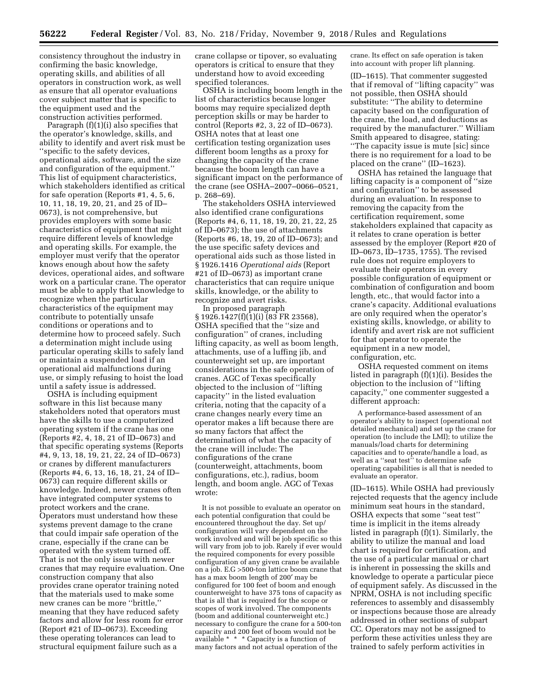consistency throughout the industry in confirming the basic knowledge, operating skills, and abilities of all operators in construction work, as well as ensure that all operator evaluations cover subject matter that is specific to the equipment used and the construction activities performed.

Paragraph (f)(1)(i) also specifies that the operator's knowledge, skills, and ability to identify and avert risk must be ''specific to the safety devices, operational aids, software, and the size and configuration of the equipment.'' This list of equipment characteristics, which stakeholders identified as critical for safe operation (Reports #1, 4, 5, 6, 10, 11, 18, 19, 20, 21, and 25 of ID– 0673), is not comprehensive, but provides employers with some basic characteristics of equipment that might require different levels of knowledge and operating skills. For example, the employer must verify that the operator knows enough about how the safety devices, operational aides, and software work on a particular crane. The operator must be able to apply that knowledge to recognize when the particular characteristics of the equipment may contribute to potentially unsafe conditions or operations and to determine how to proceed safely. Such a determination might include using particular operating skills to safely land or maintain a suspended load if an operational aid malfunctions during use, or simply refusing to hoist the load until a safety issue is addressed.

OSHA is including equipment software in this list because many stakeholders noted that operators must have the skills to use a computerized operating system if the crane has one (Reports #2, 4, 18, 21 of ID–0673) and that specific operating systems (Reports #4, 9, 13, 18, 19, 21, 22, 24 of ID–0673) or cranes by different manufacturers (Reports #4, 6, 13, 16, 18, 21, 24 of ID– 0673) can require different skills or knowledge. Indeed, newer cranes often have integrated computer systems to protect workers and the crane. Operators must understand how these systems prevent damage to the crane that could impair safe operation of the crane, especially if the crane can be operated with the system turned off. That is not the only issue with newer cranes that may require evaluation. One construction company that also provides crane operator training noted that the materials used to make some new cranes can be more ''brittle,'' meaning that they have reduced safety factors and allow for less room for error (Report #21 of ID–0673). Exceeding these operating tolerances can lead to structural equipment failure such as a

crane collapse or tipover, so evaluating operators is critical to ensure that they understand how to avoid exceeding specified tolerances.

OSHA is including boom length in the list of characteristics because longer booms may require specialized depth perception skills or may be harder to control (Reports #2, 3, 22 of ID–0673). OSHA notes that at least one certification testing organization uses different boom lengths as a proxy for changing the capacity of the crane because the boom length can have a significant impact on the performance of the crane (see OSHA–2007–0066–0521, p. 268–69).

The stakeholders OSHA interviewed also identified crane configurations (Reports #4, 6, 11, 18, 19, 20, 21, 22, 25 of ID–0673); the use of attachments (Reports #6, 18, 19, 20 of ID–0673); and the use specific safety devices and operational aids such as those listed in § 1926.1416 *Operational aids* (Report #21 of ID–0673) as important crane characteristics that can require unique skills, knowledge, or the ability to recognize and avert risks.

In proposed paragraph § 1926.1427(f)(1)(i) (83 FR 23568), OSHA specified that the ''size and configuration'' of cranes, including lifting capacity, as well as boom length, attachments, use of a luffing jib, and counterweight set up, are important considerations in the safe operation of cranes. AGC of Texas specifically objected to the inclusion of ''lifting capacity'' in the listed evaluation criteria, noting that the capacity of a crane changes nearly every time an operator makes a lift because there are so many factors that affect the determination of what the capacity of the crane will include: The configurations of the crane (counterweight, attachments, boom configurations, etc.), radius, boom length, and boom angle. AGC of Texas wrote:

It is not possible to evaluate an operator on each potential configuration that could be encountered throughout the day. Set up/ configuration will vary dependent on the work involved and will be job specific so this will vary from job to job. Rarely if ever would the required components for every possible configuration of any given crane be available on a job. E.G >500-ton lattice boom crane that has a max boom length of 200′ may be configured for 100 feet of boom and enough counterweight to have 375 tons of capacity as that is all that is required for the scope or scopes of work involved. The components (boom and additional counterweight etc.) necessary to configure the crane for a 500-ton capacity and 200 feet of boom would not be available \* \* \* Capacity is a function of many factors and not actual operation of the

crane. Its effect on safe operation is taken into account with proper lift planning.

(ID–1615). That commenter suggested that if removal of ''lifting capacity'' was not possible, then OSHA should substitute: ''The ability to determine capacity based on the configuration of the crane, the load, and deductions as required by the manufacturer.'' William Smith appeared to disagree, stating: ''The capacity issue is mute [sic] since there is no requirement for a load to be placed on the crane'' (ID–1623).

OSHA has retained the language that lifting capacity is a component of ''size and configuration'' to be assessed during an evaluation. In response to removing the capacity from the certification requirement, some stakeholders explained that capacity as it relates to crane operation is better assessed by the employer (Report #20 of ID–0673, ID–1735, 1755). The revised rule does not require employers to evaluate their operators in every possible configuration of equipment or combination of configuration and boom length, etc., that would factor into a crane's capacity. Additional evaluations are only required when the operator's existing skills, knowledge, or ability to identify and avert risk are not sufficient for that operator to operate the equipment in a new model, configuration, etc.

OSHA requested comment on items listed in paragraph (f)(1)(i). Besides the objection to the inclusion of ''lifting capacity,'' one commenter suggested a different approach:

A performance-based assessment of an operator's ability to inspect (operational not detailed mechanical) and set up the crane for operation (to include the LMI); to utilize the manuals/load charts for determining capacities and to operate/handle a load, as well as a "seat test" to determine safe operating capabilities is all that is needed to evaluate an operator.

(ID–1615). While OSHA had previously rejected requests that the agency include minimum seat hours in the standard, OSHA expects that some ''seat test'' time is implicit in the items already listed in paragraph (f)(1). Similarly, the ability to utilize the manual and load chart is required for certification, and the use of a particular manual or chart is inherent in possessing the skills and knowledge to operate a particular piece of equipment safely. As discussed in the NPRM, OSHA is not including specific references to assembly and disassembly or inspections because those are already addressed in other sections of subpart CC. Operators may not be assigned to perform these activities unless they are trained to safely perform activities in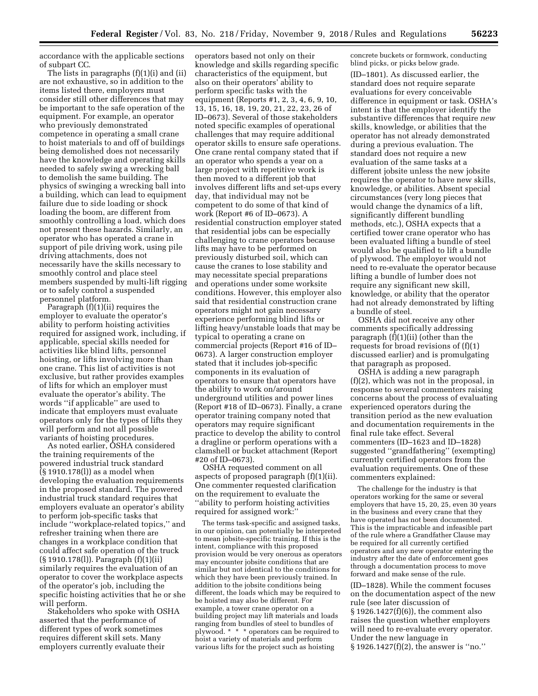accordance with the applicable sections of subpart CC.

The lists in paragraphs (f)(1)(i) and (ii) are not exhaustive, so in addition to the items listed there, employers must consider still other differences that may be important to the safe operation of the equipment. For example, an operator who previously demonstrated competence in operating a small crane to hoist materials to and off of buildings being demolished does not necessarily have the knowledge and operating skills needed to safely swing a wrecking ball to demolish the same building. The physics of swinging a wrecking ball into a building, which can lead to equipment failure due to side loading or shock loading the boom, are different from smoothly controlling a load, which does not present these hazards. Similarly, an operator who has operated a crane in support of pile driving work, using pile driving attachments, does not necessarily have the skills necessary to smoothly control and place steel members suspended by multi-lift rigging or to safely control a suspended personnel platform.

Paragraph (f)(1)(ii) requires the employer to evaluate the operator's ability to perform hoisting activities required for assigned work, including, if applicable, special skills needed for activities like blind lifts, personnel hoisting, or lifts involving more than one crane. This list of activities is not exclusive, but rather provides examples of lifts for which an employer must evaluate the operator's ability. The words ''if applicable'' are used to indicate that employers must evaluate operators only for the types of lifts they will perform and not all possible variants of hoisting procedures.

As noted earlier, OSHA considered the training requirements of the powered industrial truck standard (§ 1910.178(l)) as a model when developing the evaluation requirements in the proposed standard. The powered industrial truck standard requires that employers evaluate an operator's ability to perform job-specific tasks that include ''workplace-related topics,'' and refresher training when there are changes in a workplace condition that could affect safe operation of the truck (§ 1910.178(l)). Paragraph (f)(1)(ii) similarly requires the evaluation of an operator to cover the workplace aspects of the operator's job, including the specific hoisting activities that he or she will perform.

Stakeholders who spoke with OSHA asserted that the performance of different types of work sometimes requires different skill sets. Many employers currently evaluate their

operators based not only on their knowledge and skills regarding specific characteristics of the equipment, but also on their operators' ability to perform specific tasks with the equipment (Reports #1, 2, 3, 4, 6, 9, 10, 13, 15, 16, 18, 19, 20, 21, 22, 23, 26 of ID–0673). Several of those stakeholders noted specific examples of operational challenges that may require additional operator skills to ensure safe operations. One crane rental company stated that if an operator who spends a year on a large project with repetitive work is then moved to a different job that involves different lifts and set-ups every day, that individual may not be competent to do some of that kind of work (Report #6 of ID–0673). A residential construction employer stated that residential jobs can be especially challenging to crane operators because lifts may have to be performed on previously disturbed soil, which can cause the cranes to lose stability and may necessitate special preparations and operations under some worksite conditions. However, this employer also said that residential construction crane operators might not gain necessary experience performing blind lifts or lifting heavy/unstable loads that may be typical to operating a crane on commercial projects (Report #16 of ID– 0673). A larger construction employer stated that it includes job-specific components in its evaluation of operators to ensure that operators have the ability to work on/around underground utilities and power lines (Report #18 of ID–0673). Finally, a crane operator training company noted that operators may require significant practice to develop the ability to control a dragline or perform operations with a clamshell or bucket attachment (Report #20 of ID–0673).

OSHA requested comment on all aspects of proposed paragraph (f)(1)(ii). One commenter requested clarification on the requirement to evaluate the ''ability to perform hoisting activities required for assigned work:''

The terms task-specific and assigned tasks, in our opinion, can potentially be interpreted to mean jobsite-specific training. If this is the intent, compliance with this proposed provision would be very onerous as operators may encounter jobsite conditions that are similar but not identical to the conditions for which they have been previously trained. In addition to the jobsite conditions being different, the loads which may be required to be hoisted may also be different. For example, a tower crane operator on a building project may lift materials and loads ranging from bundles of steel to bundles of plywood. \* \* \* operators can be required to hoist a variety of materials and perform various lifts for the project such as hoisting

concrete buckets or formwork, conducting blind picks, or picks below grade.

(ID–1801). As discussed earlier, the standard does not require separate evaluations for every conceivable difference in equipment or task. OSHA's intent is that the employer identify the substantive differences that require *new*  skills, knowledge, or abilities that the operator has not already demonstrated during a previous evaluation. The standard does not require a new evaluation of the same tasks at a different jobsite unless the new jobsite requires the operator to have new skills, knowledge, or abilities. Absent special circumstances (very long pieces that would change the dynamics of a lift, significantly different bundling methods, etc.), OSHA expects that a certified tower crane operator who has been evaluated lifting a bundle of steel would also be qualified to lift a bundle of plywood. The employer would not need to re-evaluate the operator because lifting a bundle of lumber does not require any significant new skill, knowledge, or ability that the operator had not already demonstrated by lifting a bundle of steel.

OSHA did not receive any other comments specifically addressing paragraph (f)(1)(ii) (other than the requests for broad revisions of (f)(1) discussed earlier) and is promulgating that paragraph as proposed.

OSHA is adding a new paragraph (f)(2), which was not in the proposal, in response to several commenters raising concerns about the process of evaluating experienced operators during the transition period as the new evaluation and documentation requirements in the final rule take effect. Several commenters (ID–1623 and ID–1828) suggested ''grandfathering'' (exempting) currently certified operators from the evaluation requirements. One of these commenters explained:

The challenge for the industry is that operators working for the same or several employers that have 15, 20, 25, even 30 years in the business and every crane that they have operated has not been documented. This is the impracticable and infeasible part of the rule where a Grandfather Clause may be required for all currently certified operators and any new operator entering the industry after the date of enforcement goes through a documentation process to move forward and make sense of the rule.

(ID–1828). While the comment focuses on the documentation aspect of the new rule (see later discussion of § 1926.1427(f)(6)), the comment also raises the question whether employers will need to re-evaluate every operator. Under the new language in § 1926.1427(f)(2), the answer is ''no.''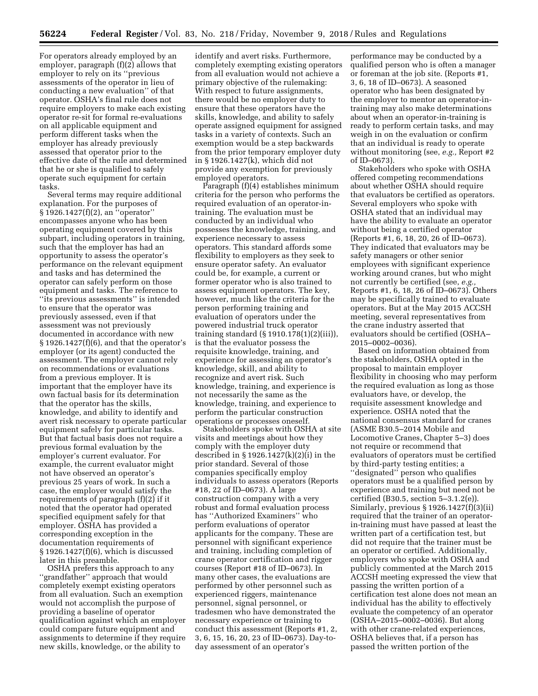For operators already employed by an employer, paragraph (f)(2) allows that employer to rely on its ''previous assessments of the operator in lieu of conducting a new evaluation'' of that operator. OSHA's final rule does not require employers to make each existing operator re-sit for formal re-evaluations on all applicable equipment and perform different tasks when the employer has already previously assessed that operator prior to the effective date of the rule and determined that he or she is qualified to safely operate such equipment for certain tasks.

Several terms may require additional explanation. For the purposes of § 1926.1427(f)(2), an ''operator'' encompasses anyone who has been operating equipment covered by this subpart, including operators in training, such that the employer has had an opportunity to assess the operator's performance on the relevant equipment and tasks and has determined the operator can safely perform on those equipment and tasks. The reference to ''its previous assessments'' is intended to ensure that the operator was previously assessed, even if that assessment was not previously documented in accordance with new  $§ 1926.1427(f)(6)$ , and that the operator's employer (or its agent) conducted the assessment. The employer cannot rely on recommendations or evaluations from a previous employer. It is important that the employer have its own factual basis for its determination that the operator has the skills, knowledge, and ability to identify and avert risk necessary to operate particular equipment safely for particular tasks. But that factual basis does not require a previous formal evaluation by the employer's current evaluator. For example, the current evaluator might not have observed an operator's previous 25 years of work. In such a case, the employer would satisfy the requirements of paragraph (f)(2) if it noted that the operator had operated specified equipment safely for that employer. OSHA has provided a corresponding exception in the documentation requirements of § 1926.1427(f)(6), which is discussed later in this preamble.

OSHA prefers this approach to any ''grandfather'' approach that would completely exempt existing operators from all evaluation. Such an exemption would not accomplish the purpose of providing a baseline of operator qualification against which an employer could compare future equipment and assignments to determine if they require new skills, knowledge, or the ability to

identify and avert risks. Furthermore, completely exempting existing operators from all evaluation would not achieve a primary objective of the rulemaking: With respect to future assignments, there would be no employer duty to ensure that these operators have the skills, knowledge, and ability to safely operate assigned equipment for assigned tasks in a variety of contexts. Such an exemption would be a step backwards from the prior temporary employer duty in § 1926.1427(k), which did not provide any exemption for previously employed operators.

Paragraph (f)(4) establishes minimum criteria for the person who performs the required evaluation of an operator-intraining. The evaluation must be conducted by an individual who possesses the knowledge, training, and experience necessary to assess operators. This standard affords some flexibility to employers as they seek to ensure operator safety. An evaluator could be, for example, a current or former operator who is also trained to assess equipment operators. The key, however, much like the criteria for the person performing training and evaluation of operators under the powered industrial truck operator training standard (§ 1910.178(1)(2)(iii)), is that the evaluator possess the requisite knowledge, training, and experience for assessing an operator's knowledge, skill, and ability to recognize and avert risk. Such knowledge, training, and experience is not necessarily the same as the knowledge, training, and experience to perform the particular construction operations or processes oneself.

Stakeholders spoke with OSHA at site visits and meetings about how they comply with the employer duty described in § 1926.1427(k)(2)(i) in the prior standard. Several of those companies specifically employ individuals to assess operators (Reports #18, 22 of ID–0673). A large construction company with a very robust and formal evaluation process has ''Authorized Examiners'' who perform evaluations of operator applicants for the company. These are personnel with significant experience and training, including completion of crane operator certification and rigger courses (Report #18 of ID–0673). In many other cases, the evaluations are performed by other personnel such as experienced riggers, maintenance personnel, signal personnel, or tradesmen who have demonstrated the necessary experience or training to conduct this assessment (Reports #1, 2, 3, 6, 15, 16, 20, 23 of ID–0673). Day-today assessment of an operator's

performance may be conducted by a qualified person who is often a manager or foreman at the job site. (Reports #1, 3, 6, 18 of ID–0673). A seasoned operator who has been designated by the employer to mentor an operator-intraining may also make determinations about when an operator-in-training is ready to perform certain tasks, and may weigh in on the evaluation or confirm that an individual is ready to operate without monitoring (see, *e.g.,* Report #2 of ID–0673).

Stakeholders who spoke with OSHA offered competing recommendations about whether OSHA should require that evaluators be certified as operators. Several employers who spoke with OSHA stated that an individual may have the ability to evaluate an operator without being a certified operator (Reports #1, 6, 18, 20, 26 of ID–0673). They indicated that evaluators may be safety managers or other senior employees with significant experience working around cranes, but who might not currently be certified (see, *e.g.,*  Reports #1, 6, 18, 26 of ID–0673). Others may be specifically trained to evaluate operators. But at the May 2015 ACCSH meeting, several representatives from the crane industry asserted that evaluators should be certified (OSHA– 2015–0002–0036).

Based on information obtained from the stakeholders, OSHA opted in the proposal to maintain employer flexibility in choosing who may perform the required evaluation as long as those evaluators have, or develop, the requisite assessment knowledge and experience. OSHA noted that the national consensus standard for cranes (ASME B30.5–2014 Mobile and Locomotive Cranes, Chapter 5–3) does not require or recommend that evaluators of operators must be certified by third-party testing entities; a ''designated'' person who qualifies operators must be a qualified person by experience and training but need not be certified (B30.5, section 5–3.1.2(e)). Similarly, previous § 1926.1427(f)(3)(ii) required that the trainer of an operatorin-training must have passed at least the written part of a certification test, but did not require that the trainer must be an operator or certified. Additionally, employers who spoke with OSHA and publicly commented at the March 2015 ACCSH meeting expressed the view that passing the written portion of a certification test alone does not mean an individual has the ability to effectively evaluate the competency of an operator (OSHA–2015–0002–0036). But along with other crane-related experiences, OSHA believes that, if a person has passed the written portion of the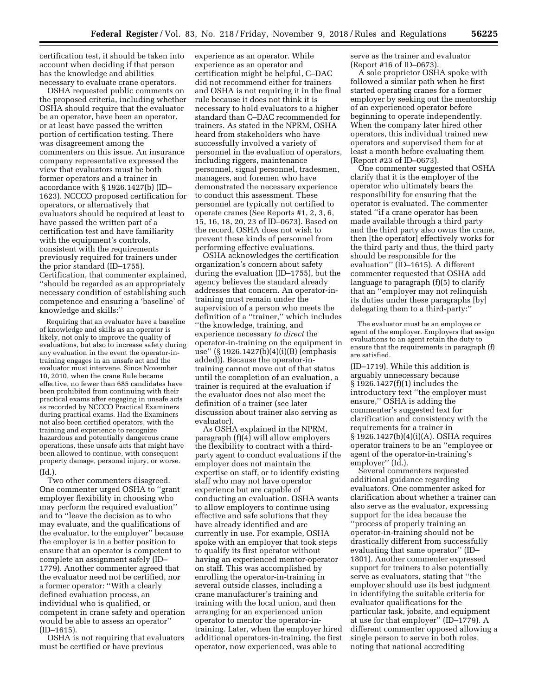certification test, it should be taken into account when deciding if that person has the knowledge and abilities necessary to evaluate crane operators.

OSHA requested public comments on the proposed criteria, including whether OSHA should require that the evaluator be an operator, have been an operator, or at least have passed the written portion of certification testing. There was disagreement among the commenters on this issue. An insurance company representative expressed the view that evaluators must be both former operators and a trainer in accordance with § 1926.1427(b) (ID– 1623). NCCCO proposed certification for operators, or alternatively that evaluators should be required at least to have passed the written part of a certification test and have familiarity with the equipment's controls, consistent with the requirements previously required for trainers under the prior standard (ID–1755). Certification, that commenter explained, ''should be regarded as an appropriately necessary condition of establishing such competence and ensuring a 'baseline' of knowledge and skills:''

Requiring that an evaluator have a baseline of knowledge and skills as an operator is likely, not only to improve the quality of evaluations, but also to increase safety during any evaluation in the event the operator-intraining engages in an unsafe act and the evaluator must intervene. Since November 10, 2010, when the crane Rule became effective, no fewer than 685 candidates have been prohibited from continuing with their practical exams after engaging in unsafe acts as recorded by NCCCO Practical Examiners during practical exams. Had the Examiners not also been certified operators, with the training and experience to recognize hazardous and potentially dangerous crane operations, these unsafe acts that might have been allowed to continue, with consequent property damage, personal injury, or worse. (Id.).

Two other commenters disagreed. One commenter urged OSHA to ''grant employer flexibility in choosing who may perform the required evaluation'' and to ''leave the decision as to who may evaluate, and the qualifications of the evaluator, to the employer'' because the employer is in a better position to ensure that an operator is competent to complete an assignment safely (ID– 1779). Another commenter agreed that the evaluator need not be certified, nor a former operator: ''With a clearly defined evaluation process, an individual who is qualified, or competent in crane safety and operation would be able to assess an operator''  $(ID-1615).$ 

OSHA is not requiring that evaluators must be certified or have previous

experience as an operator. While experience as an operator and certification might be helpful, C–DAC did not recommend either for trainers and OSHA is not requiring it in the final rule because it does not think it is necessary to hold evaluators to a higher standard than C–DAC recommended for trainers. As stated in the NPRM, OSHA heard from stakeholders who have successfully involved a variety of personnel in the evaluation of operators, including riggers, maintenance personnel, signal personnel, tradesmen, managers, and foremen who have demonstrated the necessary experience to conduct this assessment. These personnel are typically not certified to operate cranes (See Reports #1, 2, 3, 6, 15, 16, 18, 20, 23 of ID–0673). Based on the record, OSHA does not wish to prevent these kinds of personnel from performing effective evaluations.

OSHA acknowledges the certification organization's concern about safety during the evaluation (ID–1755), but the agency believes the standard already addresses that concern. An operator-intraining must remain under the supervision of a person who meets the definition of a ''trainer,'' which includes ''the knowledge, training, and experience necessary *to direct* the operator-in-training on the equipment in use'' (§ 1926.1427(b)(4)(i)(B) (emphasis added)). Because the operator-intraining cannot move out of that status until the completion of an evaluation, a trainer is required at the evaluation if the evaluator does not also meet the definition of a trainer (see later discussion about trainer also serving as evaluator).

As OSHA explained in the NPRM, paragraph (f)(4) will allow employers the flexibility to contract with a thirdparty agent to conduct evaluations if the employer does not maintain the expertise on staff, or to identify existing staff who may not have operator experience but are capable of conducting an evaluation. OSHA wants to allow employers to continue using effective and safe solutions that they have already identified and are currently in use. For example, OSHA spoke with an employer that took steps to qualify its first operator without having an experienced mentor-operator on staff. This was accomplished by enrolling the operator-in-training in several outside classes, including a crane manufacturer's training and training with the local union, and then arranging for an experienced union operator to mentor the operator-intraining. Later, when the employer hired additional operators-in-training, the first operator, now experienced, was able to

serve as the trainer and evaluator (Report #16 of ID–0673).

A sole proprietor OSHA spoke with followed a similar path when he first started operating cranes for a former employer by seeking out the mentorship of an experienced operator before beginning to operate independently. When the company later hired other operators, this individual trained new operators and supervised them for at least a month before evaluating them (Report #23 of ID–0673).

One commenter suggested that OSHA clarify that it is the employer of the operator who ultimately bears the responsibility for ensuring that the operator is evaluated. The commenter stated ''if a crane operator has been made available through a third party and the third party also owns the crane, then [the operator] effectively works for the third party and thus, the third party should be responsible for the evaluation'' (ID–1615). A different commenter requested that OSHA add language to paragraph (f)(5) to clarify that an ''employer may not relinquish its duties under these paragraphs [by] delegating them to a third-party:''

The evaluator must be an employee or agent of the employer. Employers that assign evaluations to an agent retain the duty to ensure that the requirements in paragraph (f) are satisfied.

(ID–1719). While this addition is arguably unnecessary because § 1926.1427(f)(1) includes the introductory text ''the employer must ensure,'' OSHA is adding the commenter's suggested text for clarification and consistency with the requirements for a trainer in § 1926.1427(b)(4)(i)(A). OSHA requires operator trainers to be an ''employee or agent of the operator-in-training's employer" (Id.).

Several commenters requested additional guidance regarding evaluators. One commenter asked for clarification about whether a trainer can also serve as the evaluator, expressing support for the idea because the ''process of properly training an operator-in-training should not be drastically different from successfully evaluating that same operator'' (ID– 1801). Another commenter expressed support for trainers to also potentially serve as evaluators, stating that ''the employer should use its best judgment in identifying the suitable criteria for evaluator qualifications for the particular task, jobsite, and equipment at use for that employer'' (ID–1779). A different commenter opposed allowing a single person to serve in both roles, noting that national accrediting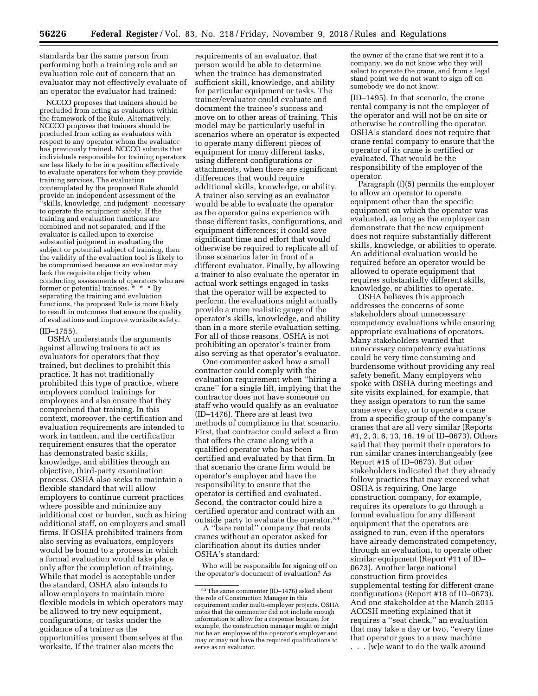standards bar the same person from performing both a training role and an evaluation role out of concern that an evaluator may not effectively evaluate of an operator the evaluator had trained:

NCCCO proposes that trainers should be precluded from acting as evaluators within the framework of the Rule. Alternatively, NCCCO proposes that trainers should be precluded from acting as evaluators with respect to any operator whom the evaluator has previously trained. NCCCO submits that individuals responsible for training operators are less likely to be in a position effectively to evaluate operators for whom they provide training services. The evaluation contemplated by the proposed Rule should provide an independent assessment of the 'skills, knowledge, and judgment'' necessary to operate the equipment safely. If the training and evaluation functions are combined and not separated, and if the evaluator is called upon to exercise substantial judgment in evaluating the subject or potential subject of training, then the validity of the evaluation tool is likely to be compromised because an evaluator may lack the requisite objectivity when conducting assessments of operators who are former or potential trainees. \* \* \* By separating the training and evaluation functions, the proposed Rule is more likely to result in outcomes that ensure the quality of evaluations and improve worksite safety.  $(ID-1755)$ 

## OSHA understands the arguments against allowing trainers to act as evaluators for operators that they trained, but declines to prohibit this practice. It has not traditionally prohibited this type of practice, where employers conduct trainings for employees and also ensure that they comprehend that training. In this context, moreover, the certification and evaluation requirements are intended to work in tandem, and the certification requirement ensures that the operator has demonstrated basic skills, knowledge, and abilities through an objective, third-party examination process. OSHA also seeks to maintain a flexible standard that will allow employers to continue current practices where possible and minimize any additional cost or burden, such as hiring additional staff, on employers and small firms. If OSHA prohibited trainers from also serving as evaluators, employers would be bound to a process in which a formal evaluation would take place only after the completion of training. While that model is acceptable under the standard, OSHA also intends to allow employers to maintain more flexible models in which operators may be allowed to try new equipment, configurations, or tasks under the guidance of a trainer as the opportunities present themselves at the worksite. If the trainer also meets the

requirements of an evaluator, that person would be able to determine when the trainee has demonstrated sufficient skill, knowledge, and ability for particular equipment or tasks. The trainer/evaluator could evaluate and document the trainee's success and move on to other areas of training. This model may be particularly useful in scenarios where an operator is expected to operate many different pieces of equipment for many different tasks, using different configurations or attachments, when there are significant differences that would require additional skills, knowledge, or ability. A trainer also serving as an evaluator would be able to evaluate the operator as the operator gains experience with those different tasks, configurations, and equipment differences; it could save significant time and effort that would otherwise be required to replicate all of those scenarios later in front of a different evaluator. Finally, by allowing a trainer to also evaluate the operator in actual work settings engaged in tasks that the operator will be expected to perform, the evaluations might actually provide a more realistic gauge of the operator's skills, knowledge, and ability than in a more sterile evaluation setting. For all of those reasons, OSHA is not prohibiting an operator's trainer from also serving as that operator's evaluator.

One commenter asked how a small contractor could comply with the evaluation requirement when ''hiring a crane'' for a single lift, implying that the contractor does not have someone on staff who would qualify as an evaluator (ID–1476). There are at least two methods of compliance in that scenario. First, that contractor could select a firm that offers the crane along with a qualified operator who has been certified and evaluated by that firm. In that scenario the crane firm would be operator's employer and have the responsibility to ensure that the operator is certified and evaluated. Second, the contractor could hire a certified operator and contract with an outside party to evaluate the operator.23

A ''bare rental'' company that rents cranes without an operator asked for clarification about its duties under OSHA's standard:

Who will be responsible for signing off on the operator's document of evaluation? As

the owner of the crane that we rent it to a company, we do not know who they will select to operate the crane, and from a legal stand point we do not want to sign off on somebody we do not know.

(ID–1495). In that scenario, the crane rental company is not the employer of the operator and will not be on site or otherwise be controlling the operator. OSHA's standard does not require that crane rental company to ensure that the operator of its crane is certified or evaluated. That would be the responsibility of the employer of the operator.

Paragraph (f)(5) permits the employer to allow an operator to operate equipment other than the specific equipment on which the operator was evaluated, as long as the employer can demonstrate that the new equipment does not require substantially different skills, knowledge, or abilities to operate. An additional evaluation would be required before an operator would be allowed to operate equipment that requires substantially different skills, knowledge, or abilities to operate.

OSHA believes this approach addresses the concerns of some stakeholders about unnecessary competency evaluations while ensuring appropriate evaluations of operators. Many stakeholders warned that unnecessary competency evaluations could be very time consuming and burdensome without providing any real safety benefit. Many employers who spoke with OSHA during meetings and site visits explained, for example, that they assign operators to run the same crane every day, or to operate a crane from a specific group of the company's cranes that are all very similar (Reports #1, 2, 3, 6, 13, 16, 19 of ID–0673). Others said that they permit their operators to run similar cranes interchangeably (see Report #15 of ID–0673). But other stakeholders indicated that they already follow practices that may exceed what OSHA is requiring. One large construction company, for example, requires its operators to go through a formal evaluation for any different equipment that the operators are assigned to run, even if the operators have already demonstrated competency, through an evaluation, to operate other similar equipment (Report #11 of ID– 0673). Another large national construction firm provides supplemental testing for different crane configurations (Report #18 of ID–0673). And one stakeholder at the March 2015 ACCSH meeting explained that it requires a ''seat check,'' an evaluation that may take a day or two, ''every time that operator goes to a new machine . . . [w]e want to do the walk around

<sup>23</sup>The same commenter (ID–1476) asked about the role of Construction Manager in this requirement under multi-employer projects. OSHA notes that the commenter did not include enough information to allow for a response because, for example, the construction manager might or might not be an employee of the operator's employer and may or may not have the required qualifications to serve as an evaluator.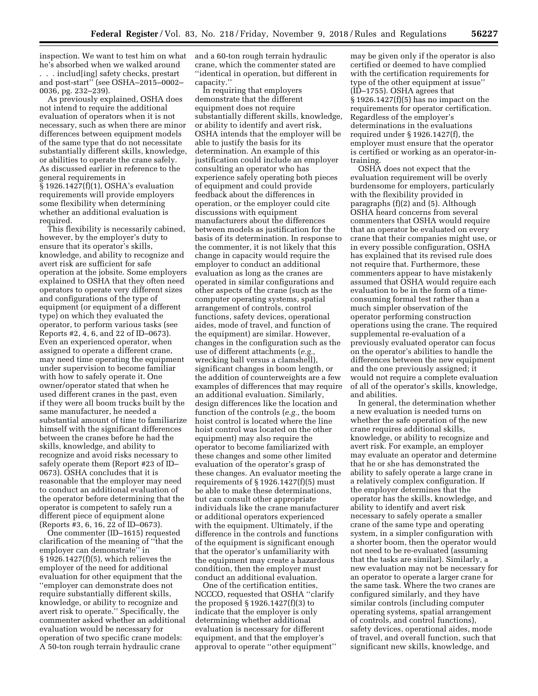inspection. We want to test him on what he's absorbed when we walked around . . . includ[ing] safety checks, prestart and post-start'' (see OSHA–2015–0002– 0036, pg. 232–239).

As previously explained, OSHA does not intend to require the additional evaluation of operators when it is not necessary, such as when there are minor differences between equipment models of the same type that do not necessitate substantially different skills, knowledge, or abilities to operate the crane safely. As discussed earlier in reference to the general requirements in § 1926.1427(f)(1), OSHA's evaluation requirements will provide employers some flexibility when determining whether an additional evaluation is required.

This flexibility is necessarily cabined, however, by the employer's duty to ensure that its operator's skills, knowledge, and ability to recognize and avert risk are sufficient for safe operation at the jobsite. Some employers explained to OSHA that they often need operators to operate very different sizes and configurations of the type of equipment (or equipment of a different type) on which they evaluated the operator, to perform various tasks (see Reports #2, 4, 6, and 22 of ID–0673). Even an experienced operator, when assigned to operate a different crane, may need time operating the equipment under supervision to become familiar with how to safely operate it. One owner/operator stated that when he used different cranes in the past, even if they were all boom trucks built by the same manufacturer, he needed a substantial amount of time to familiarize himself with the significant differences between the cranes before he had the skills, knowledge, and ability to recognize and avoid risks necessary to safely operate them (Report #23 of ID– 0673). OSHA concludes that it is reasonable that the employer may need to conduct an additional evaluation of the operator before determining that the operator is competent to safely run a different piece of equipment alone (Reports #3, 6, 16, 22 of ID–0673).

One commenter (ID–1615) requested clarification of the meaning of ''that the employer can demonstrate" in § 1926.1427(f)(5), which relieves the employer of the need for additional evaluation for other equipment that the ''employer can demonstrate does not require substantially different skills, knowledge, or ability to recognize and avert risk to operate.'' Specifically, the commenter asked whether an additional evaluation would be necessary for operation of two specific crane models: A 50-ton rough terrain hydraulic crane

and a 60-ton rough terrain hydraulic crane, which the commenter stated are ''identical in operation, but different in capacity.''

In requiring that employers demonstrate that the different equipment does not require substantially different skills, knowledge, or ability to identify and avert risk, OSHA intends that the employer will be able to justify the basis for its determination. An example of this justification could include an employer consulting an operator who has experience safely operating both pieces of equipment and could provide feedback about the differences in operation, or the employer could cite discussions with equipment manufacturers about the differences between models as justification for the basis of its determination. In response to the commenter, it is not likely that this change in capacity would require the employer to conduct an additional evaluation as long as the cranes are operated in similar configurations and other aspects of the crane (such as the computer operating systems, spatial arrangement of controls, control functions, safety devices, operational aides, mode of travel, and function of the equipment) are similar. However, changes in the configuration such as the use of different attachments (*e.g.,*  wrecking ball versus a clamshell), significant changes in boom length, or the addition of counterweights are a few examples of differences that may require an additional evaluation. Similarly, design differences like the location and function of the controls (*e.g.,* the boom hoist control is located where the line hoist control was located on the other equipment) may also require the operator to become familiarized with these changes and some other limited evaluation of the operator's grasp of these changes. An evaluator meeting the requirements of  $\S 1926.1427(f)(5)$  must be able to make these determinations, but can consult other appropriate individuals like the crane manufacturer or additional operators experienced with the equipment. Ultimately, if the difference in the controls and functions of the equipment is significant enough that the operator's unfamiliarity with the equipment may create a hazardous condition, then the employer must conduct an additional evaluation.

One of the certification entities, NCCCO, requested that OSHA ''clarify the proposed § 1926.1427(f)(3) to indicate that the employer is only determining whether additional evaluation is necessary for different equipment, and that the employer's approval to operate ''other equipment''

may be given only if the operator is also certified or deemed to have complied with the certification requirements for type of the other equipment at issue'' (ID–1755). OSHA agrees that § 1926.1427(f)(5) has no impact on the requirements for operator certification. Regardless of the employer's determinations in the evaluations required under § 1926.1427(f), the employer must ensure that the operator is certified or working as an operator-intraining.

OSHA does not expect that the evaluation requirement will be overly burdensome for employers, particularly with the flexibility provided in paragraphs (f)(2) and (5). Although OSHA heard concerns from several commenters that OSHA would require that an operator be evaluated on every crane that their companies might use, or in every possible configuration, OSHA has explained that its revised rule does not require that. Furthermore, these commenters appear to have mistakenly assumed that OSHA would require each evaluation to be in the form of a timeconsuming formal test rather than a much simpler observation of the operator performing construction operations using the crane. The required supplemental re-evaluation of a previously evaluated operator can focus on the operator's abilities to handle the differences between the new equipment and the one previously assigned; it would not require a complete evaluation of all of the operator's skills, knowledge, and abilities.

In general, the determination whether a new evaluation is needed turns on whether the safe operation of the new crane requires additional skills, knowledge, or ability to recognize and avert risk. For example, an employer may evaluate an operator and determine that he or she has demonstrated the ability to safely operate a large crane in a relatively complex configuration. If the employer determines that the operator has the skills, knowledge, and ability to identify and avert risk necessary to safely operate a smaller crane of the same type and operating system, in a simpler configuration with a shorter boom, then the operator would not need to be re-evaluated (assuming that the tasks are similar). Similarly, a new evaluation may not be necessary for an operator to operate a larger crane for the same task. Where the two cranes are configured similarly, and they have similar controls (including computer operating systems, spatial arrangement of controls, and control functions), safety devices, operational aides, mode of travel, and overall function, such that significant new skills, knowledge, and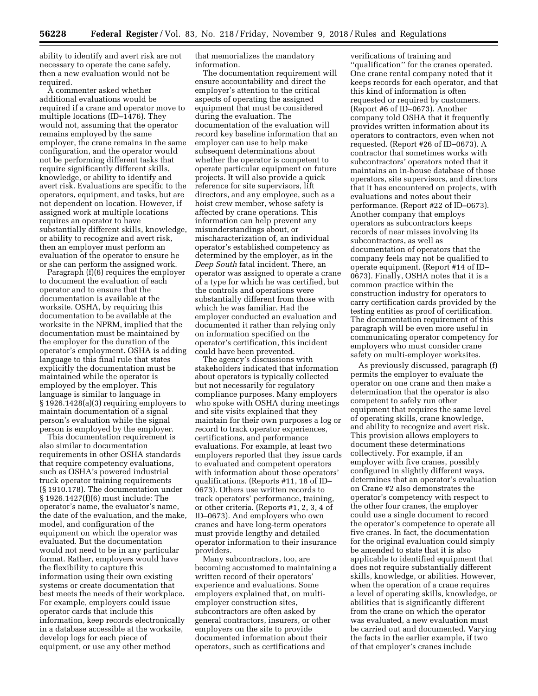ability to identify and avert risk are not necessary to operate the cane safely, then a new evaluation would not be required.

A commenter asked whether additional evaluations would be required if a crane and operator move to multiple locations (ID–1476). They would not, assuming that the operator remains employed by the same employer, the crane remains in the same configuration, and the operator would not be performing different tasks that require significantly different skills, knowledge, or ability to identify and avert risk. Evaluations are specific to the operators, equipment, and tasks, but are not dependent on location. However, if assigned work at multiple locations requires an operator to have substantially different skills, knowledge, or ability to recognize and avert risk, then an employer must perform an evaluation of the operator to ensure he or she can perform the assigned work.

Paragraph (f)(6) requires the employer to document the evaluation of each operator and to ensure that the documentation is available at the worksite. OSHA, by requiring this documentation to be available at the worksite in the NPRM, implied that the documentation must be maintained by the employer for the duration of the operator's employment. OSHA is adding language to this final rule that states explicitly the documentation must be maintained while the operator is employed by the employer. This language is similar to language in § 1926.1428(a)(3) requiring employers to maintain documentation of a signal person's evaluation while the signal person is employed by the employer.

This documentation requirement is also similar to documentation requirements in other OSHA standards that require competency evaluations, such as OSHA's powered industrial truck operator training requirements (§ 1910.178). The documentation under § 1926.1427(f)(6) must include: The operator's name, the evaluator's name, the date of the evaluation, and the make, model, and configuration of the equipment on which the operator was evaluated. But the documentation would not need to be in any particular format. Rather, employers would have the flexibility to capture this information using their own existing systems or create documentation that best meets the needs of their workplace. For example, employers could issue operator cards that include this information, keep records electronically in a database accessible at the worksite, develop logs for each piece of equipment, or use any other method

that memorializes the mandatory information.

The documentation requirement will ensure accountability and direct the employer's attention to the critical aspects of operating the assigned equipment that must be considered during the evaluation. The documentation of the evaluation will record key baseline information that an employer can use to help make subsequent determinations about whether the operator is competent to operate particular equipment on future projects. It will also provide a quick reference for site supervisors, lift directors, and any employee, such as a hoist crew member, whose safety is affected by crane operations. This information can help prevent any misunderstandings about, or mischaracterization of, an individual operator's established competency as determined by the employer, as in the *Deep South* fatal incident. There, an operator was assigned to operate a crane of a type for which he was certified, but the controls and operations were substantially different from those with which he was familiar. Had the employer conducted an evaluation and documented it rather than relying only on information specified on the operator's certification, this incident could have been prevented.

The agency's discussions with stakeholders indicated that information about operators is typically collected but not necessarily for regulatory compliance purposes. Many employers who spoke with OSHA during meetings and site visits explained that they maintain for their own purposes a log or record to track operator experiences, certifications, and performance evaluations. For example, at least two employers reported that they issue cards to evaluated and competent operators with information about those operators' qualifications. (Reports #11, 18 of ID– 0673). Others use written records to track operators' performance, training, or other criteria. (Reports #1, 2, 3, 4 of ID–0673). And employers who own cranes and have long-term operators must provide lengthy and detailed operator information to their insurance providers.

Many subcontractors, too, are becoming accustomed to maintaining a written record of their operators' experience and evaluations. Some employers explained that, on multiemployer construction sites, subcontractors are often asked by general contractors, insurers, or other employers on the site to provide documented information about their operators, such as certifications and

verifications of training and ''qualification'' for the cranes operated. One crane rental company noted that it keeps records for each operator, and that this kind of information is often requested or required by customers. (Report #6 of ID–0673). Another company told OSHA that it frequently provides written information about its operators to contractors, even when not requested. (Report #26 of ID–0673). A contractor that sometimes works with subcontractors' operators noted that it maintains an in-house database of those operators, site supervisors, and directors that it has encountered on projects, with evaluations and notes about their performance. (Report #22 of ID–0673). Another company that employs operators as subcontractors keeps records of near misses involving its subcontractors, as well as documentation of operators that the company feels may not be qualified to operate equipment. (Report #14 of ID– 0673). Finally, OSHA notes that it is a common practice within the construction industry for operators to carry certification cards provided by the testing entities as proof of certification. The documentation requirement of this paragraph will be even more useful in communicating operator competency for employers who must consider crane safety on multi-employer worksites.

As previously discussed, paragraph (f) permits the employer to evaluate the operator on one crane and then make a determination that the operator is also competent to safely run other equipment that requires the same level of operating skills, crane knowledge, and ability to recognize and avert risk. This provision allows employers to document these determinations collectively. For example, if an employer with five cranes, possibly configured in slightly different ways, determines that an operator's evaluation on Crane #2 also demonstrates the operator's competency with respect to the other four cranes, the employer could use a single document to record the operator's competence to operate all five cranes. In fact, the documentation for the original evaluation could simply be amended to state that it is also applicable to identified equipment that does not require substantially different skills, knowledge, or abilities. However, when the operation of a crane requires a level of operating skills, knowledge, or abilities that is significantly different from the crane on which the operator was evaluated, a new evaluation must be carried out and documented. Varying the facts in the earlier example, if two of that employer's cranes include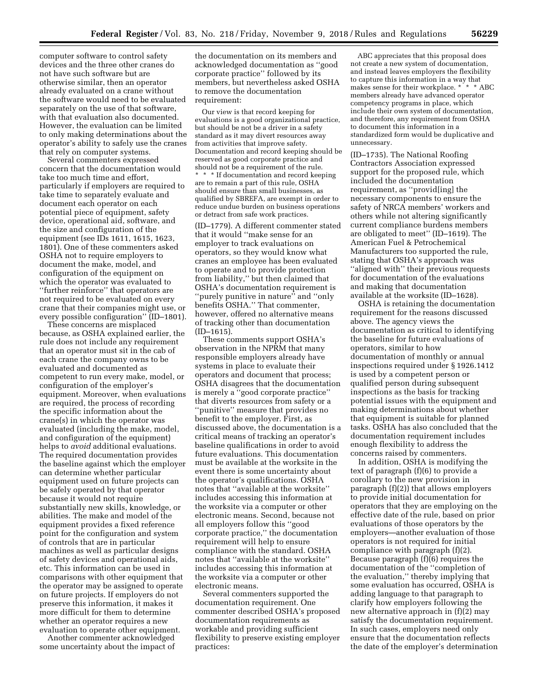computer software to control safety devices and the three other cranes do not have such software but are otherwise similar, then an operator already evaluated on a crane without the software would need to be evaluated separately on the use of that software, with that evaluation also documented. However, the evaluation can be limited to only making determinations about the operator's ability to safely use the cranes that rely on computer systems.

Several commenters expressed concern that the documentation would take too much time and effort, particularly if employers are required to take time to separately evaluate and document each operator on each potential piece of equipment, safety device, operational aid, software, and the size and configuration of the equipment (see IDs 1611, 1615, 1623, 1801). One of these commenters asked OSHA not to require employers to document the make, model, and configuration of the equipment on which the operator was evaluated to ''further reinforce'' that operators are not required to be evaluated on every crane that their companies might use, or every possible configuration'' (ID–1801).

These concerns are misplaced because, as OSHA explained earlier, the rule does not include any requirement that an operator must sit in the cab of each crane the company owns to be evaluated and documented as competent to run every make, model, or configuration of the employer's equipment. Moreover, when evaluations are required, the process of recording the specific information about the crane(s) in which the operator was evaluated (including the make, model, and configuration of the equipment) helps to *avoid* additional evaluations. The required documentation provides the baseline against which the employer can determine whether particular equipment used on future projects can be safely operated by that operator because it would not require substantially new skills, knowledge, or abilities. The make and model of the equipment provides a fixed reference point for the configuration and system of controls that are in particular machines as well as particular designs of safety devices and operational aids, etc. This information can be used in comparisons with other equipment that the operator may be assigned to operate on future projects. If employers do not preserve this information, it makes it more difficult for them to determine whether an operator requires a new evaluation to operate other equipment.

Another commenter acknowledged some uncertainty about the impact of

the documentation on its members and acknowledged documentation as ''good corporate practice'' followed by its members, but nevertheless asked OSHA to remove the documentation requirement:

Our view is that record keeping for evaluations is a good organizational practice, but should be not be a driver in a safety standard as it may divert resources away from activities that improve safety. Documentation and record keeping should be reserved as good corporate practice and should not be a requirement of the rule.

\* \* \* If documentation and record keeping are to remain a part of this rule, OSHA should ensure than small businesses, as qualified by SBREFA, are exempt in order to reduce undue burden on business operations or detract from safe work practices.

(ID–1779). A different commenter stated that it would ''make sense for an employer to track evaluations on operators, so they would know what cranes an employee has been evaluated to operate and to provide protection from liability,'' but then claimed that OSHA's documentation requirement is ''purely punitive in nature'' and ''only benefits OSHA.'' That commenter, however, offered no alternative means of tracking other than documentation (ID–1615).

These comments support OSHA's observation in the NPRM that many responsible employers already have systems in place to evaluate their operators and document that process; OSHA disagrees that the documentation is merely a ''good corporate practice'' that diverts resources from safety or a ''punitive'' measure that provides no benefit to the employer. First, as discussed above, the documentation is a critical means of tracking an operator's baseline qualifications in order to avoid future evaluations. This documentation must be available at the worksite in the event there is some uncertainty about the operator's qualifications. OSHA notes that ''available at the worksite'' includes accessing this information at the worksite via a computer or other electronic means. Second, because not all employers follow this ''good corporate practice,'' the documentation requirement will help to ensure compliance with the standard. OSHA notes that ''available at the worksite'' includes accessing this information at the worksite via a computer or other electronic means.

Several commenters supported the documentation requirement. One commenter described OSHA's proposed documentation requirements as workable and providing sufficient flexibility to preserve existing employer practices:

ABC appreciates that this proposal does not create a new system of documentation, and instead leaves employers the flexibility to capture this information in a way that makes sense for their workplace. \* \* \* \* ABC members already have advanced operator competency programs in place, which include their own system of documentation, and therefore, any requirement from OSHA to document this information in a standardized form would be duplicative and unnecessary.

(ID–1735). The National Roofing Contractors Association expressed support for the proposed rule, which included the documentation requirement, as ''provid[ing] the necessary components to ensure the safety of NRCA members' workers and others while not altering significantly current compliance burdens members are obligated to meet'' (ID–1619). The American Fuel & Petrochemical Manufacturers too supported the rule, stating that OSHA's approach was "aligned with" their previous requests for documentation of the evaluations and making that documentation available at the worksite (ID–1628).

OSHA is retaining the documentation requirement for the reasons discussed above. The agency views the documentation as critical to identifying the baseline for future evaluations of operators, similar to how documentation of monthly or annual inspections required under § 1926.1412 is used by a competent person or qualified person during subsequent inspections as the basis for tracking potential issues with the equipment and making determinations about whether that equipment is suitable for planned tasks. OSHA has also concluded that the documentation requirement includes enough flexibility to address the concerns raised by commenters.

In addition, OSHA is modifying the text of paragraph (f)(6) to provide a corollary to the new provision in paragraph (f)(2)) that allows employers to provide initial documentation for operators that they are employing on the effective date of the rule, based on prior evaluations of those operators by the employers—another evaluation of those operators is not required for initial compliance with paragraph (f)(2). Because paragraph (f)(6) requires the documentation of the ''completion of the evaluation,'' thereby implying that some evaluation has occurred, OSHA is adding language to that paragraph to clarify how employers following the new alternative approach in (f)(2) may satisfy the documentation requirement. In such cases, employers need only ensure that the documentation reflects the date of the employer's determination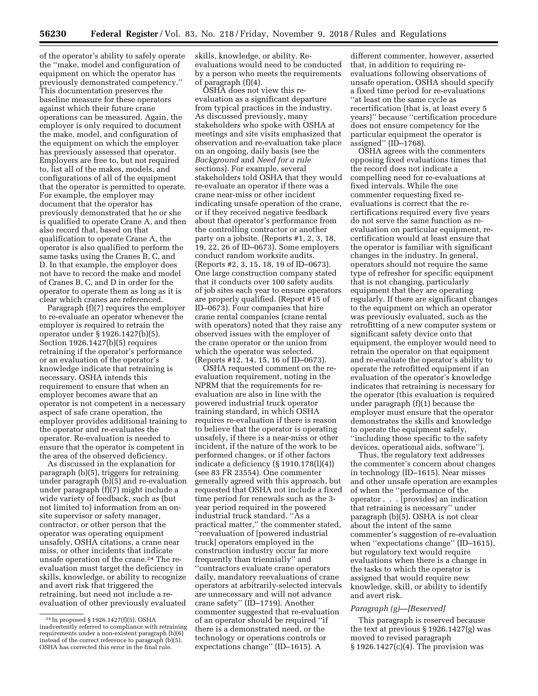of the operator's ability to safely operate the ''make, model and configuration of equipment on which the operator has previously demonstrated competency.'' This documentation preserves the baseline measure for these operators against which their future crane operations can be measured. Again, the employer is only required to document the make, model, and configuration of the equipment on which the employer has previously assessed that operator. Employers are free to, but not required to, list all of the makes, models, and configurations of all of the equipment that the operator is permitted to operate. For example, the employer may document that the operator has previously demonstrated that he or she is qualified to operate Crane A, and then also record that, based on that qualification to operate Crane A, the operator is also qualified to perform the same tasks using the Cranes B, C, and D. In that example, the employer does not have to record the make and model of Cranes B, C, and D in order for the operator to operate them as long as it is clear which cranes are referenced.

Paragraph (f)(7) requires the employer to re-evaluate an operator whenever the employer is required to retrain the operator under § 1926.1427(b)(5). Section 1926.1427(b)(5) requires retraining if the operator's performance or an evaluation of the operator's knowledge indicate that retraining is necessary. OSHA intends this requirement to ensure that when an employer becomes aware that an operator is not competent in a necessary aspect of safe crane operation, the employer provides additional training to the operator and re-evaluates the operator. Re-evaluation is needed to ensure that the operator is competent in the area of the observed deficiency.

As discussed in the explanation for paragraph (b)(5), triggers for retraining under paragraph (b)(5) and re-evaluation under paragraph (f)(7) might include a wide variety of feedback, such as (but not limited to) information from an onsite supervisor or safety manager, contractor, or other person that the operator was operating equipment unsafely, OSHA citations, a crane near miss, or other incidents that indicate unsafe operation of the crane.24 The reevaluation must target the deficiency in skills, knowledge, or ability to recognize and avert risk that triggered the retraining, but need not include a reevaluation of other previously evaluated skills, knowledge, or ability. Reevaluations would need to be conducted by a person who meets the requirements of paragraph (f)(4).

OSHA does not view this reevaluation as a significant departure from typical practices in the industry. As discussed previously, many stakeholders who spoke with OSHA at meetings and site visits emphasized that observation and re-evaluation take place on an ongoing, daily basis (see the *Background* and *Need for a rule*  sections). For example, several stakeholders told OSHA that they would re-evaluate an operator if there was a crane near-miss or other incident indicating unsafe operation of the crane, or if they received negative feedback about that operator's performance from the controlling contractor or another party on a jobsite. (Reports #1, 2, 3, 18, 19, 22, 26 of ID–0673). Some employers conduct random worksite audits. (Reports #2, 3, 15, 18, 19 of ID–0673). One large construction company stated that it conducts over 100 safety audits of job sites each year to ensure operators are properly qualified. (Report #15 of ID–0673). Four companies that hire crane rental companies (crane rental with operators) noted that they raise any observed issues with the employer of the crane operator or the union from which the operator was selected. (Reports #12, 14, 15, 16 of ID–0673).

OSHA requested comment on the reevaluation requirement, noting in the NPRM that the requirements for reevaluation are also in line with the powered industrial truck operator training standard, in which OSHA requires re-evaluation if there is reason to believe that the operator is operating unsafely, if there is a near-miss or other incident, if the nature of the work to be performed changes, or if other factors indicate a deficiency (§ 1910.178(l)(4)) (see 83 FR 23554). One commenter generally agreed with this approach, but requested that OSHA not include a fixed time period for renewals such as the 3 year period required in the powered industrial truck standard. ''As a practical matter,'' the commenter stated, ''reevaluation of [powered industrial truck] operators employed in the construction industry occur far more frequently than triennially'' and ''contractors evaluate crane operators daily, mandatory reevaluations of crane operators at arbitrarily-selected intervals are unnecessary and will not advance crane safety'' (ID–1719). Another commenter suggested that re-evaluation of an operator should be required ''if there is a demonstrated need, or the technology or operations controls or expectations change'' (ID–1615). A

different commenter, however, asserted that, in addition to requiring reevaluations following observations of unsafe operation, OSHA should specify a fixed time period for re-evaluations ''at least on the same cycle as recertification (that is, at least every 5 years)'' because ''certification procedure does not ensure competency for the particular equipment the operator is assigned'' (ID–1768).

OSHA agrees with the commenters opposing fixed evaluations times that the record does not indicate a compelling need for re-evaluations at fixed intervals. While the one commenter requesting fixed reevaluations is correct that the recertifications required every five years do not serve the same function as reevaluation on particular equipment, recertification would at least ensure that the operator is familiar with significant changes in the industry. In general, operators should not require the same type of refresher for specific equipment that is not changing, particularly equipment that they are operating regularly. If there are significant changes to the equipment on which an operator was previously evaluated, such as the retrofitting of a new computer system or significant safety device onto that equipment, the employer would need to retrain the operator on that equipment and re-evaluate the operator's ability to operate the retrofitted equipment if an evaluation of the operator's knowledge indicates that retraining is necessary for the operator (this evaluation is required under paragraph (f)(1) because the employer must ensure that the operator demonstrates the skills and knowledge to operate the equipment safely, ''including those specific to the safety devices, operational aids, software'').

Thus, the regulatory text addresses the commenter's concern about changes in technology (ID–1615). Near misses and other unsafe operation are examples of when the ''performance of the operator . . . [provides] an indication that retraining is necessary'' under paragraph (b)(5). OSHA is not clear about the intent of the same commenter's suggestion of re-evaluation when "expectations change" (ID-1615), but regulatory text would require evaluations when there is a change in the tasks to which the operator is assigned that would require new knowledge, skill, or ability to identify and avert risk.

#### *Paragraph (g)—[Reserved]*

This paragraph is reserved because the text at previous § 1926.1427(g) was moved to revised paragraph § 1926.1427(c)(4). The provision was

<sup>24</sup> In proposed § 1926.1427(f)(5), OSHA inadvertently referred to compliance with retraining requirements under a non-existent paragraph (b)(6) instead of the correct reference to paragraph (b)(5). OSHA has corrected this error in the final rule.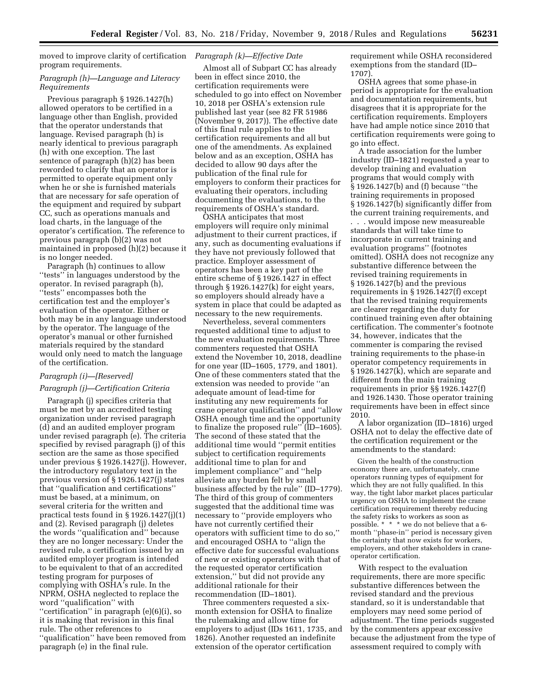moved to improve clarity of certification *Paragraph (k)—Effective Date*  program requirements.

## *Paragraph (h)—Language and Literacy Requirements*

Previous paragraph § 1926.1427(h) allowed operators to be certified in a language other than English, provided that the operator understands that language. Revised paragraph (h) is nearly identical to previous paragraph (h) with one exception. The last sentence of paragraph (h)(2) has been reworded to clarify that an operator is permitted to operate equipment only when he or she is furnished materials that are necessary for safe operation of the equipment and required by subpart CC, such as operations manuals and load charts, in the language of the operator's certification. The reference to previous paragraph (b)(2) was not maintained in proposed (h)(2) because it is no longer needed.

Paragraph (h) continues to allow ''tests'' in languages understood by the operator. In revised paragraph (h), ''tests'' encompasses both the certification test and the employer's evaluation of the operator. Either or both may be in any language understood by the operator. The language of the operator's manual or other furnished materials required by the standard would only need to match the language of the certification.

# *Paragraph (i)—[Reserved] Paragraph (j)—Certification Criteria*

Paragraph (j) specifies criteria that must be met by an accredited testing organization under revised paragraph (d) and an audited employer program under revised paragraph (e). The criteria specified by revised paragraph (j) of this section are the same as those specified under previous § 1926.1427(j). However, the introductory regulatory text in the previous version of § 1926.1427(j) states that ''qualification and certifications'' must be based, at a minimum, on several criteria for the written and practical tests found in § 1926.1427(j)(1) and (2). Revised paragraph (j) deletes the words ''qualification and'' because they are no longer necessary: Under the revised rule, a certification issued by an audited employer program is intended to be equivalent to that of an accredited testing program for purposes of complying with OSHA's rule. In the NPRM, OSHA neglected to replace the word ''qualification'' with ''certification'' in paragraph (e)(6)(i), so it is making that revision in this final rule. The other references to ''qualification'' have been removed from paragraph (e) in the final rule.

Almost all of Subpart CC has already been in effect since 2010, the certification requirements were scheduled to go into effect on November 10, 2018 per OSHA's extension rule published last year (see 82 FR 51986 (November 9, 2017)). The effective date of this final rule applies to the certification requirements and all but one of the amendments. As explained below and as an exception, OSHA has decided to allow 90 days after the publication of the final rule for employers to conform their practices for evaluating their operators, including documenting the evaluations, to the requirements of OSHA's standard.

OSHA anticipates that most employers will require only minimal adjustment to their current practices, if any, such as documenting evaluations if they have not previously followed that practice. Employer assessment of operators has been a key part of the entire scheme of § 1926.1427 in effect through § 1926.1427(k) for eight years, so employers should already have a system in place that could be adapted as necessary to the new requirements.

Nevertheless, several commenters requested additional time to adjust to the new evaluation requirements. Three commenters requested that OSHA extend the November 10, 2018, deadline for one year (ID–1605, 1779, and 1801). One of these commenters stated that the extension was needed to provide ''an adequate amount of lead-time for instituting any new requirements for crane operator qualification'' and ''allow OSHA enough time and the opportunity to finalize the proposed rule'' (ID–1605). The second of these stated that the additional time would ''permit entities subject to certification requirements additional time to plan for and implement compliance'' and ''help alleviate any burden felt by small business affected by the rule'' (ID–1779). The third of this group of commenters suggested that the additional time was necessary to ''provide employers who have not currently certified their operators with sufficient time to do so,'' and encouraged OSHA to ''align the effective date for successful evaluations of new or existing operators with that of the requested operator certification extension,'' but did not provide any additional rationale for their recommendation (ID–1801).

Three commenters requested a sixmonth extension for OSHA to finalize the rulemaking and allow time for employers to adjust (IDs 1611, 1735, and 1826). Another requested an indefinite extension of the operator certification

requirement while OSHA reconsidered exemptions from the standard (ID– 1707).

OSHA agrees that some phase-in period is appropriate for the evaluation and documentation requirements, but disagrees that it is appropriate for the certification requirements. Employers have had ample notice since 2010 that certification requirements were going to go into effect.

A trade association for the lumber industry (ID–1821) requested a year to develop training and evaluation programs that would comply with § 1926.1427(b) and (f) because ''the training requirements in proposed § 1926.1427(b) significantly differ from the current training requirements, and

. . . would impose new measureable standards that will take time to incorporate in current training and evaluation programs'' (footnotes omitted). OSHA does not recognize any substantive difference between the revised training requirements in § 1926.1427(b) and the previous requirements in § 1926.1427(f) except that the revised training requirements are clearer regarding the duty for continued training even after obtaining certification. The commenter's footnote 34, however, indicates that the commenter is comparing the revised training requirements to the phase-in operator competency requirements in § 1926.1427(k), which are separate and different from the main training requirements in prior §§ 1926.1427(f) and 1926.1430. Those operator training requirements have been in effect since 2010.

A labor organization (ID–1816) urged OSHA not to delay the effective date of the certification requirement or the amendments to the standard:

Given the health of the construction economy there are, unfortunately, crane operators running types of equipment for which they are not fully qualified. In this way, the tight labor market places particular urgency on OSHA to implement the crane certification requirement thereby reducing the safety risks to workers as soon as possible. \* \* \* we do not believe that a 6 month ''phase-in'' period is necessary given the certainty that now exists for workers, employers, and other stakeholders in craneoperator certification.

With respect to the evaluation requirements, there are more specific substantive differences between the revised standard and the previous standard, so it is understandable that employers may need some period of adjustment. The time periods suggested by the commenters appear excessive because the adjustment from the type of assessment required to comply with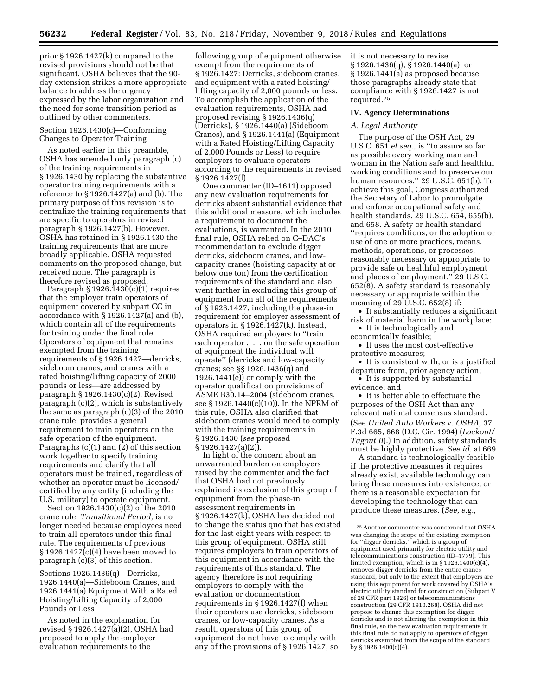prior § 1926.1427(k) compared to the revised provisions should not be that significant. OSHA believes that the 90 day extension strikes a more appropriate balance to address the urgency expressed by the labor organization and the need for some transition period as outlined by other commenters.

## Section 1926.1430(c)—Conforming Changes to Operator Training

As noted earlier in this preamble, OSHA has amended only paragraph (c) of the training requirements in § 1926.1430 by replacing the substantive operator training requirements with a reference to § 1926.1427(a) and (b). The primary purpose of this revision is to centralize the training requirements that are specific to operators in revised paragraph § 1926.1427(b). However, OSHA has retained in § 1926.1430 the training requirements that are more broadly applicable. OSHA requested comments on the proposed change, but received none. The paragraph is therefore revised as proposed.

Paragraph  $\S 1926.1430(c)(1)$  requires that the employer train operators of equipment covered by subpart CC in accordance with § 1926.1427(a) and (b), which contain all of the requirements for training under the final rule. Operators of equipment that remains exempted from the training requirements of § 1926.1427—derricks, sideboom cranes, and cranes with a rated hoisting/lifting capacity of 2000 pounds or less—are addressed by paragraph § 1926.1430(c)(2). Revised paragraph (c)(2), which is substantively the same as paragraph (c)(3) of the 2010 crane rule, provides a general requirement to train operators on the safe operation of the equipment. Paragraphs (c)(1) and (2) of this section work together to specify training requirements and clarify that all operators must be trained, regardless of whether an operator must be licensed/ certified by any entity (including the U.S. military) to operate equipment.

Section 1926.1430(c)(2) of the 2010 crane rule, *Transitional Period,* is no longer needed because employees need to train all operators under this final rule. The requirements of previous § 1926.1427(c)(4) have been moved to paragraph (c)(3) of this section.

Sections 1926.1436(q)—Derricks, 1926.1440(a)—Sideboom Cranes, and 1926.1441(a) Equipment With a Rated Hoisting/Lifting Capacity of 2,000 Pounds or Less

As noted in the explanation for revised § 1926.1427(a)(2), OSHA had proposed to apply the employer evaluation requirements to the

following group of equipment otherwise exempt from the requirements of § 1926.1427: Derricks, sideboom cranes, and equipment with a rated hoisting/ lifting capacity of 2,000 pounds or less. To accomplish the application of the evaluation requirements, OSHA had proposed revising § 1926.1436(q) (Derricks), § 1926.1440(a) (Sideboom Cranes), and § 1926.1441(a) (Equipment with a Rated Hoisting/Lifting Capacity of 2,000 Pounds or Less) to require employers to evaluate operators according to the requirements in revised § 1926.1427(f).

One commenter (ID–1611) opposed any new evaluation requirements for derricks absent substantial evidence that this additional measure, which includes a requirement to document the evaluations, is warranted. In the 2010 final rule, OSHA relied on C–DAC's recommendation to exclude digger derricks, sideboom cranes, and lowcapacity cranes (hoisting capacity at or below one ton) from the certification requirements of the standard and also went further in excluding this group of equipment from all of the requirements of § 1926.1427, including the phase-in requirement for employer assessment of operators in § 1926.1427(k). Instead, OSHA required employers to ''train each operator . . . on the safe operation of equipment the individual will operate'' (derricks and low-capacity cranes; see §§ 1926.1436(q) and 1926.1441(e)) or comply with the operator qualification provisions of ASME B30.14–2004 (sideboom cranes, see § 1926.1440(c)(10)). In the NPRM of this rule, OSHA also clarified that sideboom cranes would need to comply with the training requirements in § 1926.1430 (*see* proposed § 1926.1427(a)(2)).

In light of the concern about an unwarranted burden on employers raised by the commenter and the fact that OSHA had not previously explained its exclusion of this group of equipment from the phase-in assessment requirements in § 1926.1427(k), OSHA has decided not to change the status quo that has existed for the last eight years with respect to this group of equipment. OSHA still requires employers to train operators of this equipment in accordance with the requirements of this standard. The agency therefore is not requiring employers to comply with the evaluation or documentation requirements in § 1926.1427(f) when their operators use derricks, sideboom cranes, or low-capacity cranes. As a result, operators of this group of equipment do not have to comply with any of the provisions of § 1926.1427, so

it is not necessary to revise § 1926.1436(q), § 1926.1440(a), or § 1926.1441(a) as proposed because those paragraphs already state that compliance with § 1926.1427 is not required.25

#### **IV. Agency Determinations**

#### *A. Legal Authority*

The purpose of the OSH Act, 29 U.S.C. 651 *et seq.,* is ''to assure so far as possible every working man and woman in the Nation safe and healthful working conditions and to preserve our human resources.'' 29 U.S.C. 651(b). To achieve this goal, Congress authorized the Secretary of Labor to promulgate and enforce occupational safety and health standards. 29 U.S.C. 654, 655(b), and 658. A safety or health standard ''requires conditions, or the adoption or use of one or more practices, means, methods, operations, or processes, reasonably necessary or appropriate to provide safe or healthful employment and places of employment.'' 29 U.S.C. 652(8). A safety standard is reasonably necessary or appropriate within the meaning of 29 U.S.C. 652(8) if:

• It substantially reduces a significant risk of material harm in the workplace;

• It is technologically and economically feasible;

• It uses the most cost-effective protective measures;

• It is consistent with, or is a justified departure from, prior agency action;

• It is supported by substantial evidence; and

• It is better able to effectuate the purposes of the OSH Act than any relevant national consensus standard. (See *United Auto Workers* v. *OSHA,* 37 F.3d 665, 668 (D.C. Cir. 1994) (*Lockout/ Tagout II*).) In addition, safety standards must be highly protective. *See id.* at 669.

A standard is technologically feasible if the protective measures it requires already exist, available technology can bring these measures into existence, or there is a reasonable expectation for developing the technology that can produce these measures. (*See, e.g.,* 

<sup>25</sup>Another commenter was concerned that OSHA was changing the scope of the existing exemption for ''digger derricks,'' which is a group of equipment used primarily for electric utility and telecommunications construction (ID–1779). This limited exemption, which is in § 1926.1400(c)(4), removes digger derricks from the entire cranes standard, but only to the extent that employers are using this equipment for work covered by OSHA's electric utility standard for construction (Subpart V of 29 CFR part 1926) or telecommunications construction (29 CFR 1910.268). OSHA did not propose to change this exemption for digger derricks and is not altering the exemption in this final rule, so the new evaluation requirements in this final rule do not apply to operators of digger derricks exempted from the scope of the standard by  $$1926.1400(c)(4)$ .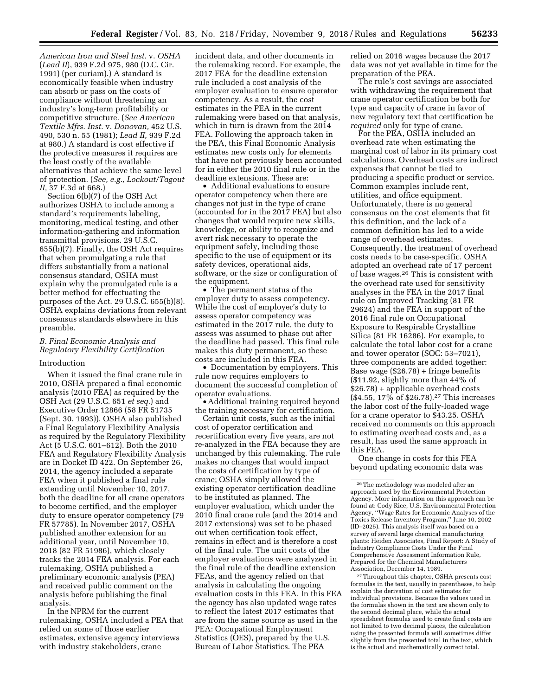*American Iron and Steel Inst.* v. *OSHA*  (*Lead II*), 939 F.2d 975, 980 (D.C. Cir. 1991) (per curiam).) A standard is economically feasible when industry can absorb or pass on the costs of compliance without threatening an industry's long-term profitability or competitive structure. (*See American Textile Mfrs. Inst.* v. *Donovan,* 452 U.S. 490, 530 n. 55 (1981); *Lead II,* 939 F.2d at 980.) A standard is cost effective if the protective measures it requires are the least costly of the available alternatives that achieve the same level of protection. (*See, e.g., Lockout/Tagout II,* 37 F.3d at 668.)

Section 6(b)(7) of the OSH Act authorizes OSHA to include among a standard's requirements labeling, monitoring, medical testing, and other information-gathering and information transmittal provisions. 29 U.S.C. 655(b)(7). Finally, the OSH Act requires that when promulgating a rule that differs substantially from a national consensus standard, OSHA must explain why the promulgated rule is a better method for effectuating the purposes of the Act. 29 U.S.C. 655(b)(8). OSHA explains deviations from relevant consensus standards elsewhere in this preamble.

## *B. Final Economic Analysis and Regulatory Flexibility Certification*

#### Introduction

When it issued the final crane rule in 2010, OSHA prepared a final economic analysis (2010 FEA) as required by the OSH Act (29 U.S.C. 651 *et seq.*) and Executive Order 12866 (58 FR 51735 (Sept. 30, 1993)). OSHA also published a Final Regulatory Flexibility Analysis as required by the Regulatory Flexibility Act (5 U.S.C. 601–612). Both the 2010 FEA and Regulatory Flexibility Analysis are in Docket ID 422. On September 26, 2014, the agency included a separate FEA when it published a final rule extending until November 10, 2017, both the deadline for all crane operators to become certified, and the employer duty to ensure operator competency (79 FR 57785). In November 2017, OSHA published another extension for an additional year, until November 10, 2018 (82 FR 51986), which closely tracks the 2014 FEA analysis. For each rulemaking, OSHA published a preliminary economic analysis (PEA) and received public comment on the analysis before publishing the final analysis.

In the NPRM for the current rulemaking, OSHA included a PEA that relied on some of those earlier estimates, extensive agency interviews with industry stakeholders, crane

incident data, and other documents in the rulemaking record. For example, the 2017 FEA for the deadline extension rule included a cost analysis of the employer evaluation to ensure operator competency. As a result, the cost estimates in the PEA in the current rulemaking were based on that analysis, which in turn is drawn from the 2014 FEA. Following the approach taken in the PEA, this Final Economic Analysis estimates new costs only for elements that have not previously been accounted for in either the 2010 final rule or in the deadline extensions. These are:

• Additional evaluations to ensure operator competency when there are changes not just in the type of crane (accounted for in the 2017 FEA) but also changes that would require new skills, knowledge, or ability to recognize and avert risk necessary to operate the equipment safely, including those specific to the use of equipment or its safety devices, operational aids, software, or the size or configuration of the equipment.

• The permanent status of the employer duty to assess competency. While the cost of employer's duty to assess operator competency was estimated in the 2017 rule, the duty to assess was assumed to phase out after the deadline had passed. This final rule makes this duty permanent, so these costs are included in this FEA.

• Documentation by employers. This rule now requires employers to document the successful completion of operator evaluations.

• Additional training required beyond the training necessary for certification.

Certain unit costs, such as the initial cost of operator certification and recertification every five years, are not re-analyzed in the FEA because they are unchanged by this rulemaking. The rule makes no changes that would impact the costs of certification by type of crane; OSHA simply allowed the existing operator certification deadline to be instituted as planned. The employer evaluation, which under the 2010 final crane rule (and the 2014 and 2017 extensions) was set to be phased out when certification took effect, remains in effect and is therefore a cost of the final rule. The unit costs of the employer evaluations were analyzed in the final rule of the deadline extension FEAs, and the agency relied on that analysis in calculating the ongoing evaluation costs in this FEA. In this FEA the agency has also updated wage rates to reflect the latest 2017 estimates that are from the same source as used in the PEA: Occupational Employment Statistics (OES), prepared by the U.S. Bureau of Labor Statistics. The PEA

relied on 2016 wages because the 2017 data was not yet available in time for the preparation of the PEA.

The rule's cost savings are associated with withdrawing the requirement that crane operator certification be both for type and capacity of crane in favor of new regulatory text that certification be *required* only for type of crane.

For the PEA, OSHA included an overhead rate when estimating the marginal cost of labor in its primary cost calculations. Overhead costs are indirect expenses that cannot be tied to producing a specific product or service. Common examples include rent, utilities, and office equipment. Unfortunately, there is no general consensus on the cost elements that fit this definition, and the lack of a common definition has led to a wide range of overhead estimates. Consequently, the treatment of overhead costs needs to be case-specific. OSHA adopted an overhead rate of 17 percent of base wages.26 This is consistent with the overhead rate used for sensitivity analyses in the FEA in the 2017 final rule on Improved Tracking (81 FR 29624) and the FEA in support of the 2016 final rule on Occupational Exposure to Respirable Crystalline Silica (81 FR 16286). For example, to calculate the total labor cost for a crane and tower operator (SOC: 53–7021), three components are added together: Base wage  $(\$26.78) + fringe$  benefits (\$11.92, slightly more than 44% of \$26.78) + applicable overhead costs (\$4.55, 17% of \$26.78).27 This increases the labor cost of the fully-loaded wage for a crane operator to \$43.25. OSHA received no comments on this approach to estimating overhead costs and, as a result, has used the same approach in this FEA.

One change in costs for this FEA beyond updating economic data was

27Throughout this chapter, OSHA presents cost formulas in the text, usually in parentheses, to help explain the derivation of cost estimates for individual provisions. Because the values used in the formulas shown in the text are shown only to the second decimal place, while the actual spreadsheet formulas used to create final costs are not limited to two decimal places, the calculation using the presented formula will sometimes differ slightly from the presented total in the text, which is the actual and mathematically correct total.

<sup>26</sup>The methodology was modeled after an approach used by the Environmental Protection Agency. More information on this approach can be found at: Cody Rice, U.S. Environmental Protection Agency, ''Wage Rates for Economic Analyses of the Toxics Release Inventory Program,'' June 10, 2002 (ID–2025). This analysis itself was based on a survey of several large chemical manufacturing plants: Heiden Associates, Final Report: A Study of Industry Compliance Costs Under the Final Comprehensive Assessment Information Rule, Prepared for the Chemical Manufacturers Association, December 14, 1989.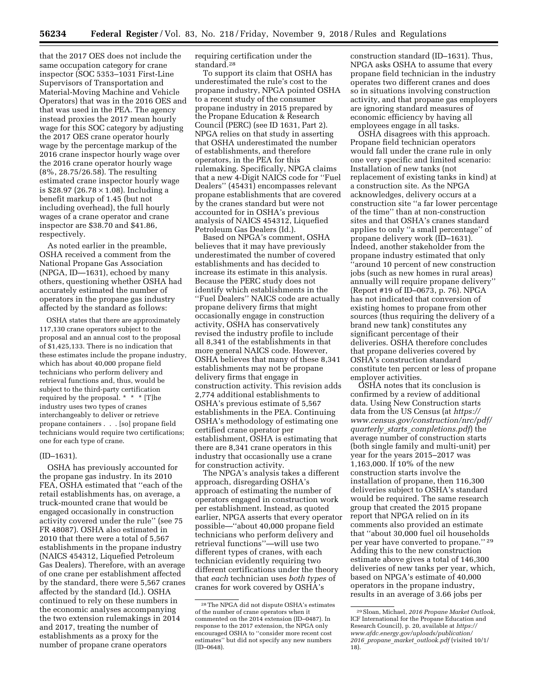that the 2017 OES does not include the same occupation category for crane inspector (SOC 5353–1031 First-Line Supervisors of Transportation and Material-Moving Machine and Vehicle Operators) that was in the 2016 OES and that was used in the PEA. The agency instead proxies the 2017 mean hourly wage for this SOC category by adjusting the 2017 OES crane operator hourly wage by the percentage markup of the 2016 crane inspector hourly wage over the 2016 crane operator hourly wage (8%, 28.75/26.58). The resulting estimated crane inspector hourly wage is \$28.97 (26.78  $\times$  1.08). Including a benefit markup of 1.45 (but not including overhead), the full hourly wages of a crane operator and crane inspector are \$38.70 and \$41.86, respectively.

As noted earlier in the preamble, OSHA received a comment from the National Propane Gas Association (NPGA, ID—1631), echoed by many others, questioning whether OSHA had accurately estimated the number of operators in the propane gas industry affected by the standard as follows:

OSHA states that there are approximately 117,130 crane operators subject to the proposal and an annual cost to the proposal of \$1,425,133. There is no indication that these estimates include the propane industry, which has about 40,000 propane field technicians who perform delivery and retrieval functions and, thus, would be subject to the third-party certification required by the proposal. \* \* \* [T]he industry uses two types of cranes interchangeably to deliver or retrieve propane containers . . . [so] propane field technicians would require two certifications; one for each type of crane.

#### (ID–1631).

OSHA has previously accounted for the propane gas industry. In its 2010 FEA, OSHA estimated that ''each of the retail establishments has, on average, a truck-mounted crane that would be engaged occasionally in construction activity covered under the rule'' (see 75 FR 48087). OSHA also estimated in 2010 that there were a total of 5,567 establishments in the propane industry (NAICS 454312, Liquefied Petroleum Gas Dealers). Therefore, with an average of one crane per establishment affected by the standard, there were 5,567 cranes affected by the standard (Id.). OSHA continued to rely on these numbers in the economic analyses accompanying the two extension rulemakings in 2014 and 2017, treating the number of establishments as a proxy for the number of propane crane operators

requiring certification under the standard.28

To support its claim that OSHA has underestimated the rule's cost to the propane industry, NPGA pointed OSHA to a recent study of the consumer propane industry in 2015 prepared by the Propane Education & Research Council (PERC) (see ID 1631, Part 2). NPGA relies on that study in asserting that OSHA underestimated the number of establishments, and therefore operators, in the PEA for this rulemaking. Specifically, NPGA claims that a new 4-Digit NAICS code for ''Fuel Dealers'' (45431) encompasses relevant propane establishments that are covered by the cranes standard but were not accounted for in OSHA's previous analysis of NAICS 454312, Liquefied Petroleum Gas Dealers (Id.).

Based on NPGA's comment, OSHA believes that it may have previously underestimated the number of covered establishments and has decided to increase its estimate in this analysis. Because the PERC study does not identify which establishments in the ''Fuel Dealers'' NAICS code are actually propane delivery firms that might occasionally engage in construction activity, OSHA has conservatively revised the industry profile to include all 8,341 of the establishments in that more general NAICS code. However, OSHA believes that many of these 8,341 establishments may not be propane delivery firms that engage in construction activity. This revision adds 2,774 additional establishments to OSHA's previous estimate of 5,567 establishments in the PEA. Continuing OSHA's methodology of estimating one certified crane operator per establishment, OSHA is estimating that there are 8,341 crane operators in this industry that occasionally use a crane for construction activity.

The NPGA's analysis takes a different approach, disregarding OSHA's approach of estimating the number of operators engaged in construction work per establishment. Instead, as quoted earlier, NPGA asserts that every operator possible—''about 40,000 propane field technicians who perform delivery and retrieval functions''—will use two different types of cranes, with each technician evidently requiring two different certifications under the theory that *each* technician uses *both types* of cranes for work covered by OSHA's

construction standard (ID–1631). Thus, NPGA asks OSHA to assume that every propane field technician in the industry operates two different cranes and does so in situations involving construction activity, and that propane gas employers are ignoring standard measures of economic efficiency by having all employees engage in all tasks.

OSHA disagrees with this approach. Propane field technician operators would fall under the crane rule in only one very specific and limited scenario: Installation of new tanks (not replacement of existing tanks in kind) at a construction site. As the NPGA acknowledges, delivery occurs at a construction site ''a far lower percentage of the time'' than at non-construction sites and that OSHA's cranes standard applies to only ''a small percentage'' of propane delivery work (ID–1631). Indeed, another stakeholder from the propane industry estimated that only ''around 10 percent of new construction jobs (such as new homes in rural areas) annually will require propane delivery'' (Report #19 of ID–0673, p. 76). NPGA has not indicated that conversion of existing homes to propane from other sources (thus requiring the delivery of a brand new tank) constitutes any significant percentage of their deliveries. OSHA therefore concludes that propane deliveries covered by OSHA's construction standard constitute ten percent or less of propane employer activities.

OSHA notes that its conclusion is confirmed by a review of additional data. Using New Construction starts data from the US Census (at *[https://](https://www.census.gov/construction/nrc/pdf/quarterly_starts_completions.pdf) [www.census.gov/construction/nrc/pdf/](https://www.census.gov/construction/nrc/pdf/quarterly_starts_completions.pdf) quarterly*\_*starts*\_*[completions.pdf](https://www.census.gov/construction/nrc/pdf/quarterly_starts_completions.pdf)*) the average number of construction starts (both single family and multi-unit) per year for the years 2015–2017 was 1,163,000. If 10% of the new construction starts involve the installation of propane, then 116,300 deliveries subject to OSHA's standard would be required. The same research group that created the 2015 propane report that NPGA relied on in its comments also provided an estimate that ''about 30,000 fuel oil households per year have converted to propane.'' 29 Adding this to the new construction estimate above gives a total of 146,300 deliveries of new tanks per year, which, based on NPGA's estimate of 40,000 operators in the propane industry, results in an average of 3.66 jobs per

<sup>28</sup>The NPGA did not dispute OSHA's estimates of the number of crane operators when it commented on the 2014 extension (ID–0487). In response to the 2017 extension, the NPGA only encouraged OSHA to ''consider more recent cost estimates'' but did not specify any new numbers (ID–0648).

<sup>29</sup>Sloan, Michael, *2016 Propane Market Outlook,*  ICF International for the Propane Education and Research Council), p. 20, available at *[https://](https://www.afdc.energy.gov/uploads/publication/2016_propane_market_outlook.pdf) [www.afdc.energy.gov/uploads/publication/](https://www.afdc.energy.gov/uploads/publication/2016_propane_market_outlook.pdf)  2016*\_*propane*\_*market*\_*[outlook.pdf](https://www.afdc.energy.gov/uploads/publication/2016_propane_market_outlook.pdf)* (visited 10/1/ 18).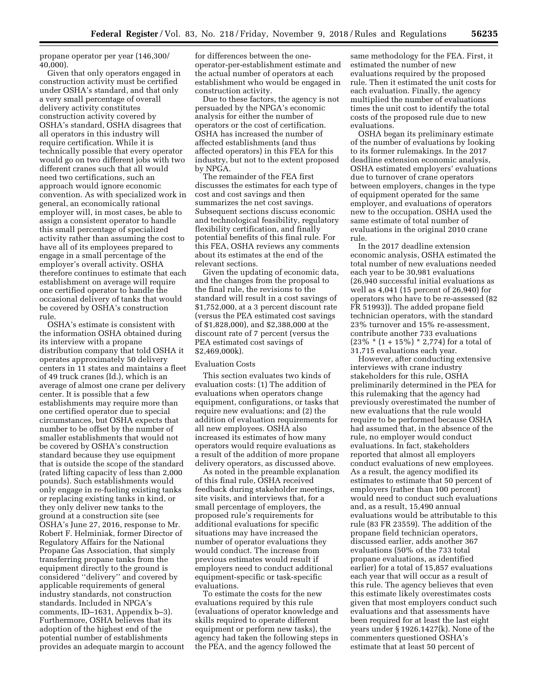propane operator per year (146,300/ 40,000).

Given that only operators engaged in construction activity must be certified under OSHA's standard, and that only a very small percentage of overall delivery activity constitutes construction activity covered by OSHA's standard, OSHA disagrees that all operators in this industry will require certification. While it is technically possible that every operator would go on two different jobs with two different cranes such that all would need two certifications, such an approach would ignore economic convention. As with specialized work in general, an economically rational employer will, in most cases, be able to assign a consistent operator to handle this small percentage of specialized activity rather than assuming the cost to have all of its employees prepared to engage in a small percentage of the employer's overall activity. OSHA therefore continues to estimate that each establishment on average will require one certified operator to handle the occasional delivery of tanks that would be covered by OSHA's construction rule.

OSHA's estimate is consistent with the information OSHA obtained during its interview with a propane distribution company that told OSHA it operates approximately 50 delivery centers in 11 states and maintains a fleet of 49 truck cranes (Id.), which is an average of almost one crane per delivery center. It is possible that a few establishments may require more than one certified operator due to special circumstances, but OSHA expects that number to be offset by the number of smaller establishments that would not be covered by OSHA's construction standard because they use equipment that is outside the scope of the standard (rated lifting capacity of less than 2,000 pounds). Such establishments would only engage in re-fueling existing tanks or replacing existing tanks in kind, or they only deliver new tanks to the ground at a construction site (see OSHA's June 27, 2016, response to Mr. Robert F. Helminiak, former Director of Regulatory Affairs for the National Propane Gas Association, that simply transferring propane tanks from the equipment directly to the ground is considered ''delivery'' and covered by applicable requirements of general industry standards, not construction standards. Included in NPGA's comments, ID–1631, Appendix b–3). Furthermore, OSHA believes that its adoption of the highest end of the potential number of establishments provides an adequate margin to account

for differences between the oneoperator-per-establishment estimate and the actual number of operators at each establishment who would be engaged in construction activity.

Due to these factors, the agency is not persuaded by the NPGA's economic analysis for either the number of operators or the cost of certification. OSHA has increased the number of affected establishments (and thus affected operators) in this FEA for this industry, but not to the extent proposed by NPGA.

The remainder of the FEA first discusses the estimates for each type of cost and cost savings and then summarizes the net cost savings. Subsequent sections discuss economic and technological feasibility, regulatory flexibility certification, and finally potential benefits of this final rule. For this FEA, OSHA reviews any comments about its estimates at the end of the relevant sections.

Given the updating of economic data, and the changes from the proposal to the final rule, the revisions to the standard will result in a cost savings of \$1,752,000, at a 3 percent discount rate (versus the PEA estimated cost savings of \$1,828,000), and \$2,388,000 at the discount rate of 7 percent (versus the PEA estimated cost savings of \$2,469,000k).

#### Evaluation Costs

This section evaluates two kinds of evaluation costs: (1) The addition of evaluations when operators change equipment, configurations, or tasks that require new evaluations; and (2) the addition of evaluation requirements for all new employees. OSHA also increased its estimates of how many operators would require evaluations as a result of the addition of more propane delivery operators, as discussed above.

As noted in the preamble explanation of this final rule, OSHA received feedback during stakeholder meetings, site visits, and interviews that, for a small percentage of employers, the proposed rule's requirements for additional evaluations for specific situations may have increased the number of operator evaluations they would conduct. The increase from previous estimates would result if employers need to conduct additional equipment-specific or task-specific evaluations.

To estimate the costs for the new evaluations required by this rule (evaluations of operator knowledge and skills required to operate different equipment or perform new tasks), the agency had taken the following steps in the PEA, and the agency followed the

same methodology for the FEA. First, it estimated the number of new evaluations required by the proposed rule. Then it estimated the unit costs for each evaluation. Finally, the agency multiplied the number of evaluations times the unit cost to identify the total costs of the proposed rule due to new evaluations.

OSHA began its preliminary estimate of the number of evaluations by looking to its former rulemakings. In the 2017 deadline extension economic analysis, OSHA estimated employers' evaluations due to turnover of crane operators between employers, changes in the type of equipment operated for the same employer, and evaluations of operators new to the occupation. OSHA used the same estimate of total number of evaluations in the original 2010 crane rule.

In the 2017 deadline extension economic analysis, OSHA estimated the total number of new evaluations needed each year to be 30,981 evaluations (26,940 successful initial evaluations as well as 4,041 (15 percent of 26,940) for operators who have to be re-assessed (82 FR 51993)). The added propane field technician operators, with the standard 23% turnover and 15% re-assessment, contribute another 733 evaluations  $(23\% * (1 + 15\%) * 2,774)$  for a total of 31,715 evaluations each year.

However, after conducting extensive interviews with crane industry stakeholders for this rule, OSHA preliminarily determined in the PEA for this rulemaking that the agency had previously overestimated the number of new evaluations that the rule would require to be performed because OSHA had assumed that, in the absence of the rule, no employer would conduct evaluations. In fact, stakeholders reported that almost all employers conduct evaluations of new employees. As a result, the agency modified its estimates to estimate that 50 percent of employers (rather than 100 percent) would need to conduct such evaluations and, as a result, 15,490 annual evaluations would be attributable to this rule (83 FR 23559). The addition of the propane field technician operators, discussed earlier, adds another 367 evaluations (50% of the 733 total propane evaluations, as identified earlier) for a total of 15,857 evaluations each year that will occur as a result of this rule. The agency believes that even this estimate likely overestimates costs given that most employers conduct such evaluations and that assessments have been required for at least the last eight years under § 1926.1427(k). None of the commenters questioned OSHA's estimate that at least 50 percent of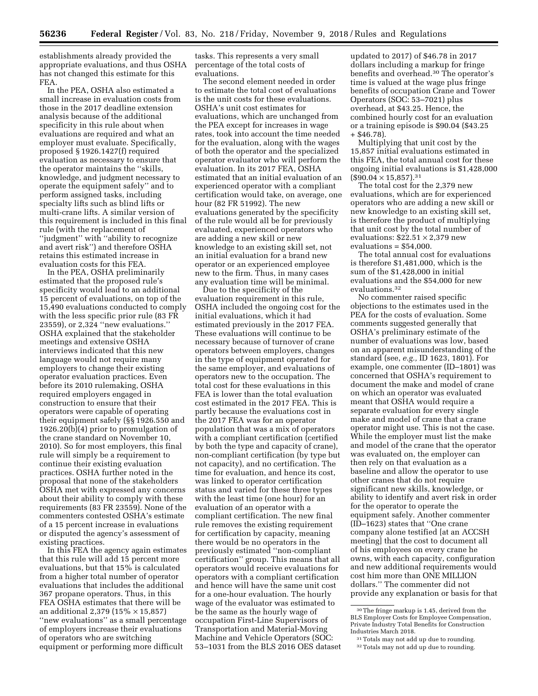establishments already provided the appropriate evaluations, and thus OSHA has not changed this estimate for this FEA.

In the PEA, OSHA also estimated a small increase in evaluation costs from those in the 2017 deadline extension analysis because of the additional specificity in this rule about when evaluations are required and what an employer must evaluate. Specifically, proposed § 1926.1427(f) required evaluation as necessary to ensure that the operator maintains the ''skills, knowledge, and judgment necessary to operate the equipment safely'' and to perform assigned tasks, including specialty lifts such as blind lifts or multi-crane lifts. A similar version of this requirement is included in this final rule (with the replacement of ''judgment'' with ''ability to recognize and avert risk'') and therefore OSHA retains this estimated increase in evaluation costs for this FEA.

In the PEA, OSHA preliminarily estimated that the proposed rule's specificity would lead to an additional 15 percent of evaluations, on top of the 15,490 evaluations conducted to comply with the less specific prior rule (83 FR 23559), or 2,324 ''new evaluations.'' OSHA explained that the stakeholder meetings and extensive OSHA interviews indicated that this new language would not require many employers to change their existing operator evaluation practices. Even before its 2010 rulemaking, OSHA required employers engaged in construction to ensure that their operators were capable of operating their equipment safely (§§ 1926.550 and 1926.20(b)(4) prior to promulgation of the crane standard on November 10, 2010). So for most employers, this final rule will simply be a requirement to continue their existing evaluation practices. OSHA further noted in the proposal that none of the stakeholders OSHA met with expressed any concerns about their ability to comply with these requirements (83 FR 23559). None of the commenters contested OSHA's estimate of a 15 percent increase in evaluations or disputed the agency's assessment of existing practices.

In this FEA the agency again estimates that this rule will add 15 percent more evaluations, but that 15% is calculated from a higher total number of operator evaluations that includes the additional 367 propane operators. Thus, in this FEA OSHA estimates that there will be an additional 2,379 (15% × 15,857) ''new evaluations'' as a small percentage of employers increase their evaluations of operators who are switching equipment or performing more difficult

tasks. This represents a very small percentage of the total costs of evaluations.

The second element needed in order to estimate the total cost of evaluations is the unit costs for these evaluations. OSHA's unit cost estimates for evaluations, which are unchanged from the PEA except for increases in wage rates, took into account the time needed for the evaluation, along with the wages of both the operator and the specialized operator evaluator who will perform the evaluation. In its 2017 FEA, OSHA estimated that an initial evaluation of an experienced operator with a compliant certification would take, on average, one hour (82 FR 51992). The new evaluations generated by the specificity of the rule would all be for previously evaluated, experienced operators who are adding a new skill or new knowledge to an existing skill set, not an initial evaluation for a brand new operator or an experienced employee new to the firm. Thus, in many cases any evaluation time will be minimal.

Due to the specificity of the evaluation requirement in this rule, OSHA included the ongoing cost for the initial evaluations, which it had estimated previously in the 2017 FEA. These evaluations will continue to be necessary because of turnover of crane operators between employers, changes in the type of equipment operated for the same employer, and evaluations of operators new to the occupation. The total cost for these evaluations in this FEA is lower than the total evaluation cost estimated in the 2017 FEA. This is partly because the evaluations cost in the 2017 FEA was for an operator population that was a mix of operators with a compliant certification (certified by both the type and capacity of crane), non-compliant certification (by type but not capacity), and no certification. The time for evaluation, and hence its cost, was linked to operator certification status and varied for these three types with the least time (one hour) for an evaluation of an operator with a compliant certification. The new final rule removes the existing requirement for certification by capacity, meaning there would be no operators in the previously estimated ''non-compliant certification'' group. This means that all operators would receive evaluations for operators with a compliant certification and hence will have the same unit cost for a one-hour evaluation. The hourly wage of the evaluator was estimated to be the same as the hourly wage of occupation First-Line Supervisors of Transportation and Material-Moving Machine and Vehicle Operators (SOC: 53–1031 from the BLS 2016 OES dataset

updated to 2017) of \$46.78 in 2017 dollars including a markup for fringe benefits and overhead.30 The operator's time is valued at the wage plus fringe benefits of occupation Crane and Tower Operators (SOC: 53–7021) plus overhead, at \$43.25. Hence, the combined hourly cost for an evaluation or a training episode is \$90.04 (\$43.25 + \$46.78).

Multiplying that unit cost by the 15,857 initial evaluations estimated in this FEA, the total annual cost for these ongoing initial evaluations is \$1,428,000  $($90.04 \times 15,857).$ <sup>31</sup>

The total cost for the 2,379 new evaluations, which are for experienced operators who are adding a new skill or new knowledge to an existing skill set, is therefore the product of multiplying that unit cost by the total number of evaluations:  $$22.51 \times 2,379$  new  $evaluations = $54.000$ .

The total annual cost for evaluations is therefore \$1,481,000, which is the sum of the \$1,428,000 in initial evaluations and the \$54,000 for new evaluations.32

No commenter raised specific objections to the estimates used in the PEA for the costs of evaluation. Some comments suggested generally that OSHA's preliminary estimate of the number of evaluations was low, based on an apparent misunderstanding of the standard (see, *e.g.,* ID 1623, 1801). For example, one commenter (ID–1801) was concerned that OSHA's requirement to document the make and model of crane on which an operator was evaluated meant that OSHA would require a separate evaluation for every single make and model of crane that a crane operator might use. This is not the case. While the employer must list the make and model of the crane that the operator was evaluated on, the employer can then rely on that evaluation as a baseline and allow the operator to use other cranes that do not require significant new skills, knowledge, or ability to identify and avert risk in order for the operator to operate the equipment safely. Another commenter (ID–1623) states that ''One crane company alone testified [at an ACCSH meeting] that the cost to document all of his employees on every crane he owns, with each capacity, configuration and new additional requirements would cost him more than ONE MILLION dollars.'' The commenter did not provide any explanation or basis for that

<sup>30</sup>The fringe markup is 1.45, derived from the BLS Employer Costs for Employee Compensation, Private Industry Total Benefits for Construction Industries March 2018.

<sup>31</sup>Totals may not add up due to rounding.

<sup>32</sup>Totals may not add up due to rounding.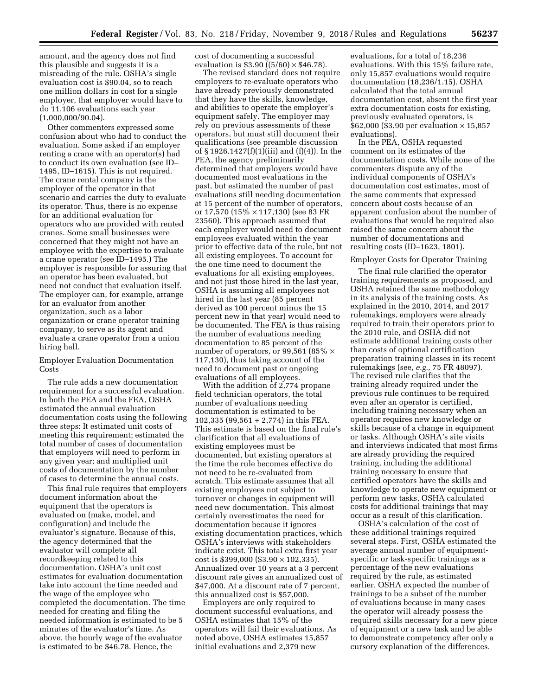amount, and the agency does not find this plausible and suggests it is a misreading of the rule. OSHA's single evaluation cost is \$90.04, so to reach one million dollars in cost for a single employer, that employer would have to do 11,106 evaluations each year (1,000,000/90.04).

Other commenters expressed some confusion about who had to conduct the evaluation. Some asked if an employer renting a crane with an operator(s) had to conduct its own evaluation (see ID– 1495, ID–1615). This is not required. The crane rental company is the employer of the operator in that scenario and carries the duty to evaluate its operator. Thus, there is no expense for an additional evaluation for operators who are provided with rented cranes. Some small businesses were concerned that they might not have an employee with the expertise to evaluate a crane operator (see ID–1495.) The employer is responsible for assuring that an operator has been evaluated, but need not conduct that evaluation itself. The employer can, for example, arrange for an evaluator from another organization, such as a labor organization or crane operator training company, to serve as its agent and evaluate a crane operator from a union hiring hall.

## Employer Evaluation Documentation Costs

The rule adds a new documentation requirement for a successful evaluation. In both the PEA and the FEA, OSHA estimated the annual evaluation documentation costs using the following three steps: It estimated unit costs of meeting this requirement; estimated the total number of cases of documentation that employers will need to perform in any given year; and multiplied unit costs of documentation by the number of cases to determine the annual costs.

This final rule requires that employers document information about the equipment that the operators is evaluated on (make, model, and configuration) and include the evaluator's signature. Because of this, the agency determined that the evaluator will complete all recordkeeping related to this documentation. OSHA's unit cost estimates for evaluation documentation take into account the time needed and the wage of the employee who completed the documentation. The time needed for creating and filing the needed information is estimated to be 5 minutes of the evaluator's time. As above, the hourly wage of the evaluator is estimated to be \$46.78. Hence, the

cost of documenting a successful evaluation is \$3.90  $((5/60) \times $46.78)$ .

The revised standard does not require employers to re-evaluate operators who have already previously demonstrated that they have the skills, knowledge, and abilities to operate the employer's equipment safely. The employer may rely on previous assessments of these operators, but must still document their qualifications (see preamble discussion of § 1926.1427(f)(1)(iii) and (f)(4)). In the PEA, the agency preliminarily determined that employers would have documented most evaluations in the past, but estimated the number of past evaluations still needing documentation at 15 percent of the number of operators, or 17,570 (15% × 117,130) (see 83 FR 23560). This approach assumed that each employer would need to document employees evaluated within the year prior to effective data of the rule, but not all existing employees. To account for the one time need to document the evaluations for all existing employees, and not just those hired in the last year, OSHA is assuming all employees not hired in the last year (85 percent derived as 100 percent minus the 15 percent new in that year) would need to be documented. The FEA is thus raising the number of evaluations needing documentation to 85 percent of the number of operators, or 99,561 (85%  $\times$ 117,130), thus taking account of the need to document past or ongoing evaluations of all employees.

With the addition of 2,774 propane field technician operators, the total number of evaluations needing documentation is estimated to be 102,335 (99,561 + 2,774) in this FEA. This estimate is based on the final rule's clarification that all evaluations of existing employees must be documented, but existing operators at the time the rule becomes effective do not need to be re-evaluated from scratch. This estimate assumes that all existing employees not subject to turnover or changes in equipment will need new documentation. This almost certainly overestimates the need for documentation because it ignores existing documentation practices, which OSHA's interviews with stakeholders indicate exist. This total extra first year cost is \$399,000 (\$3.90 × 102,335). Annualized over 10 years at a 3 percent discount rate gives an annualized cost of \$47,000. At a discount rate of 7 percent, this annualized cost is \$57,000.

Employers are only required to document successful evaluations, and OSHA estimates that 15% of the operators will fail their evaluations. As noted above, OSHA estimates 15,857 initial evaluations and 2,379 new

evaluations, for a total of 18,236 evaluations. With this 15% failure rate, only 15,857 evaluations would require documentation (18,236/1.15). OSHA calculated that the total annual documentation cost, absent the first year extra documentation costs for existing, previously evaluated operators, is \$62,000 (\$3.90 per evaluation × 15,857 evaluations).

In the PEA, OSHA requested comment on its estimates of the documentation costs. While none of the commenters dispute any of the individual components of OSHA's documentation cost estimates, most of the same comments that expressed concern about costs because of an apparent confusion about the number of evaluations that would be required also raised the same concern about the number of documentations and resulting costs (ID–1623, 1801).

## Employer Costs for Operator Training

The final rule clarified the operator training requirements as proposed, and OSHA retained the same methodology in its analysis of the training costs. As explained in the 2010, 2014, and 2017 rulemakings, employers were already required to train their operators prior to the 2010 rule, and OSHA did not estimate additional training costs other than costs of optional certification preparation training classes in its recent rulemakings (see, *e.g.,* 75 FR 48097). The revised rule clarifies that the training already required under the previous rule continues to be required even after an operator is certified, including training necessary when an operator requires new knowledge or skills because of a change in equipment or tasks. Although OSHA's site visits and interviews indicated that most firms are already providing the required training, including the additional training necessary to ensure that certified operators have the skills and knowledge to operate new equipment or perform new tasks, OSHA calculated costs for additional trainings that may occur as a result of this clarification.

OSHA's calculation of the cost of these additional trainings required several steps. First, OSHA estimated the average annual number of equipmentspecific or task-specific trainings as a percentage of the new evaluations required by the rule, as estimated earlier. OSHA expected the number of trainings to be a subset of the number of evaluations because in many cases the operator will already possess the required skills necessary for a new piece of equipment or a new task and be able to demonstrate competency after only a cursory explanation of the differences.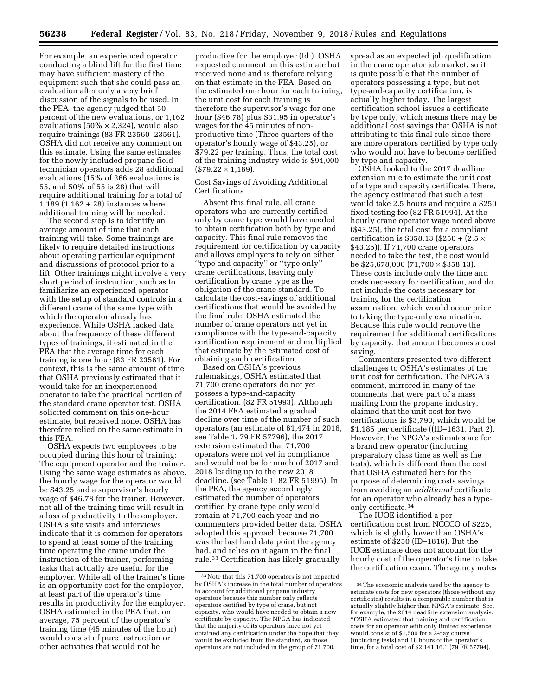For example, an experienced operator conducting a blind lift for the first time may have sufficient mastery of the equipment such that she could pass an evaluation after only a very brief discussion of the signals to be used. In the PEA, the agency judged that 50 percent of the new evaluations, or 1,162 evaluations (50%  $\times$  2,324), would also require trainings (83 FR 23560–23561). OSHA did not receive any comment on this estimate. Using the same estimates for the newly included propane field technician operators adds 28 additional evaluations (15% of 366 evaluations is 55, and 50% of 55 is 28) that will require additional training for a total of 1,189 (1,162 + 28) instances where additional training will be needed.

The second step is to identify an average amount of time that each training will take. Some trainings are likely to require detailed instructions about operating particular equipment and discussions of protocol prior to a lift. Other trainings might involve a very short period of instruction, such as to familiarize an experienced operator with the setup of standard controls in a different crane of the same type with which the operator already has experience. While OSHA lacked data about the frequency of these different types of trainings, it estimated in the PEA that the average time for each training is one hour (83 FR 23561). For context, this is the same amount of time that OSHA previously estimated that it would take for an inexperienced operator to take the practical portion of the standard crane operator test. OSHA solicited comment on this one-hour estimate, but received none. OSHA has therefore relied on the same estimate in this FEA.

OSHA expects two employees to be occupied during this hour of training: The equipment operator and the trainer. Using the same wage estimates as above, the hourly wage for the operator would be \$43.25 and a supervisor's hourly wage of \$46.78 for the trainer. However, not all of the training time will result in a loss of productivity to the employer. OSHA's site visits and interviews indicate that it is common for operators to spend at least some of the training time operating the crane under the instruction of the trainer, performing tasks that actually are useful for the employer. While all of the trainer's time is an opportunity cost for the employer, at least part of the operator's time results in productivity for the employer. OSHA estimated in the PEA that, on average, 75 percent of the operator's training time (45 minutes of the hour) would consist of pure instruction or other activities that would not be

productive for the employer (Id.). OSHA requested comment on this estimate but received none and is therefore relying on that estimate in the FEA. Based on the estimated one hour for each training, the unit cost for each training is therefore the supervisor's wage for one hour (\$46.78) plus \$31.95 in operator's wages for the 45 minutes of nonproductive time (Three quarters of the operator's hourly wage of \$43.25), or \$79.22 per training. Thus, the total cost of the training industry-wide is \$94,000  $($79.22 \times 1,189)$ .

## Cost Savings of Avoiding Additional Certifications

Absent this final rule, all crane operators who are currently certified only by crane type would have needed to obtain certification both by type and capacity. This final rule removes the requirement for certification by capacity and allows employers to rely on either ''type and capacity'' or ''type only'' crane certifications, leaving only certification by crane type as the obligation of the crane standard. To calculate the cost-savings of additional certifications that would be avoided by the final rule, OSHA estimated the number of crane operators not yet in compliance with the type-and-capacity certification requirement and multiplied that estimate by the estimated cost of obtaining such certification.

Based on OSHA's previous rulemakings, OSHA estimated that 71,700 crane operators do not yet possess a type-and-capacity certification. (82 FR 51993). Although the 2014 FEA estimated a gradual decline over time of the number of such operators (an estimate of 61,474 in 2016, see Table 1, 79 FR 57796), the 2017 extension estimated that 71,700 operators were not yet in compliance and would not be for much of 2017 and 2018 leading up to the new 2018 deadline. (see Table 1, 82 FR 51995). In the PEA, the agency accordingly estimated the number of operators certified by crane type only would remain at 71,700 each year and no commenters provided better data. OSHA adopted this approach because 71,700 was the last hard data point the agency had, and relies on it again in the final rule.33 Certification has likely gradually

spread as an expected job qualification in the crane operator job market, so it is quite possible that the number of operators possessing a type, but not type-and-capacity certification, is actually higher today. The largest certification school issues a certificate by type only, which means there may be additional cost savings that OSHA is not attributing to this final rule since there are more operators certified by type only who would not have to become certified by type and capacity.

OSHA looked to the 2017 deadline extension rule to estimate the unit cost of a type and capacity certificate. There, the agency estimated that such a test would take 2.5 hours and require a \$250 fixed testing fee (82 FR 51994). At the hourly crane operator wage noted above (\$43.25), the total cost for a compliant certification is \$358.13 (\$250 +  $(2.5 \times$ \$43.25)). If 71,700 crane operators needed to take the test, the cost would be  $$25,678,000$  (71,700  $\times$  \$358.13). These costs include only the time and costs necessary for certification, and do not include the costs necessary for training for the certification examination, which would occur prior to taking the type-only examination. Because this rule would remove the requirement for additional certifications by capacity, that amount becomes a cost saving.

Commenters presented two different challenges to OSHA's estimates of the unit cost for certification. The NPGA's comment, mirrored in many of the comments that were part of a mass mailing from the propane industry, claimed that the unit cost for two certifications is \$3,790, which would be \$1,185 per certificate ((ID–1631, Part 2). However, the NPGA's estimates are for a brand new operator (including preparatory class time as well as the tests), which is different than the cost that OSHA estimated here for the purpose of determining costs savings from avoiding an *additional* certificate for an operator who already has a typeonly certificate.34

The IUOE identified a percertification cost from NCCCO of \$225, which is slightly lower than OSHA's estimate of \$250 (ID–1816). But the IUOE estimate does not account for the hourly cost of the operator's time to take the certification exam. The agency notes

<sup>33</sup>Note that this 71,700 operators is not impacted by OSHA's increase in the total number of operators to account for additional propane industry operators because this number only reflects operators certified by type of crane, but not capacity, who would have needed to obtain a new certificate by capacity. The NPGA has indicated that the majority of its operators have not yet obtained any certification under the hope that they would be excluded from the standard, so those operators are not included in the group of 71,700.

<sup>34</sup>The economic analysis used by the agency to estimate costs for new operators (those without any certificates) results in a comparable number that is actually slightly higher than NPGA's estimate. See, for example, the 2014 deadline extension analysis: ''OSHA estimated that training and certification costs for an operator with only limited experience would consist of \$1,500 for a 2-day course (including tests) and 18 hours of the operator's time, for a total cost of \$2,141.16.'' (79 FR 57794).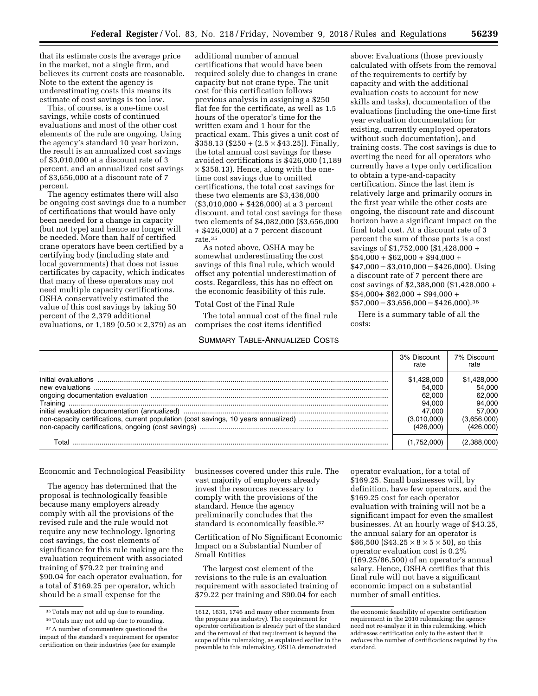that its estimate costs the average price in the market, not a single firm, and believes its current costs are reasonable. Note to the extent the agency is underestimating costs this means its estimate of cost savings is too low.

This, of course, is a one-time cost savings, while costs of continued evaluations and most of the other cost elements of the rule are ongoing. Using the agency's standard 10 year horizon, the result is an annualized cost savings of \$3,010,000 at a discount rate of 3 percent, and an annualized cost savings of \$3,656,000 at a discount rate of 7 percent.

The agency estimates there will also be ongoing cost savings due to a number of certifications that would have only been needed for a change in capacity (but not type) and hence no longer will be needed. More than half of certified crane operators have been certified by a certifying body (including state and local governments) that does not issue certificates by capacity, which indicates that many of these operators may not need multiple capacity certifications. OSHA conservatively estimated the value of this cost savings by taking 50 percent of the 2,379 additional evaluations, or  $1,189$  (0.50  $\times$  2,379) as an

additional number of annual certifications that would have been required solely due to changes in crane capacity but not crane type. The unit cost for this certification follows previous analysis in assigning a \$250 flat fee for the certificate, as well as 1.5 hours of the operator's time for the written exam and 1 hour for the practical exam. This gives a unit cost of  $$358.13$  (\$250 + (2.5  $\times$  \$43.25)). Finally, the total annual cost savings for these avoided certifications is \$426,000 (1,189  $\times$  \$358.13). Hence, along with the onetime cost savings due to omitted certifications, the total cost savings for these two elements are \$3,436,000  $($3,010,000 + $426,000)$  at a 3 percent discount, and total cost savings for these two elements of \$4,082,000 (\$3,656,000 + \$426,000) at a 7 percent discount rate.35

As noted above, OSHA may be somewhat underestimating the cost savings of this final rule, which would offset any potential underestimation of costs. Regardless, this has no effect on the economic feasibility of this rule.

Total Cost of the Final Rule

The total annual cost of the final rule comprises the cost items identified

#### SUMMARY TABLE-ANNUALIZED COSTS

above: Evaluations (those previously calculated with offsets from the removal of the requirements to certify by capacity and with the additional evaluation costs to account for new skills and tasks), documentation of the evaluations (including the one-time first year evaluation documentation for existing, currently employed operators without such documentation), and training costs. The cost savings is due to averting the need for all operators who currently have a type only certification to obtain a type-and-capacity certification. Since the last item is relatively large and primarily occurs in the first year while the other costs are ongoing, the discount rate and discount horizon have a significant impact on the final total cost. At a discount rate of 3 percent the sum of those parts is a cost savings of \$1,752,000 (\$1,428,000 +  $$54,000 + $62,000 + $94,000 +$  $$47,000 - $3,010,000 - $426,000$ . Using a discount rate of 7 percent there are cost savings of \$2,388,000 (\$1,428,000 +  $$54,000+ $62,000+ $94,000+$  $$57,000 - $3,656,000 - $426,000$ .<sup>36</sup>

Here is a summary table of all the costs:

|       | 3% Discount<br>rate                                                             | 7% Discount<br>rate                                                             |
|-------|---------------------------------------------------------------------------------|---------------------------------------------------------------------------------|
|       | \$1,428,000<br>54.000<br>62,000<br>94.000<br>47.000<br>(3,010,000)<br>(426.000) | \$1,428,000<br>54.000<br>62.000<br>94.000<br>57.000<br>(3,656,000)<br>(426,000) |
| Total | (1,752,000)                                                                     | (2,388,000)                                                                     |

Economic and Technological Feasibility

The agency has determined that the proposal is technologically feasible because many employers already comply with all the provisions of the revised rule and the rule would not require any new technology. Ignoring cost savings, the cost elements of significance for this rule making are the evaluation requirement with associated training of \$79.22 per training and \$90.04 for each operator evaluation, for a total of \$169.25 per operator, which should be a small expense for the

businesses covered under this rule. The vast majority of employers already invest the resources necessary to comply with the provisions of the standard. Hence the agency preliminarily concludes that the standard is economically feasible.37

Certification of No Significant Economic Impact on a Substantial Number of Small Entities

The largest cost element of the revisions to the rule is an evaluation requirement with associated training of \$79.22 per training and \$90.04 for each

operator evaluation, for a total of \$169.25. Small businesses will, by definition, have few operators, and the \$169.25 cost for each operator evaluation with training will not be a significant impact for even the smallest businesses. At an hourly wage of \$43.25, the annual salary for an operator is \$86,500 (\$43.25  $\times$  8  $\times$  5  $\times$  50), so this operator evaluation cost is 0.2% (169.25/86,500) of an operator's annual salary. Hence, OSHA certifies that this final rule will not have a significant economic impact on a substantial number of small entities.

<sup>35</sup>Totals may not add up due to rounding.

<sup>36</sup>Totals may not add up due to rounding.

<sup>37</sup>A number of commenters questioned the impact of the standard's requirement for operator certification on their industries (see for example

<sup>1612, 1631, 1746</sup> and many other comments from the propane gas industry). The requirement for operator certification is already part of the standard and the removal of that requirement is beyond the scope of this rulemaking, as explained earlier in the preamble to this rulemaking. OSHA demonstrated

the economic feasibility of operator certification requirement in the 2010 rulemaking; the agency need not re-analyze it in this rulemaking, which addresses certification only to the extent that it *reduces* the number of certifications required by the standard.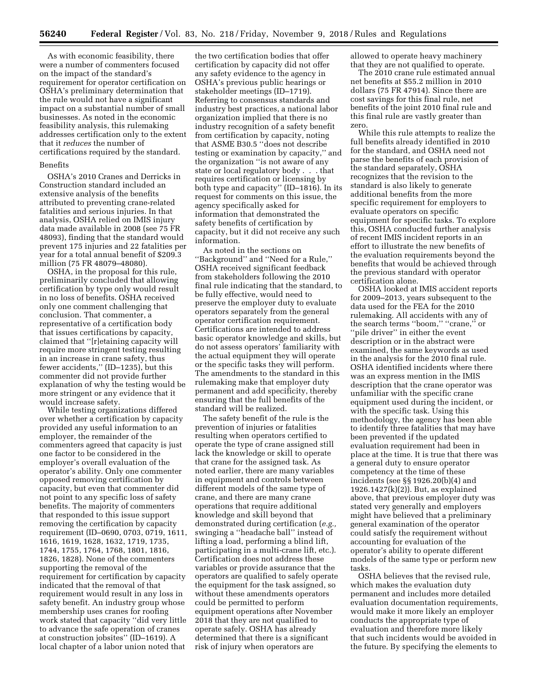As with economic feasibility, there were a number of commenters focused on the impact of the standard's requirement for operator certification on OSHA's preliminary determination that the rule would not have a significant impact on a substantial number of small businesses. As noted in the economic feasibility analysis, this rulemaking addresses certification only to the extent that it *reduces* the number of certifications required by the standard.

## Benefits

OSHA's 2010 Cranes and Derricks in Construction standard included an extensive analysis of the benefits attributed to preventing crane-related fatalities and serious injuries. In that analysis, OSHA relied on IMIS injury data made available in 2008 (see 75 FR 48093), finding that the standard would prevent 175 injuries and 22 fatalities per year for a total annual benefit of \$209.3 million (75 FR 48079–48080).

OSHA, in the proposal for this rule, preliminarily concluded that allowing certification by type only would result in no loss of benefits. OSHA received only one comment challenging that conclusion. That commenter, a representative of a certification body that issues certifications by capacity, claimed that ''[r]etaining capacity will require more stringent testing resulting in an increase in crane safety, thus fewer accidents,'' (ID–1235), but this commenter did not provide further explanation of why the testing would be more stringent or any evidence that it would increase safety.

While testing organizations differed over whether a certification by capacity provided any useful information to an employer, the remainder of the commenters agreed that capacity is just one factor to be considered in the employer's overall evaluation of the operator's ability. Only one commenter opposed removing certification by capacity, but even that commenter did not point to any specific loss of safety benefits. The majority of commenters that responded to this issue support removing the certification by capacity requirement (ID–0690, 0703, 0719, 1611, 1616, 1619, 1628, 1632, 1719, 1735, 1744, 1755, 1764, 1768, 1801, 1816, 1826, 1828). None of the commenters supporting the removal of the requirement for certification by capacity indicated that the removal of that requirement would result in any loss in safety benefit. An industry group whose membership uses cranes for roofing work stated that capacity ''did very little to advance the safe operation of cranes at construction jobsites'' (ID–1619). A local chapter of a labor union noted that

the two certification bodies that offer certification by capacity did not offer any safety evidence to the agency in OSHA's previous public hearings or stakeholder meetings (ID–1719). Referring to consensus standards and industry best practices, a national labor organization implied that there is no industry recognition of a safety benefit from certification by capacity, noting that ASME B30.5 ''does not describe testing or examination by capacity,'' and the organization ''is not aware of any state or local regulatory body . . . that requires certification or licensing by both type and capacity'' (ID–1816). In its request for comments on this issue, the agency specifically asked for information that demonstrated the safety benefits of certification by capacity, but it did not receive any such information.

As noted in the sections on ''Background'' and ''Need for a Rule,'' OSHA received significant feedback from stakeholders following the 2010 final rule indicating that the standard, to be fully effective, would need to preserve the employer duty to evaluate operators separately from the general operator certification requirement. Certifications are intended to address basic operator knowledge and skills, but do not assess operators' familiarity with the actual equipment they will operate or the specific tasks they will perform. The amendments to the standard in this rulemaking make that employer duty permanent and add specificity, thereby ensuring that the full benefits of the standard will be realized.

The safety benefit of the rule is the prevention of injuries or fatalities resulting when operators certified to operate the type of crane assigned still lack the knowledge or skill to operate that crane for the assigned task. As noted earlier, there are many variables in equipment and controls between different models of the same type of crane, and there are many crane operations that require additional knowledge and skill beyond that demonstrated during certification (*e.g.,*  swinging a ''headache ball'' instead of lifting a load, performing a blind lift, participating in a multi-crane lift, etc.). Certification does not address these variables or provide assurance that the operators are qualified to safely operate the equipment for the task assigned, so without these amendments operators could be permitted to perform equipment operations after November 2018 that they are not qualified to operate safely. OSHA has already determined that there is a significant risk of injury when operators are

allowed to operate heavy machinery that they are not qualified to operate.

The 2010 crane rule estimated annual net benefits at \$55.2 million in 2010 dollars (75 FR 47914). Since there are cost savings for this final rule, net benefits of the joint 2010 final rule and this final rule are vastly greater than zero.

While this rule attempts to realize the full benefits already identified in 2010 for the standard, and OSHA need not parse the benefits of each provision of the standard separately, OSHA recognizes that the revision to the standard is also likely to generate additional benefits from the more specific requirement for employers to evaluate operators on specific equipment for specific tasks. To explore this, OSHA conducted further analysis of recent IMIS incident reports in an effort to illustrate the new benefits of the evaluation requirements beyond the benefits that would be achieved through the previous standard with operator certification alone.

OSHA looked at IMIS accident reports for 2009–2013, years subsequent to the data used for the FEA for the 2010 rulemaking. All accidents with any of the search terms ''boom,'' ''crane,'' or "pile driver" in either the event description or in the abstract were examined, the same keywords as used in the analysis for the 2010 final rule. OSHA identified incidents where there was an express mention in the IMIS description that the crane operator was unfamiliar with the specific crane equipment used during the incident, or with the specific task. Using this methodology, the agency has been able to identify three fatalities that may have been prevented if the updated evaluation requirement had been in place at the time. It is true that there was a general duty to ensure operator competency at the time of these incidents (see §§ 1926.20(b)(4) and 1926.1427(k)(2)). But, as explained above, that previous employer duty was stated very generally and employers might have believed that a preliminary general examination of the operator could satisfy the requirement without accounting for evaluation of the operator's ability to operate different models of the same type or perform new tasks.

OSHA believes that the revised rule, which makes the evaluation duty permanent and includes more detailed evaluation documentation requirements, would make it more likely an employer conducts the appropriate type of evaluation and therefore more likely that such incidents would be avoided in the future. By specifying the elements to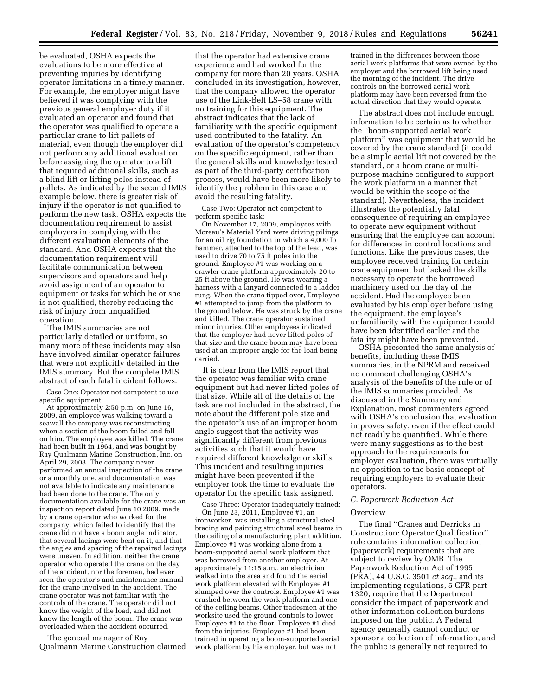be evaluated, OSHA expects the evaluations to be more effective at preventing injuries by identifying operator limitations in a timely manner. For example, the employer might have believed it was complying with the previous general employer duty if it evaluated an operator and found that the operator was qualified to operate a particular crane to lift pallets of material, even though the employer did not perform any additional evaluation before assigning the operator to a lift that required additional skills, such as a blind lift or lifting poles instead of pallets. As indicated by the second IMIS example below, there is greater risk of injury if the operator is not qualified to perform the new task. OSHA expects the documentation requirement to assist employers in complying with the different evaluation elements of the standard. And OSHA expects that the documentation requirement will facilitate communication between supervisors and operators and help avoid assignment of an operator to equipment or tasks for which he or she is not qualified, thereby reducing the risk of injury from unqualified operation.

The IMIS summaries are not particularly detailed or uniform, so many more of these incidents may also have involved similar operator failures that were not explicitly detailed in the IMIS summary. But the complete IMIS abstract of each fatal incident follows.

Case One: Operator not competent to use specific equipment:

At approximately 2:50 p.m. on June 16, 2009, an employee was walking toward a seawall the company was reconstructing when a section of the boom failed and fell on him. The employee was killed. The crane had been built in 1964, and was bought by Ray Qualmann Marine Construction, Inc. on April 29, 2008. The company never performed an annual inspection of the crane or a monthly one, and documentation was not available to indicate any maintenance had been done to the crane. The only documentation available for the crane was an inspection report dated June 10 2009, made by a crane operator who worked for the company, which failed to identify that the crane did not have a boom angle indicator, that several lacings were bent on it, and that the angles and spacing of the repaired lacings were uneven. In addition, neither the crane operator who operated the crane on the day of the accident, nor the foreman, had ever seen the operator's and maintenance manual for the crane involved in the accident. The crane operator was not familiar with the controls of the crane. The operator did not know the weight of the load, and did not know the length of the boom. The crane was overloaded when the accident occurred.

The general manager of Ray Qualmann Marine Construction claimed

that the operator had extensive crane experience and had worked for the company for more than 20 years. OSHA concluded in its investigation, however, that the company allowed the operator use of the Link-Belt LS–58 crane with no training for this equipment. The abstract indicates that the lack of familiarity with the specific equipment used contributed to the fatality. An evaluation of the operator's competency on the specific equipment, rather than the general skills and knowledge tested as part of the third-party certification process, would have been more likely to identify the problem in this case and avoid the resulting fatality.

Case Two: Operator not competent to perform specific task:

On November 17, 2009, employees with Moreau's Material Yard were driving pilings for an oil rig foundation in which a 4,000 lb hammer, attached to the top of the lead, was used to drive 70 to 75 ft poles into the ground. Employee #1 was working on a crawler crane platform approximately 20 to 25 ft above the ground. He was wearing a harness with a lanyard connected to a ladder rung. When the crane tipped over, Employee #1 attempted to jump from the platform to the ground below. He was struck by the crane and killed. The crane operator sustained minor injuries. Other employees indicated that the employer had never lifted poles of that size and the crane boom may have been used at an improper angle for the load being carried.

It is clear from the IMIS report that the operator was familiar with crane equipment but had never lifted poles of that size. While all of the details of the task are not included in the abstract, the note about the different pole size and the operator's use of an improper boom angle suggest that the activity was significantly different from previous activities such that it would have required different knowledge or skills. This incident and resulting injuries might have been prevented if the employer took the time to evaluate the operator for the specific task assigned.

Case Three: Operator inadequately trained: On June 23, 2011, Employee #1, an ironworker, was installing a structural steel bracing and painting structural steel beams in the ceiling of a manufacturing plant addition. Employee #1 was working alone from a boom-supported aerial work platform that was borrowed from another employer. At approximately 11:15 a.m., an electrician walked into the area and found the aerial work platform elevated with Employee #1 slumped over the controls. Employee #1 was crushed between the work platform and one of the ceiling beams. Other tradesmen at the worksite used the ground controls to lower Employee #1 to the floor. Employee #1 died from the injuries. Employee #1 had been trained in operating a boom-supported aerial work platform by his employer, but was not

trained in the differences between those aerial work platforms that were owned by the employer and the borrowed lift being used the morning of the incident. The drive controls on the borrowed aerial work platform may have been reversed from the actual direction that they would operate.

The abstract does not include enough information to be certain as to whether the ''boom-supported aerial work platform'' was equipment that would be covered by the crane standard (it could be a simple aerial lift not covered by the standard, or a boom crane or multipurpose machine configured to support the work platform in a manner that would be within the scope of the standard). Nevertheless, the incident illustrates the potentially fatal consequence of requiring an employee to operate new equipment without ensuring that the employee can account for differences in control locations and functions. Like the previous cases, the employee received training for certain crane equipment but lacked the skills necessary to operate the borrowed machinery used on the day of the accident. Had the employee been evaluated by his employer before using the equipment, the employee's unfamiliarity with the equipment could have been identified earlier and the fatality might have been prevented.

OSHA presented the same analysis of benefits, including these IMIS summaries, in the NPRM and received no comment challenging OSHA's analysis of the benefits of the rule or of the IMIS summaries provided. As discussed in the Summary and Explanation, most commenters agreed with OSHA's conclusion that evaluation improves safety, even if the effect could not readily be quantified. While there were many suggestions as to the best approach to the requirements for employer evaluation, there was virtually no opposition to the basic concept of requiring employers to evaluate their operators.

#### *C. Paperwork Reduction Act*

#### **Overview**

The final ''Cranes and Derricks in Construction: Operator Qualification'' rule contains information collection (paperwork) requirements that are subject to review by OMB. The Paperwork Reduction Act of 1995 (PRA), 44 U.S.C. 3501 *et seq.,* and its implementing regulations, 5 CFR part 1320, require that the Department consider the impact of paperwork and other information collection burdens imposed on the public. A Federal agency generally cannot conduct or sponsor a collection of information, and the public is generally not required to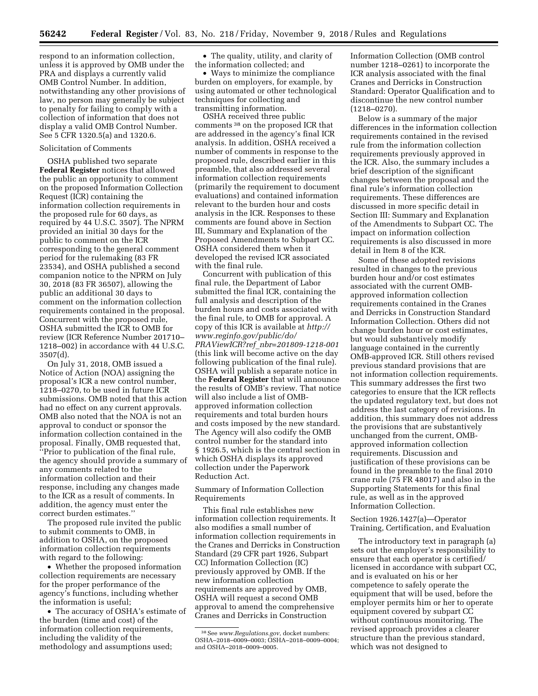respond to an information collection, unless it is approved by OMB under the PRA and displays a currently valid OMB Control Number. In addition, notwithstanding any other provisions of law, no person may generally be subject to penalty for failing to comply with a collection of information that does not display a valid OMB Control Number. See 5 CFR 1320.5(a) and 1320.6.

## Solicitation of Comments

OSHA published two separate **Federal Register** notices that allowed the public an opportunity to comment on the proposed Information Collection Request (ICR) containing the information collection requirements in the proposed rule for 60 days, as required by 44 U.S.C. 3507). The NPRM provided an initial 30 days for the public to comment on the ICR corresponding to the general comment period for the rulemaking (83 FR 23534), and OSHA published a second companion notice to the NPRM on July 30, 2018 (83 FR 36507), allowing the public an additional 30 days to comment on the information collection requirements contained in the proposal. Concurrent with the proposed rule, OSHA submitted the ICR to OMB for review (ICR Reference Number 201710– 1218–002) in accordance with 44 U.S.C. 3507(d).

On July 31, 2018, OMB issued a Notice of Action (NOA) assigning the proposal's ICR a new control number, 1218–0270, to be used in future ICR submissions. OMB noted that this action had no effect on any current approvals. OMB also noted that the NOA is not an approval to conduct or sponsor the information collection contained in the proposal. Finally, OMB requested that, ''Prior to publication of the final rule, the agency should provide a summary of any comments related to the information collection and their response, including any changes made to the ICR as a result of comments. In addition, the agency must enter the correct burden estimates.''

The proposed rule invited the public to submit comments to OMB, in addition to OSHA, on the proposed information collection requirements with regard to the following:

• Whether the proposed information collection requirements are necessary for the proper performance of the agency's functions, including whether the information is useful;

• The accuracy of OSHA's estimate of the burden (time and cost) of the information collection requirements, including the validity of the methodology and assumptions used;

• The quality, utility, and clarity of the information collected; and

• Ways to minimize the compliance burden on employers, for example, by using automated or other technological techniques for collecting and transmitting information.

OSHA received three public comments 38 on the proposed ICR that are addressed in the agency's final ICR analysis. In addition, OSHA received a number of comments in response to the proposed rule, described earlier in this preamble, that also addressed several information collection requirements (primarily the requirement to document evaluations) and contained information relevant to the burden hour and costs analysis in the ICR. Responses to these comments are found above in Section III, Summary and Explanation of the Proposed Amendments to Subpart CC. OSHA considered them when it developed the revised ICR associated with the final rule.

Concurrent with publication of this final rule, the Department of Labor submitted the final ICR, containing the full analysis and description of the burden hours and costs associated with the final rule, to OMB for approval. A copy of this ICR is available at *[http://](http://www.reginfo.gov/public/do/PRAViewICR?ref_nbr=201809-1218-001) [www.reginfo.gov/public/do/](http://www.reginfo.gov/public/do/PRAViewICR?ref_nbr=201809-1218-001)  PRAViewICR?ref*\_*[nbr=201809-1218-001](http://www.reginfo.gov/public/do/PRAViewICR?ref_nbr=201809-1218-001)*  (this link will become active on the day following publication of the final rule). OSHA will publish a separate notice in the **Federal Register** that will announce the results of OMB's review. That notice will also include a list of OMBapproved information collection requirements and total burden hours and costs imposed by the new standard. The Agency will also codify the OMB control number for the standard into § 1926.5, which is the central section in which OSHA displays its approved collection under the Paperwork Reduction Act.

Summary of Information Collection Requirements

This final rule establishes new information collection requirements. It also modifies a small number of information collection requirements in the Cranes and Derricks in Construction Standard (29 CFR part 1926, Subpart CC) Information Collection (IC) previously approved by OMB. If the new information collection requirements are approved by OMB, OSHA will request a second OMB approval to amend the comprehensive Cranes and Derricks in Construction

Information Collection (OMB control number 1218–0261) to incorporate the ICR analysis associated with the final Cranes and Derricks in Construction Standard: Operator Qualification and to discontinue the new control number (1218–0270).

Below is a summary of the major differences in the information collection requirements contained in the revised rule from the information collection requirements previously approved in the ICR. Also, the summary includes a brief description of the significant changes between the proposal and the final rule's information collection requirements. These differences are discussed in more specific detail in Section III: Summary and Explanation of the Amendments to Subpart CC. The impact on information collection requirements is also discussed in more detail in Item 8 of the ICR.

Some of these adopted revisions resulted in changes to the previous burden hour and/or cost estimates associated with the current OMBapproved information collection requirements contained in the Cranes and Derricks in Construction Standard Information Collection. Others did not change burden hour or cost estimates, but would substantively modify language contained in the currently OMB-approved ICR. Still others revised previous standard provisions that are not information collection requirements. This summary addresses the first two categories to ensure that the ICR reflects the updated regulatory text, but does not address the last category of revisions. In addition, this summary does not address the provisions that are substantively unchanged from the current, OMBapproved information collection requirements. Discussion and justification of these provisions can be found in the preamble to the final 2010 crane rule (75 FR 48017) and also in the Supporting Statements for this final rule, as well as in the approved Information Collection.

## Section 1926.1427(a)—Operator Training, Certification, and Evaluation

The introductory text in paragraph (a) sets out the employer's responsibility to ensure that each operator is certified/ licensed in accordance with subpart CC, and is evaluated on his or her competence to safely operate the equipment that will be used, before the employer permits him or her to operate equipment covered by subpart CC without continuous monitoring. The revised approach provides a clearer structure than the previous standard, which was not designed to

<sup>38</sup>See *[www.Regulations.gov](http://www.Regulations.gov)*, docket numbers: OSHA–2018–0009–0003; OSHA–2018–0009–0004; and OSHA–2018–0009–0005.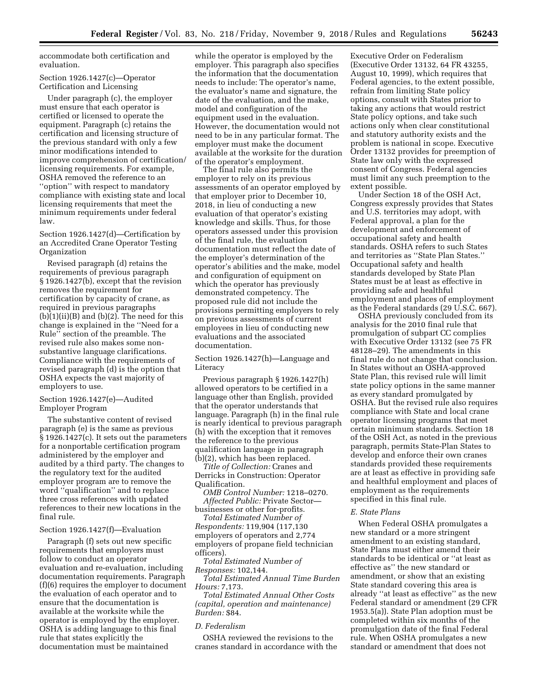accommodate both certification and evaluation.

## Section 1926.1427(c)—Operator Certification and Licensing

Under paragraph (c), the employer must ensure that each operator is certified or licensed to operate the equipment. Paragraph (c) retains the certification and licensing structure of the previous standard with only a few minor modifications intended to improve comprehension of certification/ licensing requirements. For example, OSHA removed the reference to an ''option'' with respect to mandatory compliance with existing state and local licensing requirements that meet the minimum requirements under federal law.

Section 1926.1427(d)—Certification by an Accredited Crane Operator Testing Organization

Revised paragraph (d) retains the requirements of previous paragraph § 1926.1427(b), except that the revision removes the requirement for certification by capacity of crane, as required in previous paragraphs  $(b)(1)(ii)(B)$  and  $(b)(2)$ . The need for this change is explained in the ''Need for a Rule'' section of the preamble. The revised rule also makes some nonsubstantive language clarifications. Compliance with the requirements of revised paragraph (d) is the option that OSHA expects the vast majority of employers to use.

## Section 1926.1427(e)—Audited Employer Program

The substantive content of revised paragraph (e) is the same as previous § 1926.1427(c). It sets out the parameters for a nonportable certification program administered by the employer and audited by a third party. The changes to the regulatory text for the audited employer program are to remove the word ''qualification'' and to replace three cross references with updated references to their new locations in the final rule.

## Section 1926.1427(f)—Evaluation

Paragraph (f) sets out new specific requirements that employers must follow to conduct an operator evaluation and re-evaluation, including documentation requirements. Paragraph (f)(6) requires the employer to document the evaluation of each operator and to ensure that the documentation is available at the worksite while the operator is employed by the employer. OSHA is adding language to this final rule that states explicitly the documentation must be maintained

while the operator is employed by the employer. This paragraph also specifies the information that the documentation needs to include: The operator's name, the evaluator's name and signature, the date of the evaluation, and the make, model and configuration of the equipment used in the evaluation. However, the documentation would not need to be in any particular format. The employer must make the document available at the worksite for the duration of the operator's employment.

The final rule also permits the employer to rely on its previous assessments of an operator employed by that employer prior to December 10, 2018, in lieu of conducting a new evaluation of that operator's existing knowledge and skills. Thus, for those operators assessed under this provision of the final rule, the evaluation documentation must reflect the date of the employer's determination of the operator's abilities and the make, model and configuration of equipment on which the operator has previously demonstrated competency. The proposed rule did not include the provisions permitting employers to rely on previous assessments of current employees in lieu of conducting new evaluations and the associated documentation.

Section 1926.1427(h)—Language and Literacy

Previous paragraph § 1926.1427(h) allowed operators to be certified in a language other than English, provided that the operator understands that language. Paragraph (h) in the final rule is nearly identical to previous paragraph (h) with the exception that it removes the reference to the previous qualification language in paragraph (b)(2), which has been replaced.

*Title of Collection:* Cranes and Derricks in Construction: Operator Qualification.

*OMB Control Number:* 1218–0270. *Affected Public:* Private Sector businesses or other for-profits.

*Total Estimated Number of Respondents:* 119,904 (117,130 employers of operators and 2,774 employers of propane field technician officers).

*Total Estimated Number of Responses:* 102,144.

*Total Estimated Annual Time Burden Hours:* 7,173.

*Total Estimated Annual Other Costs (capital, operation and maintenance) Burden:* \$84.

## *D. Federalism*

OSHA reviewed the revisions to the cranes standard in accordance with the

Executive Order on Federalism (Executive Order 13132, 64 FR 43255, August 10, 1999), which requires that Federal agencies, to the extent possible, refrain from limiting State policy options, consult with States prior to taking any actions that would restrict State policy options, and take such actions only when clear constitutional and statutory authority exists and the problem is national in scope. Executive Order 13132 provides for preemption of State law only with the expressed consent of Congress. Federal agencies must limit any such preemption to the extent possible.

Under Section 18 of the OSH Act, Congress expressly provides that States and U.S. territories may adopt, with Federal approval, a plan for the development and enforcement of occupational safety and health standards. OSHA refers to such States and territories as ''State Plan States.'' Occupational safety and health standards developed by State Plan States must be at least as effective in providing safe and healthful employment and places of employment as the Federal standards (29 U.S.C. 667).

OSHA previously concluded from its analysis for the 2010 final rule that promulgation of subpart CC complies with Executive Order 13132 (see 75 FR 48128–29). The amendments in this final rule do not change that conclusion. In States without an OSHA-approved State Plan, this revised rule will limit state policy options in the same manner as every standard promulgated by OSHA. But the revised rule also requires compliance with State and local crane operator licensing programs that meet certain minimum standards. Section 18 of the OSH Act, as noted in the previous paragraph, permits State-Plan States to develop and enforce their own cranes standards provided these requirements are at least as effective in providing safe and healthful employment and places of employment as the requirements specified in this final rule.

#### *E. State Plans*

When Federal OSHA promulgates a new standard or a more stringent amendment to an existing standard, State Plans must either amend their standards to be identical or ''at least as effective as'' the new standard or amendment, or show that an existing State standard covering this area is already ''at least as effective'' as the new Federal standard or amendment (29 CFR 1953.5(a)). State Plan adoption must be completed within six months of the promulgation date of the final Federal rule. When OSHA promulgates a new standard or amendment that does not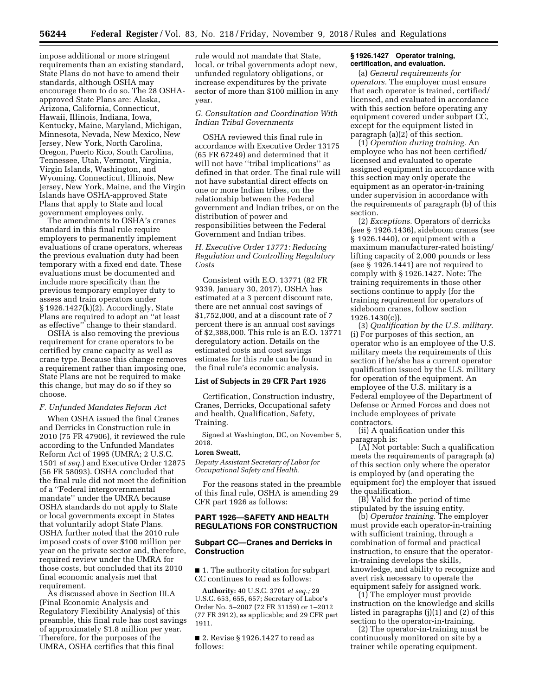impose additional or more stringent requirements than an existing standard, State Plans do not have to amend their standards, although OSHA may encourage them to do so. The 28 OSHAapproved State Plans are: Alaska, Arizona, California, Connecticut, Hawaii, Illinois, Indiana, Iowa, Kentucky, Maine, Maryland, Michigan, Minnesota, Nevada, New Mexico, New Jersey, New York, North Carolina, Oregon, Puerto Rico, South Carolina, Tennessee, Utah, Vermont, Virginia, Virgin Islands, Washington, and Wyoming. Connecticut, Illinois, New Jersey, New York, Maine, and the Virgin Islands have OSHA-approved State Plans that apply to State and local government employees only.

The amendments to OSHA's cranes standard in this final rule require employers to permanently implement evaluations of crane operators, whereas the previous evaluation duty had been temporary with a fixed end date. These evaluations must be documented and include more specificity than the previous temporary employer duty to assess and train operators under § 1926.1427(k)(2). Accordingly, State Plans are required to adopt an ''at least as effective'' change to their standard.

OSHA is also removing the previous requirement for crane operators to be certified by crane capacity as well as crane type. Because this change removes a requirement rather than imposing one, State Plans are not be required to make this change, but may do so if they so choose.

#### *F. Unfunded Mandates Reform Act*

When OSHA issued the final Cranes and Derricks in Construction rule in 2010 (75 FR 47906), it reviewed the rule according to the Unfunded Mandates Reform Act of 1995 (UMRA; 2 U.S.C. 1501 *et seq.*) and Executive Order 12875 (56 FR 58093). OSHA concluded that the final rule did not meet the definition of a ''Federal intergovernmental mandate'' under the UMRA because OSHA standards do not apply to State or local governments except in States that voluntarily adopt State Plans. OSHA further noted that the 2010 rule imposed costs of over \$100 million per year on the private sector and, therefore, required review under the UMRA for those costs, but concluded that its 2010 final economic analysis met that requirement.

As discussed above in Section III.A (Final Economic Analysis and Regulatory Flexibility Analysis) of this preamble, this final rule has cost savings of approximately \$1.8 million per year. Therefore, for the purposes of the UMRA, OSHA certifies that this final

rule would not mandate that State, local, or tribal governments adopt new, unfunded regulatory obligations, or increase expenditures by the private sector of more than \$100 million in any year.

## *G. Consultation and Coordination With Indian Tribal Governments*

OSHA reviewed this final rule in accordance with Executive Order 13175 (65 FR 67249) and determined that it will not have ''tribal implications'' as defined in that order. The final rule will not have substantial direct effects on one or more Indian tribes, on the relationship between the Federal government and Indian tribes, or on the distribution of power and responsibilities between the Federal Government and Indian tribes.

## *H. Executive Order 13771: Reducing Regulation and Controlling Regulatory Costs*

Consistent with E.O. 13771 (82 FR 9339, January 30, 2017), OSHA has estimated at a 3 percent discount rate, there are net annual cost savings of \$1,752,000, and at a discount rate of 7 percent there is an annual cost savings of \$2,388,000. This rule is an E.O. 13771 deregulatory action. Details on the estimated costs and cost savings estimates for this rule can be found in the final rule's economic analysis.

#### **List of Subjects in 29 CFR Part 1926**

Certification, Construction industry, Cranes, Derricks, Occupational safety and health, Qualification, Safety, Training.

Signed at Washington, DC, on November 5, 2018.

#### **Loren Sweatt,**

*Deputy Assistant Secretary of Labor for Occupational Safety and Health.* 

For the reasons stated in the preamble of this final rule, OSHA is amending 29 CFR part 1926 as follows:

## **PART 1926—SAFETY AND HEALTH REGULATIONS FOR CONSTRUCTION**

## **Subpart CC—Cranes and Derricks in Construction**

■ 1. The authority citation for subpart CC continues to read as follows:

**Authority:** 40 U.S.C. 3701 *et seq.;* 29 U.S.C. 653, 655, 657; Secretary of Labor's Order No. 5–2007 (72 FR 31159) or 1–2012 (77 FR 3912), as applicable; and 29 CFR part 1911.

■ 2. Revise § 1926.1427 to read as follows:

#### **§ 1926.1427 Operator training, certification, and evaluation.**

(a) *General requirements for operators.* The employer must ensure that each operator is trained, certified/ licensed, and evaluated in accordance with this section before operating any equipment covered under subpart CC, except for the equipment listed in paragraph (a)(2) of this section.

(1) *Operation during training.* An employee who has not been certified/ licensed and evaluated to operate assigned equipment in accordance with this section may only operate the equipment as an operator-in-training under supervision in accordance with the requirements of paragraph (b) of this section.

(2) *Exceptions.* Operators of derricks (see § 1926.1436), sideboom cranes (see § 1926.1440), or equipment with a maximum manufacturer-rated hoisting/ lifting capacity of 2,000 pounds or less (see  $\S$  1926.1441) are not required to comply with § 1926.1427. Note: The training requirements in those other sections continue to apply (for the training requirement for operators of sideboom cranes, follow section 1926.1430(c)).

(3) *Qualification by the U.S. military.*  (i) For purposes of this section, an operator who is an employee of the U.S. military meets the requirements of this section if he/she has a current operator qualification issued by the U.S. military for operation of the equipment. An employee of the U.S. military is a Federal employee of the Department of Defense or Armed Forces and does not include employees of private contractors.

(ii) A qualification under this paragraph is:

(A) Not portable: Such a qualification meets the requirements of paragraph (a) of this section only where the operator is employed by (and operating the equipment for) the employer that issued the qualification.

(B) Valid for the period of time stipulated by the issuing entity.

(b) *Operator training.* The employer must provide each operator-in-training with sufficient training, through a combination of formal and practical instruction, to ensure that the operatorin-training develops the skills, knowledge, and ability to recognize and avert risk necessary to operate the equipment safely for assigned work.

(1) The employer must provide instruction on the knowledge and skills listed in paragraphs (j)(1) and (2) of this section to the operator-in-training.

(2) The operator-in-training must be continuously monitored on site by a trainer while operating equipment.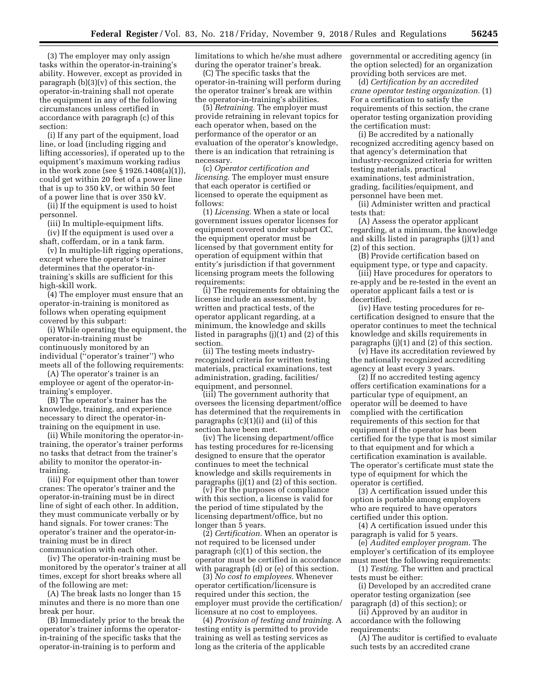(3) The employer may only assign tasks within the operator-in-training's ability. However, except as provided in paragraph (b)(3)(v) of this section, the operator-in-training shall not operate the equipment in any of the following circumstances unless certified in accordance with paragraph (c) of this section:

(i) If any part of the equipment, load line, or load (including rigging and lifting accessories), if operated up to the equipment's maximum working radius in the work zone (see § 1926.1408(a)(1)), could get within 20 feet of a power line that is up to 350 kV, or within 50 feet of a power line that is over 350 kV.

(ii) If the equipment is used to hoist personnel.

(iii) In multiple-equipment lifts.

(iv) If the equipment is used over a shaft, cofferdam, or in a tank farm.

(v) In multiple-lift rigging operations, except where the operator's trainer determines that the operator-intraining's skills are sufficient for this high-skill work.

(4) The employer must ensure that an operator-in-training is monitored as follows when operating equipment covered by this subpart:

(i) While operating the equipment, the operator-in-training must be continuously monitored by an individual (''operator's trainer'') who meets all of the following requirements:

(A) The operator's trainer is an employee or agent of the operator-intraining's employer.

(B) The operator's trainer has the knowledge, training, and experience necessary to direct the operator-intraining on the equipment in use.

(ii) While monitoring the operator-intraining, the operator's trainer performs no tasks that detract from the trainer's ability to monitor the operator-intraining.

(iii) For equipment other than tower cranes: The operator's trainer and the operator-in-training must be in direct line of sight of each other. In addition, they must communicate verbally or by hand signals. For tower cranes: The operator's trainer and the operator-intraining must be in direct communication with each other.

(iv) The operator-in-training must be monitored by the operator's trainer at all times, except for short breaks where all of the following are met:

(A) The break lasts no longer than 15 minutes and there is no more than one break per hour.

(B) Immediately prior to the break the operator's trainer informs the operatorin-training of the specific tasks that the operator-in-training is to perform and

limitations to which he/she must adhere during the operator trainer's break.

(C) The specific tasks that the operator-in-training will perform during the operator trainer's break are within the operator-in-training's abilities.

(5) *Retraining.* The employer must provide retraining in relevant topics for each operator when, based on the performance of the operator or an evaluation of the operator's knowledge, there is an indication that retraining is necessary.

(c) *Operator certification and licensing.* The employer must ensure that each operator is certified or licensed to operate the equipment as follows:

(1) *Licensing.* When a state or local government issues operator licenses for equipment covered under subpart CC, the equipment operator must be licensed by that government entity for operation of equipment within that entity's jurisdiction if that government licensing program meets the following requirements:

(i) The requirements for obtaining the license include an assessment, by written and practical tests, of the operator applicant regarding, at a minimum, the knowledge and skills listed in paragraphs (j)(1) and (2) of this section.

(ii) The testing meets industryrecognized criteria for written testing materials, practical examinations, test administration, grading, facilities/ equipment, and personnel.

(iii) The government authority that oversees the licensing department/office has determined that the requirements in paragraphs (c)(1)(i) and (ii) of this section have been met.

(iv) The licensing department/office has testing procedures for re-licensing designed to ensure that the operator continues to meet the technical knowledge and skills requirements in paragraphs (j)(1) and (2) of this section.

(v) For the purposes of compliance with this section, a license is valid for the period of time stipulated by the licensing department/office, but no longer than 5 years.

(2) *Certification.* When an operator is not required to be licensed under paragraph (c)(1) of this section, the operator must be certified in accordance with paragraph (d) or (e) of this section.

(3) *No cost to employees.* Whenever operator certification/licensure is required under this section, the employer must provide the certification/ licensure at no cost to employees.

(4) *Provision of testing and training.* A testing entity is permitted to provide training as well as testing services as long as the criteria of the applicable

governmental or accrediting agency (in the option selected) for an organization providing both services are met.

(d) *Certification by an accredited crane operator testing organization.* (1) For a certification to satisfy the requirements of this section, the crane operator testing organization providing the certification must:

(i) Be accredited by a nationally recognized accrediting agency based on that agency's determination that industry-recognized criteria for written testing materials, practical examinations, test administration, grading, facilities/equipment, and personnel have been met.

(ii) Administer written and practical tests that:

(A) Assess the operator applicant regarding, at a minimum, the knowledge and skills listed in paragraphs (j)(1) and (2) of this section.

(B) Provide certification based on equipment type, or type and capacity.

(iii) Have procedures for operators to re-apply and be re-tested in the event an operator applicant fails a test or is decertified.

(iv) Have testing procedures for recertification designed to ensure that the operator continues to meet the technical knowledge and skills requirements in paragraphs (j)(1) and (2) of this section.

(v) Have its accreditation reviewed by the nationally recognized accrediting agency at least every 3 years.

(2) If no accredited testing agency offers certification examinations for a particular type of equipment, an operator will be deemed to have complied with the certification requirements of this section for that equipment if the operator has been certified for the type that is most similar to that equipment and for which a certification examination is available. The operator's certificate must state the type of equipment for which the operator is certified.

(3) A certification issued under this option is portable among employers who are required to have operators certified under this option.

(4) A certification issued under this paragraph is valid for 5 years.

(e) *Audited employer program.* The employer's certification of its employee must meet the following requirements:

(1) *Testing.* The written and practical tests must be either:

(i) Developed by an accredited crane operator testing organization (see paragraph (d) of this section); or

(ii) Approved by an auditor in accordance with the following requirements:

(A) The auditor is certified to evaluate such tests by an accredited crane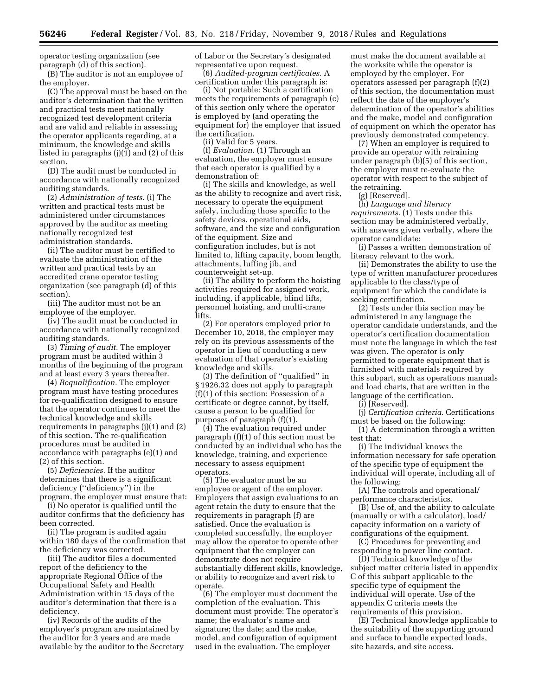operator testing organization (see paragraph (d) of this section).

(B) The auditor is not an employee of the employer.

(C) The approval must be based on the auditor's determination that the written and practical tests meet nationally recognized test development criteria and are valid and reliable in assessing the operator applicants regarding, at a minimum, the knowledge and skills listed in paragraphs (j)(1) and (2) of this section.

(D) The audit must be conducted in accordance with nationally recognized auditing standards.

(2) *Administration of tests.* (i) The written and practical tests must be administered under circumstances approved by the auditor as meeting nationally recognized test administration standards.

(ii) The auditor must be certified to evaluate the administration of the written and practical tests by an accredited crane operator testing organization (see paragraph (d) of this section).

(iii) The auditor must not be an employee of the employer.

(iv) The audit must be conducted in accordance with nationally recognized auditing standards.

(3) *Timing of audit.* The employer program must be audited within 3 months of the beginning of the program and at least every 3 years thereafter.

(4) *Requalification.* The employer program must have testing procedures for re-qualification designed to ensure that the operator continues to meet the technical knowledge and skills requirements in paragraphs (j)(1) and (2) of this section. The re-qualification procedures must be audited in accordance with paragraphs (e)(1) and (2) of this section.

(5) *Deficiencies.* If the auditor determines that there is a significant deficiency (''deficiency'') in the program, the employer must ensure that:

(i) No operator is qualified until the auditor confirms that the deficiency has been corrected.

(ii) The program is audited again within 180 days of the confirmation that the deficiency was corrected.

(iii) The auditor files a documented report of the deficiency to the appropriate Regional Office of the Occupational Safety and Health Administration within 15 days of the auditor's determination that there is a deficiency.

(iv) Records of the audits of the employer's program are maintained by the auditor for 3 years and are made available by the auditor to the Secretary of Labor or the Secretary's designated representative upon request.

(6) *Audited-program certificates.* A certification under this paragraph is:

(i) Not portable: Such a certification meets the requirements of paragraph (c) of this section only where the operator is employed by (and operating the equipment for) the employer that issued the certification.

(ii) Valid for 5 years.

(f) *Evaluation.* (1) Through an evaluation, the employer must ensure that each operator is qualified by a demonstration of:

(i) The skills and knowledge, as well as the ability to recognize and avert risk, necessary to operate the equipment safely, including those specific to the safety devices, operational aids, software, and the size and configuration of the equipment. Size and configuration includes, but is not limited to, lifting capacity, boom length, attachments, luffing jib, and counterweight set-up.

(ii) The ability to perform the hoisting activities required for assigned work, including, if applicable, blind lifts, personnel hoisting, and multi-crane lifts.

(2) For operators employed prior to December 10, 2018, the employer may rely on its previous assessments of the operator in lieu of conducting a new evaluation of that operator's existing knowledge and skills.

(3) The definition of ''qualified'' in § 1926.32 does not apply to paragraph (f)(1) of this section: Possession of a certificate or degree cannot, by itself, cause a person to be qualified for purposes of paragraph (f)(1).

(4) The evaluation required under paragraph (f)(1) of this section must be conducted by an individual who has the knowledge, training, and experience necessary to assess equipment operators.

(5) The evaluator must be an employee or agent of the employer. Employers that assign evaluations to an agent retain the duty to ensure that the requirements in paragraph (f) are satisfied. Once the evaluation is completed successfully, the employer may allow the operator to operate other equipment that the employer can demonstrate does not require substantially different skills, knowledge, or ability to recognize and avert risk to operate.

(6) The employer must document the completion of the evaluation. This document must provide: The operator's name; the evaluator's name and signature; the date; and the make, model, and configuration of equipment used in the evaluation. The employer

must make the document available at the worksite while the operator is employed by the employer. For operators assessed per paragraph (f)(2) of this section, the documentation must reflect the date of the employer's determination of the operator's abilities and the make, model and configuration of equipment on which the operator has previously demonstrated competency.

(7) When an employer is required to provide an operator with retraining under paragraph (b)(5) of this section, the employer must re-evaluate the operator with respect to the subject of the retraining.

(g) [Reserved].

(h) *Language and literacy requirements.* (1) Tests under this section may be administered verbally, with answers given verbally, where the operator candidate:

(i) Passes a written demonstration of literacy relevant to the work.

(ii) Demonstrates the ability to use the type of written manufacturer procedures applicable to the class/type of equipment for which the candidate is seeking certification.

(2) Tests under this section may be administered in any language the operator candidate understands, and the operator's certification documentation must note the language in which the test was given. The operator is only permitted to operate equipment that is furnished with materials required by this subpart, such as operations manuals and load charts, that are written in the language of the certification.

(i) [Reserved].

(j) *Certification criteria.* Certifications must be based on the following:

(1) A determination through a written test that:

(i) The individual knows the information necessary for safe operation of the specific type of equipment the individual will operate, including all of the following:

(A) The controls and operational/ performance characteristics.

(B) Use of, and the ability to calculate (manually or with a calculator), load/ capacity information on a variety of configurations of the equipment.

(C) Procedures for preventing and responding to power line contact.

(D) Technical knowledge of the subject matter criteria listed in appendix C of this subpart applicable to the specific type of equipment the individual will operate. Use of the appendix C criteria meets the requirements of this provision.

(E) Technical knowledge applicable to the suitability of the supporting ground and surface to handle expected loads, site hazards, and site access.